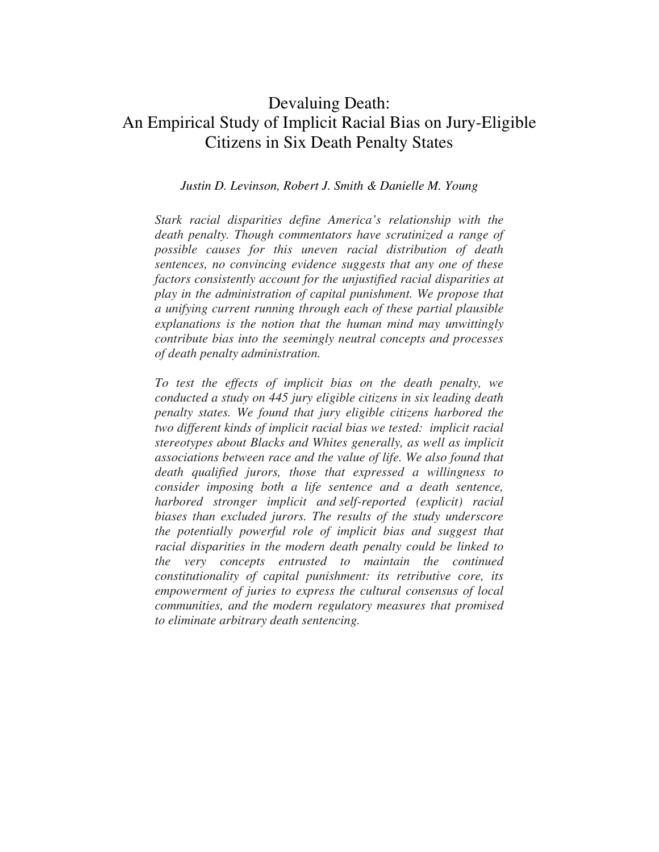# Devaluing Death: An Empirical Study of Implicit Racial Bias on Jury-Eligible Citizens in Six Death Penalty States

## *Justin D. Levinson, Robert J. Smith & Danielle M. Young*

*Stark racial disparities define America's relationship with the death penalty. Though commentators have scrutinized a range of possible causes for this uneven racial distribution of death sentences, no convincing evidence suggests that any one of these factors consistently account for the unjustified racial disparities at play in the administration of capital punishment. We propose that a unifying current running through each of these partial plausible explanations is the notion that the human mind may unwittingly contribute bias into the seemingly neutral concepts and processes of death penalty administration.* 

*To test the effects of implicit bias on the death penalty, we conducted a study on 445 jury eligible citizens in six leading death penalty states. We found that jury eligible citizens harbored the two different kinds of implicit racial bias we tested: implicit racial stereotypes about Blacks and Whites generally, as well as implicit associations between race and the value of life. We also found that death qualified jurors, those that expressed a willingness to consider imposing both a life sentence and a death sentence, harbored stronger implicit and self-reported (explicit) racial biases than excluded jurors. The results of the study underscore the potentially powerful role of implicit bias and suggest that racial disparities in the modern death penalty could be linked to the very concepts entrusted to maintain the continued constitutionality of capital punishment: its retributive core, its empowerment of juries to express the cultural consensus of local communities, and the modern regulatory measures that promised to eliminate arbitrary death sentencing.*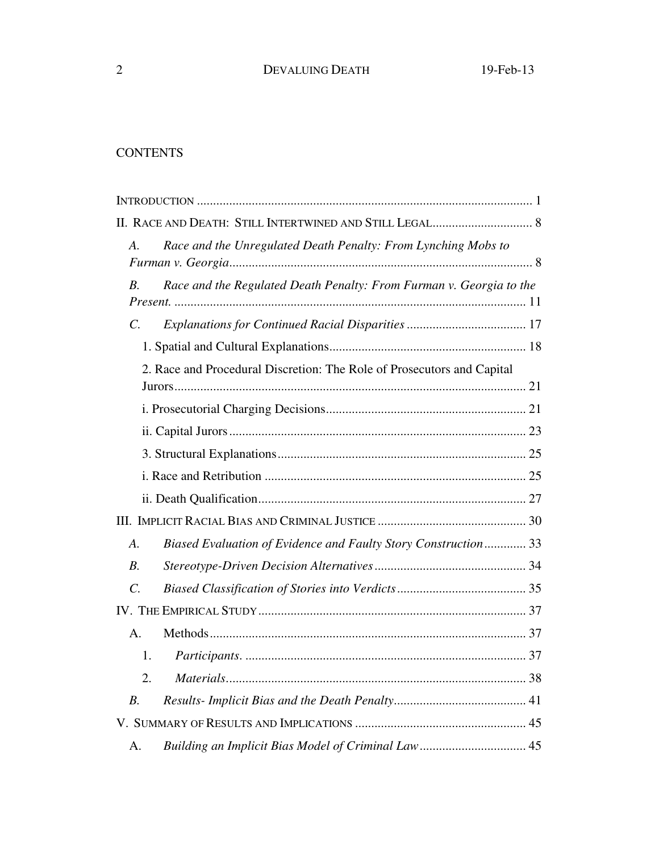## **CONTENTS**

| $\mathcal{A}$ .<br>Race and the Unregulated Death Penalty: From Lynching Mobs to     |  |
|--------------------------------------------------------------------------------------|--|
| Race and the Regulated Death Penalty: From Furman v. Georgia to the<br>В.            |  |
| $\mathcal{C}$ .                                                                      |  |
|                                                                                      |  |
| 2. Race and Procedural Discretion: The Role of Prosecutors and Capital               |  |
|                                                                                      |  |
|                                                                                      |  |
|                                                                                      |  |
|                                                                                      |  |
|                                                                                      |  |
|                                                                                      |  |
| Biased Evaluation of Evidence and Faulty Story Construction 33<br>$\boldsymbol{A}$ . |  |
| В.                                                                                   |  |
| $\overline{C}$ .                                                                     |  |
|                                                                                      |  |
| A <sub>1</sub>                                                                       |  |
| 1.                                                                                   |  |
| 2.                                                                                   |  |
| $B$ .                                                                                |  |
|                                                                                      |  |
| А.                                                                                   |  |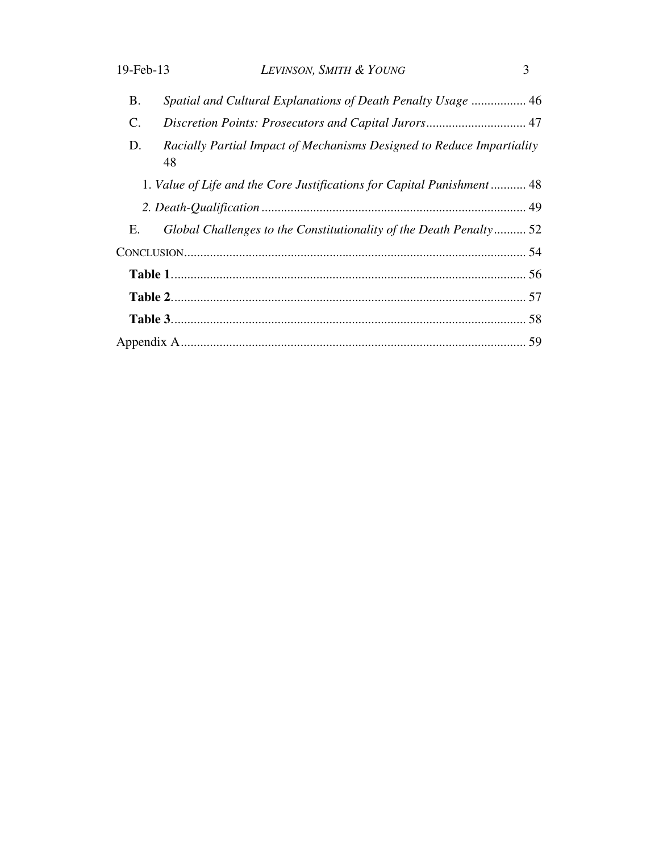| 19-Feb-13 | LEVINSON, SMITH & YOUNG                                                     | $\mathcal{E}$ |  |  |  |
|-----------|-----------------------------------------------------------------------------|---------------|--|--|--|
| Β.        | Spatial and Cultural Explanations of Death Penalty Usage  46                |               |  |  |  |
| C.        |                                                                             |               |  |  |  |
| D.        | Racially Partial Impact of Mechanisms Designed to Reduce Impartiality<br>48 |               |  |  |  |
|           | 1. Value of Life and the Core Justifications for Capital Punishment 48      |               |  |  |  |
|           |                                                                             |               |  |  |  |
| Е.        | Global Challenges to the Constitutionality of the Death Penalty 52          |               |  |  |  |
|           |                                                                             |               |  |  |  |
|           |                                                                             |               |  |  |  |
|           |                                                                             |               |  |  |  |
|           |                                                                             |               |  |  |  |
|           |                                                                             |               |  |  |  |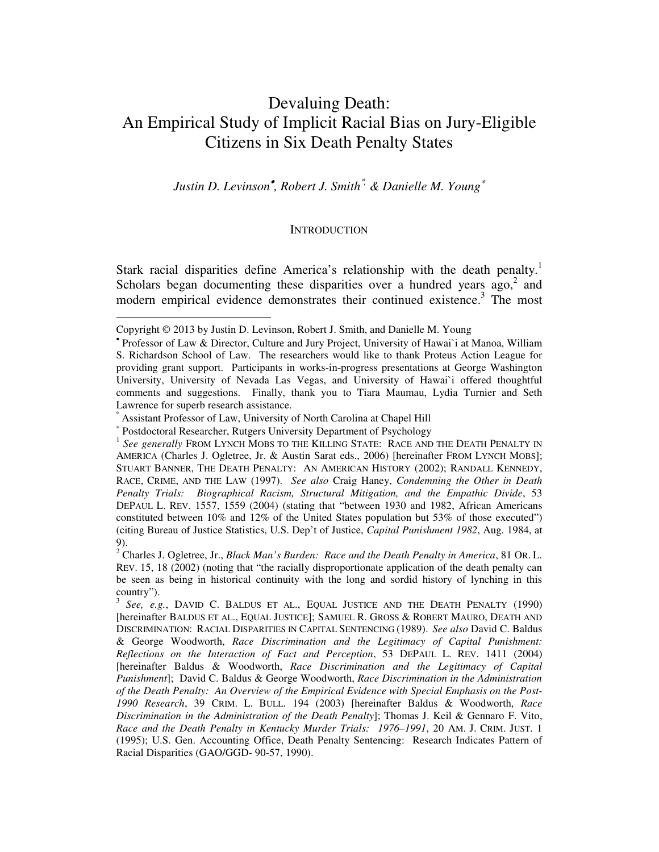# Devaluing Death: An Empirical Study of Implicit Racial Bias on Jury-Eligible Citizens in Six Death Penalty States

*Justin D. Levinson*• *, Robert J. Smith*°*, & Danielle M. Young*<sup>∗</sup>

## **INTRODUCTION**

Stark racial disparities define America's relationship with the death penalty.<sup>1</sup> Scholars began documenting these disparities over a hundred years  $ago$ , and modern empirical evidence demonstrates their continued existence.<sup>3</sup> The most

Copyright © 2013 by Justin D. Levinson, Robert J. Smith, and Danielle M. Young •

Professor of Law & Director, Culture and Jury Project, University of Hawai`i at Manoa, William S. Richardson School of Law. The researchers would like to thank Proteus Action League for providing grant support. Participants in works-in-progress presentations at George Washington University, University of Nevada Las Vegas, and University of Hawai`i offered thoughtful comments and suggestions. Finally, thank you to Tiara Maumau, Lydia Turnier and Seth Lawrence for superb research assistance.

<sup>°</sup>

Assistant Professor of Law, University of North Carolina at Chapel Hill <sup>∗</sup>

<sup>&</sup>lt;sup>1</sup> See generally FROM LYNCH MOBS TO THE KILLING STATE: RACE AND THE DEATH PENALTY IN AMERICA (Charles J. Ogletree, Jr. & Austin Sarat eds., 2006) [hereinafter FROM LYNCH MOBS]; STUART BANNER, THE DEATH PENALTY: AN AMERICAN HISTORY (2002); RANDALL KENNEDY, RACE, CRIME, AND THE LAW (1997). *See also* Craig Haney, *Condemning the Other in Death Penalty Trials: Biographical Racism, Structural Mitigation, and the Empathic Divide*, 53 DEPAUL L. REV. 1557, 1559 (2004) (stating that "between 1930 and 1982, African Americans constituted between 10% and 12% of the United States population but 53% of those executed") (citing Bureau of Justice Statistics, U.S. Dep't of Justice, *Capital Punishment 1982*, Aug. 1984, at 9).

<sup>2</sup> Charles J. Ogletree, Jr., *Black Man's Burden: Race and the Death Penalty in America*, 81 OR. L. REV. 15, 18 (2002) (noting that "the racially disproportionate application of the death penalty can be seen as being in historical continuity with the long and sordid history of lynching in this country").

<sup>3</sup> *See, e.g.*, DAVID C. BALDUS ET AL., EQUAL JUSTICE AND THE DEATH PENALTY (1990) [hereinafter BALDUS ET AL., EQUAL JUSTICE]; SAMUEL R. GROSS & ROBERT MAURO, DEATH AND DISCRIMINATION: RACIAL DISPARITIES IN CAPITAL SENTENCING (1989). *See also* David C. Baldus & George Woodworth, *Race Discrimination and the Legitimacy of Capital Punishment: Reflections on the Interaction of Fact and Perception*, 53 DEPAUL L. REV. 1411 (2004) [hereinafter Baldus & Woodworth, *Race Discrimination and the Legitimacy of Capital Punishment*]; David C. Baldus & George Woodworth, *Race Discrimination in the Administration of the Death Penalty: An Overview of the Empirical Evidence with Special Emphasis on the Post-1990 Research*, 39 CRIM. L. BULL. 194 (2003) [hereinafter Baldus & Woodworth, *Race Discrimination in the Administration of the Death Penalty*]; Thomas J. Keil & Gennaro F. Vito, *Race and the Death Penalty in Kentucky Murder Trials: 1976–1991*, 20 AM. J. CRIM. JUST. 1 (1995); U.S. Gen. Accounting Office, Death Penalty Sentencing: Research Indicates Pattern of Racial Disparities (GAO/GGD- 90-57, 1990).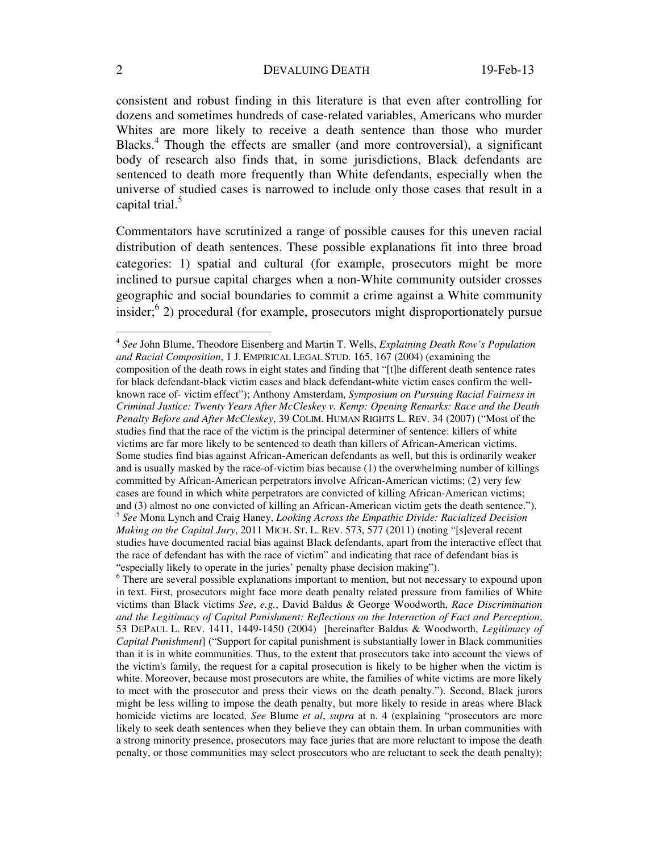consistent and robust finding in this literature is that even after controlling for dozens and sometimes hundreds of case-related variables, Americans who murder Whites are more likely to receive a death sentence than those who murder Blacks.<sup>4</sup> Though the effects are smaller (and more controversial), a significant body of research also finds that, in some jurisdictions, Black defendants are sentenced to death more frequently than White defendants, especially when the universe of studied cases is narrowed to include only those cases that result in a capital trial. $^5$ 

Commentators have scrutinized a range of possible causes for this uneven racial distribution of death sentences. These possible explanations fit into three broad categories: 1) spatial and cultural (for example, prosecutors might be more inclined to pursue capital charges when a non-White community outsider crosses geographic and social boundaries to commit a crime against a White community insider;<sup>6</sup> 2) procedural (for example, prosecutors might disproportionately pursue

<sup>4</sup> *See* John Blume, Theodore Eisenberg and Martin T. Wells, *Explaining Death Row's Population and Racial Composition*, 1 J. EMPIRICAL LEGAL STUD. 165, 167 (2004) (examining the composition of the death rows in eight states and finding that "[t]he different death sentence rates for black defendant-black victim cases and black defendant-white victim cases confirm the wellknown race of- victim effect"); Anthony Amsterdam, *Symposium on Pursuing Racial Fairness in Criminal Justice: Twenty Years After McCleskey v. Kemp: Opening Remarks: Race and the Death Penalty Before and After McCleskey*, 39 COLIM. HUMAN RIGHTS L. REV. 34 (2007) ("Most of the studies find that the race of the victim is the principal determiner of sentence: killers of white victims are far more likely to be sentenced to death than killers of African-American victims. Some studies find bias against African-American defendants as well, but this is ordinarily weaker and is usually masked by the race-of-victim bias because (1) the overwhelming number of killings committed by African-American perpetrators involve African-American victims; (2) very few cases are found in which white perpetrators are convicted of killing African-American victims; and (3) almost no one convicted of killing an African-American victim gets the death sentence."). <sup>5</sup> *See* Mona Lynch and Craig Haney, *Looking Across the Empathic Divide: Racialized Decision Making on the Capital Jury*, 2011 MICH. ST. L. REV. 573, 577 (2011) (noting "[s]everal recent studies have documented racial bias against Black defendants, apart from the interactive effect that the race of defendant has with the race of victim" and indicating that race of defendant bias is "especially likely to operate in the juries' penalty phase decision making").

<sup>&</sup>lt;sup>6</sup> There are several possible explanations important to mention, but not necessary to expound upon in text. First, prosecutors might face more death penalty related pressure from families of White victims than Black victims *See*, *e.g.*, David Baldus & George Woodworth, *Race Discrimination and the Legitimacy of Capital Punishment: Reflections on the Interaction of Fact and Perception*, 53 DEPAUL L. REV. 1411, 1449-1450 (2004) [hereinafter Baldus & Woodworth, *Legitimacy of Capital Punishment*] ("Support for capital punishment is substantially lower in Black communities than it is in white communities. Thus, to the extent that prosecutors take into account the views of the victim's family, the request for a capital prosecution is likely to be higher when the victim is white. Moreover, because most prosecutors are white, the families of white victims are more likely to meet with the prosecutor and press their views on the death penalty."). Second, Black jurors might be less willing to impose the death penalty, but more likely to reside in areas where Black homicide victims are located. *See* Blume *et al*, *supra* at n. 4 (explaining "prosecutors are more likely to seek death sentences when they believe they can obtain them. In urban communities with a strong minority presence, prosecutors may face juries that are more reluctant to impose the death penalty, or those communities may select prosecutors who are reluctant to seek the death penalty);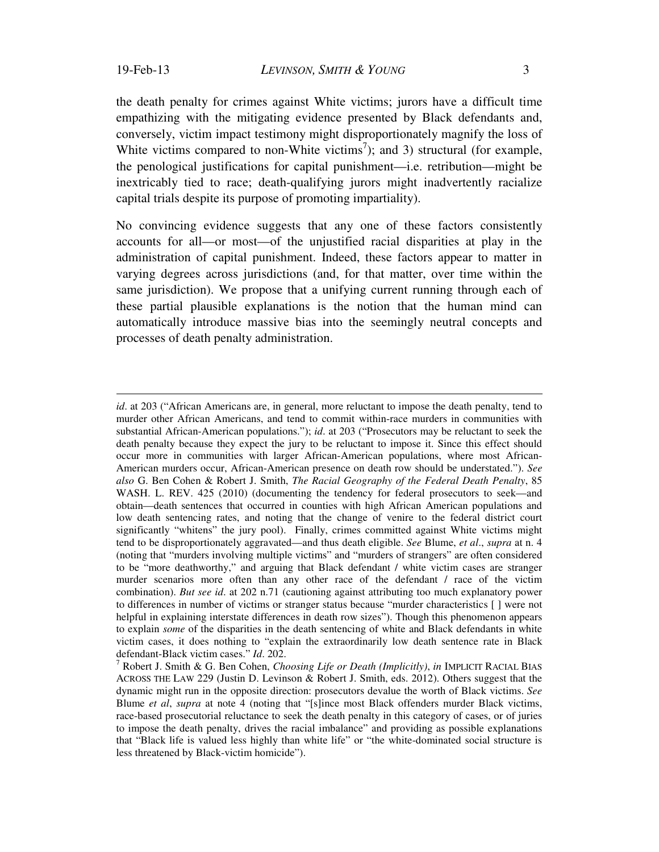$\overline{a}$ 

the death penalty for crimes against White victims; jurors have a difficult time empathizing with the mitigating evidence presented by Black defendants and, conversely, victim impact testimony might disproportionately magnify the loss of White victims compared to non-White victims<sup>7</sup>); and 3) structural (for example, the penological justifications for capital punishment—i.e. retribution—might be inextricably tied to race; death-qualifying jurors might inadvertently racialize capital trials despite its purpose of promoting impartiality).

No convincing evidence suggests that any one of these factors consistently accounts for all—or most—of the unjustified racial disparities at play in the administration of capital punishment. Indeed, these factors appear to matter in varying degrees across jurisdictions (and, for that matter, over time within the same jurisdiction). We propose that a unifying current running through each of these partial plausible explanations is the notion that the human mind can automatically introduce massive bias into the seemingly neutral concepts and processes of death penalty administration.

*id.* at 203 ("African Americans are, in general, more reluctant to impose the death penalty, tend to murder other African Americans, and tend to commit within-race murders in communities with substantial African-American populations."); *id*. at 203 ("Prosecutors may be reluctant to seek the death penalty because they expect the jury to be reluctant to impose it. Since this effect should occur more in communities with larger African-American populations, where most African-American murders occur, African-American presence on death row should be understated."). *See also* G. Ben Cohen & Robert J. Smith, *The Racial Geography of the Federal Death Penalty*, 85 WASH. L. REV. 425 (2010) (documenting the tendency for federal prosecutors to seek—and obtain—death sentences that occurred in counties with high African American populations and low death sentencing rates, and noting that the change of venire to the federal district court significantly "whitens" the jury pool). Finally, crimes committed against White victims might tend to be disproportionately aggravated—and thus death eligible. *See* Blume, *et al*., *supra* at n. 4 (noting that "murders involving multiple victims" and "murders of strangers" are often considered to be "more deathworthy," and arguing that Black defendant / white victim cases are stranger murder scenarios more often than any other race of the defendant / race of the victim combination). *But see id*. at 202 n.71 (cautioning against attributing too much explanatory power to differences in number of victims or stranger status because "murder characteristics [ ] were not helpful in explaining interstate differences in death row sizes"). Though this phenomenon appears to explain *some* of the disparities in the death sentencing of white and Black defendants in white victim cases, it does nothing to "explain the extraordinarily low death sentence rate in Black defendant-Black victim cases." *Id*. 202. 7

Robert J. Smith & G. Ben Cohen, *Choosing Life or Death (Implicitly)*, *in* IMPLICIT RACIAL BIAS ACROSS THE LAW 229 (Justin D. Levinson & Robert J. Smith, eds. 2012). Others suggest that the dynamic might run in the opposite direction: prosecutors devalue the worth of Black victims. *See*  Blume *et al*, *supra* at note 4 (noting that "[s]ince most Black offenders murder Black victims, race-based prosecutorial reluctance to seek the death penalty in this category of cases, or of juries to impose the death penalty, drives the racial imbalance" and providing as possible explanations that "Black life is valued less highly than white life" or "the white-dominated social structure is less threatened by Black-victim homicide").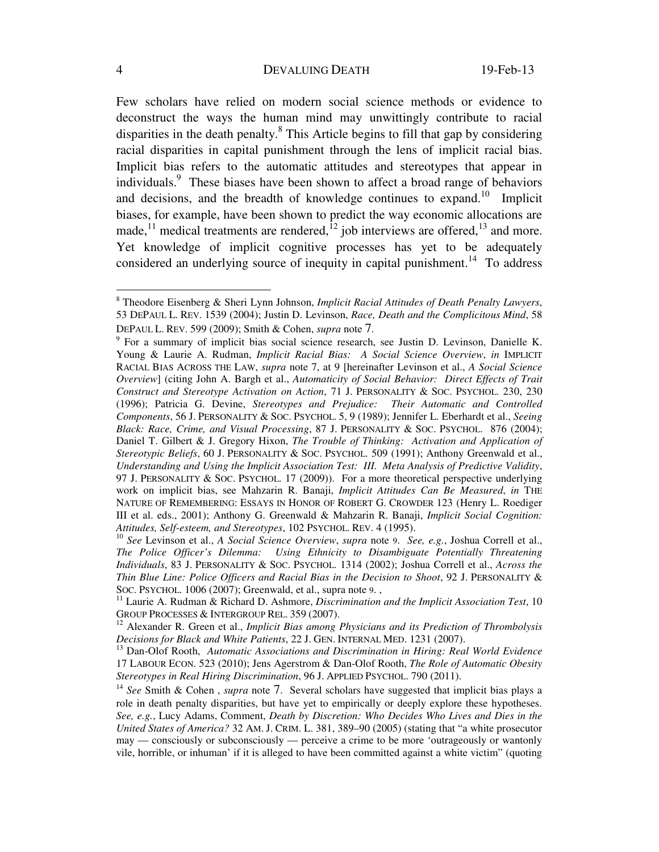Few scholars have relied on modern social science methods or evidence to deconstruct the ways the human mind may unwittingly contribute to racial disparities in the death penalty.<sup>8</sup> This Article begins to fill that gap by considering racial disparities in capital punishment through the lens of implicit racial bias. Implicit bias refers to the automatic attitudes and stereotypes that appear in individuals.<sup>9</sup> These biases have been shown to affect a broad range of behaviors and decisions, and the breadth of knowledge continues to expand.<sup>10</sup> Implicit biases, for example, have been shown to predict the way economic allocations are made,<sup>11</sup> medical treatments are rendered, $^{12}$  job interviews are offered, $^{13}$  and more. Yet knowledge of implicit cognitive processes has yet to be adequately considered an underlying source of inequity in capital punishment.<sup>14</sup> To address

 8 Theodore Eisenberg & Sheri Lynn Johnson, *Implicit Racial Attitudes of Death Penalty Lawyers*, 53 DEPAUL L. REV. 1539 (2004); Justin D. Levinson, *Race, Death and the Complicitous Mind*, 58 DEPAUL L. REV. 599 (2009); Smith & Cohen, *supra* note 7. 9

For a summary of implicit bias social science research, see Justin D. Levinson, Danielle K. Young & Laurie A. Rudman, *Implicit Racial Bias: A Social Science Overview*, *in* IMPLICIT RACIAL BIAS ACROSS THE LAW, *supra* note 7, at 9 [hereinafter Levinson et al., *A Social Science Overview*] (citing John A. Bargh et al., *Automaticity of Social Behavior: Direct Effects of Trait Construct and Stereotype Activation on Action*, 71 J. PERSONALITY & SOC. PSYCHOL. 230, 230 (1996); Patricia G. Devine, *Stereotypes and Prejudice: Their Automatic and Controlled Components*, 56 J. PERSONALITY & SOC. PSYCHOL. 5, 9 (1989); Jennifer L. Eberhardt et al., *Seeing Black: Race, Crime, and Visual Processing*, 87 J. PERSONALITY & SOC. PSYCHOL. 876 (2004); Daniel T. Gilbert & J. Gregory Hixon, *The Trouble of Thinking: Activation and Application of Stereotypic Beliefs*, 60 J. PERSONALITY & SOC. PSYCHOL. 509 (1991); Anthony Greenwald et al., *Understanding and Using the Implicit Association Test: III. Meta Analysis of Predictive Validity*, 97 J. PERSONALITY & SOC. PSYCHOL. 17 (2009)). For a more theoretical perspective underlying work on implicit bias, see Mahzarin R. Banaji, *Implicit Attitudes Can Be Measured*, *in* THE NATURE OF REMEMBERING: ESSAYS IN HONOR OF ROBERT G. CROWDER 123 (Henry L. Roediger III et al. eds., 2001); Anthony G. Greenwald & Mahzarin R. Banaji, *Implicit Social Cognition:* 

<sup>&</sup>lt;sup>10</sup> See Levinson et al., *A Social Science Overview, supra* note 9. *See, e.g.*, Joshua Correll et al., *The Police Officer's Dilemma: Using Ethnicity to Disambiguate Potentially Threatening Individuals*, 83 J. PERSONALITY & SOC. PSYCHOL. 1314 (2002); Joshua Correll et al., *Across the Thin Blue Line: Police Officers and Racial Bias in the Decision to Shoot*, 92 J. PERSONALITY & SOC. PSYCHOL. 1006 (2007); Greenwald, et al., supra note 9. , 11 Laurie Association *Test*, 10<sup>11</sup> Laurie A. Rudman & Richard D. Ashmore, *Discrimination and the Implicit Association Test*, 10<sup>1</sup>

GROUP PROCESSES & INTERGROUP REL. 359 (2007).<br><sup>12</sup> Alexander R. Green et al., *Implicit Bias among Physicians and its Prediction of Thrombolysis Decisions for Black and White Patients, 22 J. GEN. INTERNAL MED. 1231 (2007).* 

<sup>&</sup>lt;sup>13</sup> Dan-Olof Rooth, Automatic Associations and Discrimination in Hiring: Real World Evidence 17 LABOUR ECON. 523 (2010); Jens Agerstrom & Dan-Olof Rooth, *The Role of Automatic Obesity* 

<sup>&</sup>lt;sup>14</sup> See Smith & Cohen, *supra* note 7. Several scholars have suggested that implicit bias plays a role in death penalty disparities, but have yet to empirically or deeply explore these hypotheses. *See, e.g.*, Lucy Adams, Comment, *Death by Discretion: Who Decides Who Lives and Dies in the United States of America?* 32 AM. J. CRIM. L. 381, 389–90 (2005) (stating that "a white prosecutor may — consciously or subconsciously — perceive a crime to be more 'outrageously or wantonly vile, horrible, or inhuman' if it is alleged to have been committed against a white victim" (quoting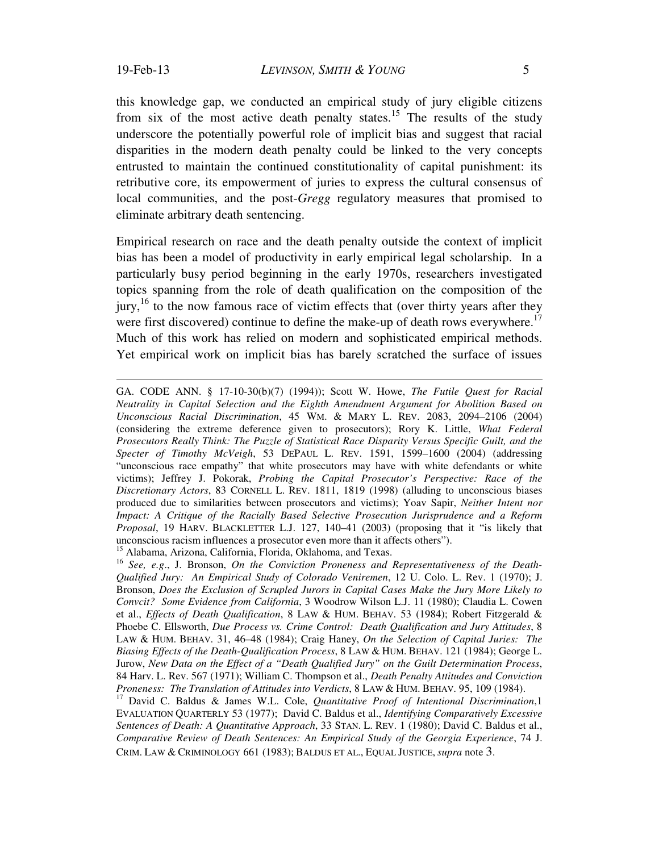$\overline{a}$ 

this knowledge gap, we conducted an empirical study of jury eligible citizens from six of the most active death penalty states.<sup>15</sup> The results of the study underscore the potentially powerful role of implicit bias and suggest that racial disparities in the modern death penalty could be linked to the very concepts entrusted to maintain the continued constitutionality of capital punishment: its retributive core, its empowerment of juries to express the cultural consensus of local communities, and the post-*Gregg* regulatory measures that promised to eliminate arbitrary death sentencing.

Empirical research on race and the death penalty outside the context of implicit bias has been a model of productivity in early empirical legal scholarship. In a particularly busy period beginning in the early 1970s, researchers investigated topics spanning from the role of death qualification on the composition of the  $j$ ury,<sup>16</sup> to the now famous race of victim effects that (over thirty years after they were first discovered) continue to define the make-up of death rows everywhere.<sup>17</sup> Much of this work has relied on modern and sophisticated empirical methods. Yet empirical work on implicit bias has barely scratched the surface of issues

GA. CODE ANN. § 17-10-30(b)(7) (1994)); Scott W. Howe, *The Futile Quest for Racial Neutrality in Capital Selection and the Eighth Amendment Argument for Abolition Based on Unconscious Racial Discrimination*, 45 WM. & MARY L. REV. 2083, 2094–2106 (2004) (considering the extreme deference given to prosecutors); Rory K. Little, *What Federal Prosecutors Really Think: The Puzzle of Statistical Race Disparity Versus Specific Guilt, and the Specter of Timothy McVeigh*, 53 DEPAUL L. REV. 1591, 1599–1600 (2004) (addressing "unconscious race empathy" that white prosecutors may have with white defendants or white victims); Jeffrey J. Pokorak, *Probing the Capital Prosecutor's Perspective: Race of the Discretionary Actors*, 83 CORNELL L. REV. 1811, 1819 (1998) (alluding to unconscious biases produced due to similarities between prosecutors and victims); Yoav Sapir, *Neither Intent nor Impact: A Critique of the Racially Based Selective Prosecution Jurisprudence and a Reform Proposal*, 19 HARV. BLACKLETTER L.J. 127, 140–41 (2003) (proposing that it "is likely that unconscious racism influences a prosecutor even more than it affects others").

<sup>15</sup> Alabama, Arizona, California, Florida, Oklahoma, and Texas.

<sup>16</sup> *See, e.g*., J. Bronson, *On the Conviction Proneness and Representativeness of the Death-Qualified Jury: An Empirical Study of Colorado Veniremen*, 12 U. Colo. L. Rev. 1 (1970); J. Bronson, *Does the Exclusion of Scrupled Jurors in Capital Cases Make the Jury More Likely to Convcit? Some Evidence from California*, 3 Woodrow Wilson L.J. 11 (1980); Claudia L. Cowen et al., *Effects of Death Qualification*, 8 LAW & HUM. BEHAV. 53 (1984); Robert Fitzgerald & Phoebe C. Ellsworth, *Due Process vs. Crime Control: Death Qualification and Jury Attitudes*, 8 LAW & HUM. BEHAV. 31, 46–48 (1984); Craig Haney, *On the Selection of Capital Juries: The Biasing Effects of the Death-Qualification Process*, 8 LAW & HUM. BEHAV. 121 (1984); George L. Jurow, *New Data on the Effect of a "Death Qualified Jury" on the Guilt Determination Process*, 84 Harv. L. Rev. 567 (1971); William C. Thompson et al., *Death Penalty Attitudes and Conviction Proneness: The Translation of Attitudes into Verdicts*, 8 LAW & HUM. BEHAV. 95, 109 (1984). <sup>17</sup> David C. Baldus & James W.L. Cole, *Quantitative Proof of Intentional Discrimination*,1

EVALUATION QUARTERLY 53 (1977); David C. Baldus et al., *Identifying Comparatively Excessive Sentences of Death: A Quantitative Approach*, 33 STAN. L. REV. 1 (1980); David C. Baldus et al., *Comparative Review of Death Sentences: An Empirical Study of the Georgia Experience*, 74 J. CRIM. LAW & CRIMINOLOGY 661 (1983); BALDUS ET AL., EQUAL JUSTICE, *supra* note 3.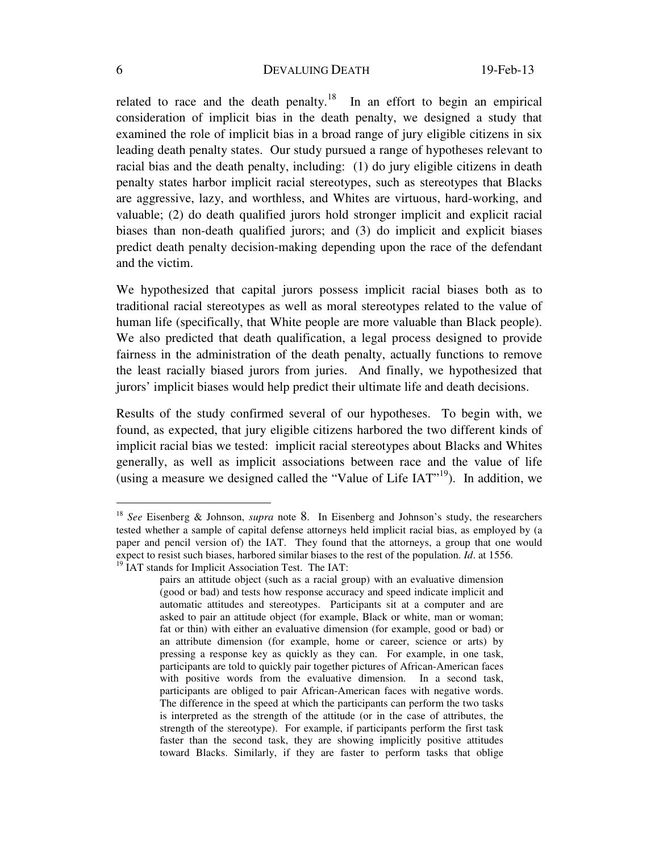related to race and the death penalty.<sup>18</sup> In an effort to begin an empirical consideration of implicit bias in the death penalty, we designed a study that examined the role of implicit bias in a broad range of jury eligible citizens in six leading death penalty states. Our study pursued a range of hypotheses relevant to racial bias and the death penalty, including: (1) do jury eligible citizens in death penalty states harbor implicit racial stereotypes, such as stereotypes that Blacks are aggressive, lazy, and worthless, and Whites are virtuous, hard-working, and valuable; (2) do death qualified jurors hold stronger implicit and explicit racial biases than non-death qualified jurors; and (3) do implicit and explicit biases predict death penalty decision-making depending upon the race of the defendant and the victim.

We hypothesized that capital jurors possess implicit racial biases both as to traditional racial stereotypes as well as moral stereotypes related to the value of human life (specifically, that White people are more valuable than Black people). We also predicted that death qualification, a legal process designed to provide fairness in the administration of the death penalty, actually functions to remove the least racially biased jurors from juries. And finally, we hypothesized that jurors' implicit biases would help predict their ultimate life and death decisions.

Results of the study confirmed several of our hypotheses. To begin with, we found, as expected, that jury eligible citizens harbored the two different kinds of implicit racial bias we tested: implicit racial stereotypes about Blacks and Whites generally, as well as implicit associations between race and the value of life (using a measure we designed called the "Value of Life  $IAT$ "<sup>19</sup>). In addition, we

<sup>18</sup> *See* Eisenberg & Johnson, *supra* note 8. In Eisenberg and Johnson's study, the researchers tested whether a sample of capital defense attorneys held implicit racial bias, as employed by (a paper and pencil version of) the IAT. They found that the attorneys, a group that one would expect to resist such biases, harbored similar biases to the rest of the population. *Id*. at 1556. <sup>19</sup> IAT stands for Implicit Association Test. The IAT:

pairs an attitude object (such as a racial group) with an evaluative dimension (good or bad) and tests how response accuracy and speed indicate implicit and automatic attitudes and stereotypes. Participants sit at a computer and are asked to pair an attitude object (for example, Black or white, man or woman; fat or thin) with either an evaluative dimension (for example, good or bad) or an attribute dimension (for example, home or career, science or arts) by pressing a response key as quickly as they can. For example, in one task, participants are told to quickly pair together pictures of African-American faces with positive words from the evaluative dimension. In a second task, participants are obliged to pair African-American faces with negative words. The difference in the speed at which the participants can perform the two tasks is interpreted as the strength of the attitude (or in the case of attributes, the strength of the stereotype). For example, if participants perform the first task faster than the second task, they are showing implicitly positive attitudes toward Blacks. Similarly, if they are faster to perform tasks that oblige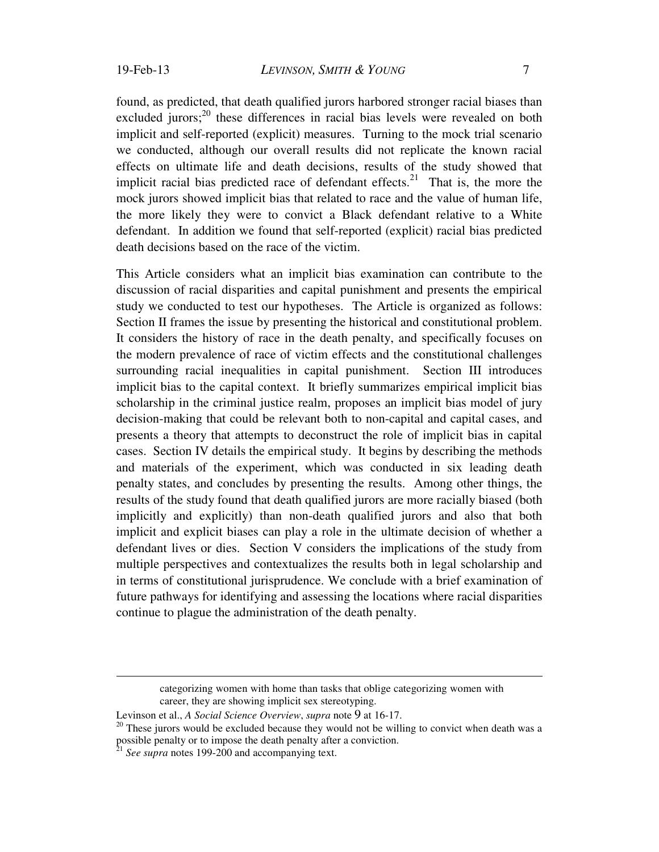found, as predicted, that death qualified jurors harbored stronger racial biases than excluded jurors; $^{20}$  these differences in racial bias levels were revealed on both implicit and self-reported (explicit) measures. Turning to the mock trial scenario we conducted, although our overall results did not replicate the known racial effects on ultimate life and death decisions, results of the study showed that implicit racial bias predicted race of defendant effects.<sup>21</sup> That is, the more the mock jurors showed implicit bias that related to race and the value of human life, the more likely they were to convict a Black defendant relative to a White defendant. In addition we found that self-reported (explicit) racial bias predicted death decisions based on the race of the victim.

This Article considers what an implicit bias examination can contribute to the discussion of racial disparities and capital punishment and presents the empirical study we conducted to test our hypotheses. The Article is organized as follows: Section II frames the issue by presenting the historical and constitutional problem. It considers the history of race in the death penalty, and specifically focuses on the modern prevalence of race of victim effects and the constitutional challenges surrounding racial inequalities in capital punishment. Section III introduces implicit bias to the capital context. It briefly summarizes empirical implicit bias scholarship in the criminal justice realm, proposes an implicit bias model of jury decision-making that could be relevant both to non-capital and capital cases, and presents a theory that attempts to deconstruct the role of implicit bias in capital cases. Section IV details the empirical study. It begins by describing the methods and materials of the experiment, which was conducted in six leading death penalty states, and concludes by presenting the results. Among other things, the results of the study found that death qualified jurors are more racially biased (both implicitly and explicitly) than non-death qualified jurors and also that both implicit and explicit biases can play a role in the ultimate decision of whether a defendant lives or dies. Section V considers the implications of the study from multiple perspectives and contextualizes the results both in legal scholarship and in terms of constitutional jurisprudence. We conclude with a brief examination of future pathways for identifying and assessing the locations where racial disparities continue to plague the administration of the death penalty.

categorizing women with home than tasks that oblige categorizing women with career, they are showing implicit sex stereotyping.

Levinson et al., *A Social Science Overview*, *supra* note 9 at 16-17.<br><sup>20</sup> These jurors would be excluded because they would not be willing to convict when death was a possible penalty or to impose the death penalty after a conviction.<br><sup>21</sup> *See supra* notes 199-200 and accompanying text.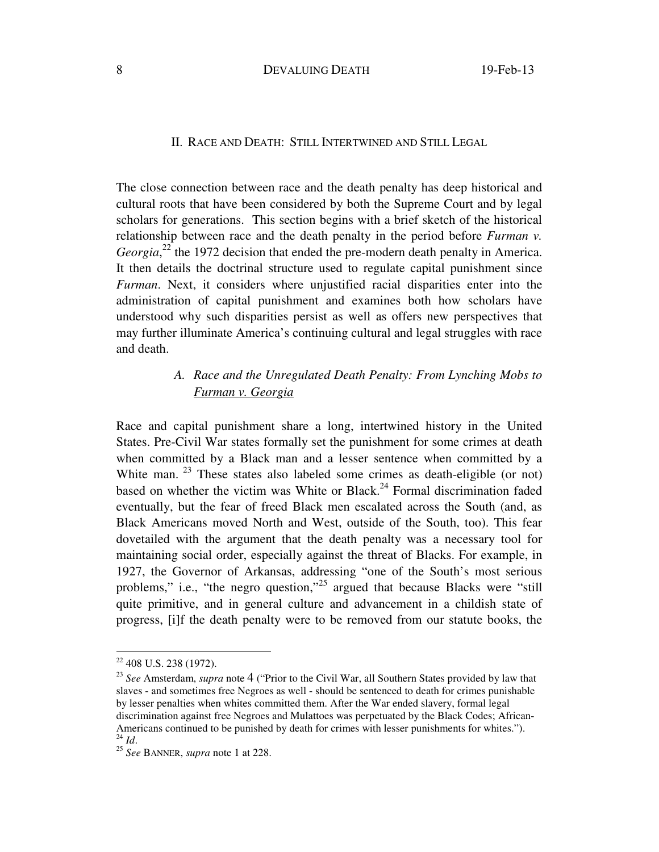## II. RACE AND DEATH: STILL INTERTWINED AND STILL LEGAL

The close connection between race and the death penalty has deep historical and cultural roots that have been considered by both the Supreme Court and by legal scholars for generations. This section begins with a brief sketch of the historical relationship between race and the death penalty in the period before *Furman v.*  Georgia,<sup>22</sup> the 1972 decision that ended the pre-modern death penalty in America. It then details the doctrinal structure used to regulate capital punishment since *Furman*. Next, it considers where unjustified racial disparities enter into the administration of capital punishment and examines both how scholars have understood why such disparities persist as well as offers new perspectives that may further illuminate America's continuing cultural and legal struggles with race and death.

## *A. Race and the Unregulated Death Penalty: From Lynching Mobs to Furman v. Georgia*

Race and capital punishment share a long, intertwined history in the United States. Pre-Civil War states formally set the punishment for some crimes at death when committed by a Black man and a lesser sentence when committed by a White man. <sup>23</sup> These states also labeled some crimes as death-eligible (or not) based on whether the victim was White or Black.<sup>24</sup> Formal discrimination faded eventually, but the fear of freed Black men escalated across the South (and, as Black Americans moved North and West, outside of the South, too). This fear dovetailed with the argument that the death penalty was a necessary tool for maintaining social order, especially against the threat of Blacks. For example, in 1927, the Governor of Arkansas, addressing "one of the South's most serious problems," i.e., "the negro question,"<sup>25</sup> argued that because Blacks were "still quite primitive, and in general culture and advancement in a childish state of progress, [i]f the death penalty were to be removed from our statute books, the

 $22$  408 U.S. 238 (1972).

<sup>23</sup> *See* Amsterdam, *supra* note 4 ("Prior to the Civil War, all Southern States provided by law that slaves - and sometimes free Negroes as well - should be sentenced to death for crimes punishable by lesser penalties when whites committed them. After the War ended slavery, formal legal discrimination against free Negroes and Mulattoes was perpetuated by the Black Codes; African-Americans continued to be punished by death for crimes with lesser punishments for whites.").<br><sup>24</sup> *Id.* <sup>25</sup> *See* BANNER, *supra* note 1 at 228.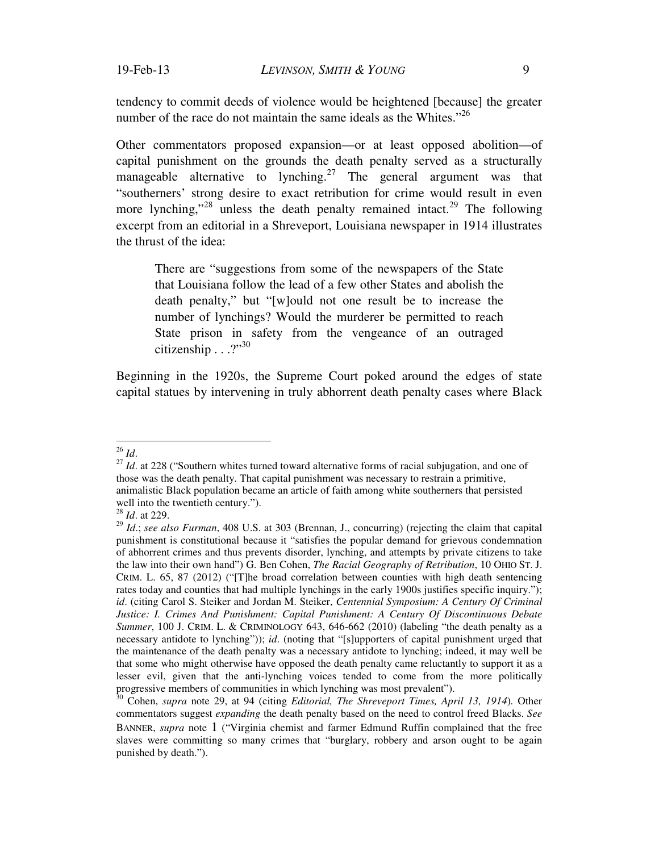tendency to commit deeds of violence would be heightened [because] the greater number of the race do not maintain the same ideals as the Whites."<sup>26</sup>

Other commentators proposed expansion—or at least opposed abolition—of capital punishment on the grounds the death penalty served as a structurally manageable alternative to lynching.<sup>27</sup> The general argument was that "southerners' strong desire to exact retribution for crime would result in even more lynching,"<sup>28</sup> unless the death penalty remained intact.<sup>29</sup> The following excerpt from an editorial in a Shreveport, Louisiana newspaper in 1914 illustrates the thrust of the idea:

There are "suggestions from some of the newspapers of the State that Louisiana follow the lead of a few other States and abolish the death penalty," but "[w]ould not one result be to increase the number of lynchings? Would the murderer be permitted to reach State prison in safety from the vengeance of an outraged citizenship  $\ldots$ ?"<sup>30</sup>

Beginning in the 1920s, the Supreme Court poked around the edges of state capital statues by intervening in truly abhorrent death penalty cases where Black

 $26$  *Id.* 

<sup>&</sup>lt;sup>27</sup> *Id*. at 228 ("Southern whites turned toward alternative forms of racial subjugation, and one of those was the death penalty. That capital punishment was necessary to restrain a primitive, animalistic Black population became an article of faith among white southerners that persisted well into the twentieth century.").

<sup>28</sup> *Id*. at 229.

<sup>29</sup> *Id*.; *see also Furman*, 408 U.S. at 303 (Brennan, J., concurring) (rejecting the claim that capital punishment is constitutional because it "satisfies the popular demand for grievous condemnation of abhorrent crimes and thus prevents disorder, lynching, and attempts by private citizens to take the law into their own hand") G. Ben Cohen, *The Racial Geography of Retribution*, 10 OHIO ST. J. CRIM. L. 65, 87 (2012) ("[T]he broad correlation between counties with high death sentencing rates today and counties that had multiple lynchings in the early 1900s justifies specific inquiry."); *id*. (citing Carol S. Steiker and Jordan M. Steiker, *Centennial Symposium: A Century Of Criminal Justice: I. Crimes And Punishment: Capital Punishment: A Century Of Discontinuous Debate Summer*, 100 J. CRIM. L. & CRIMINOLOGY 643, 646-662 (2010) (labeling "the death penalty as a necessary antidote to lynching")); *id*. (noting that "[s]upporters of capital punishment urged that the maintenance of the death penalty was a necessary antidote to lynching; indeed, it may well be that some who might otherwise have opposed the death penalty came reluctantly to support it as a lesser evil, given that the anti-lynching voices tended to come from the more politically progressive members of communities in which lynching was most prevalent").<br><sup>30</sup> Cohen, *supra* note 29, at 94 (citing *Editorial, The Shreveport Times, April 13, 1914*). Other

commentators suggest *expanding* the death penalty based on the need to control freed Blacks. *See*  BANNER, *supra* note 1 ("Virginia chemist and farmer Edmund Ruffin complained that the free slaves were committing so many crimes that "burglary, robbery and arson ought to be again punished by death.").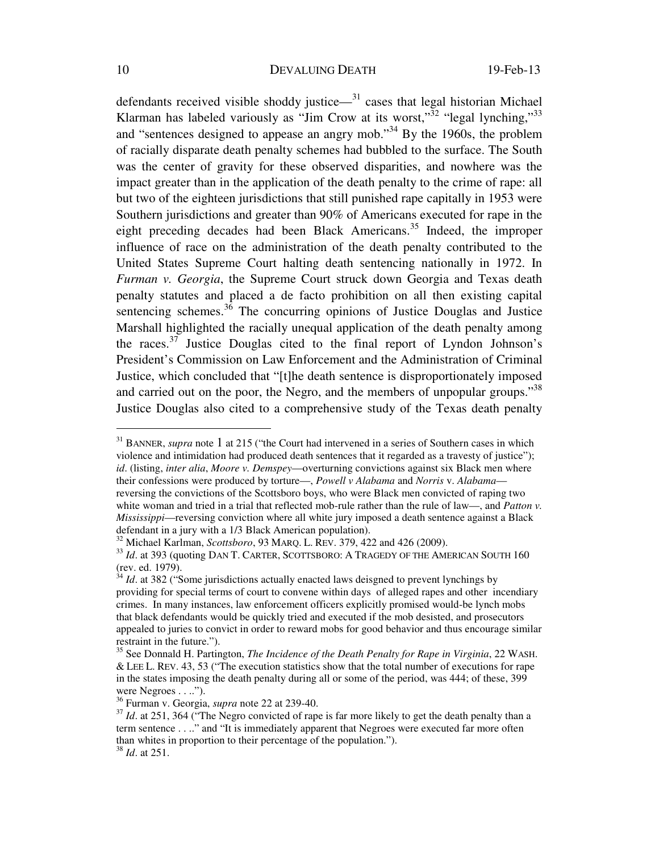defendants received visible shoddy justice— $31$  cases that legal historian Michael Klarman has labeled variously as "Jim Crow at its worst,"<sup>32</sup> "legal lynching,"<sup>33</sup> and "sentences designed to appease an angry mob."34 By the 1960s, the problem of racially disparate death penalty schemes had bubbled to the surface. The South was the center of gravity for these observed disparities, and nowhere was the impact greater than in the application of the death penalty to the crime of rape: all but two of the eighteen jurisdictions that still punished rape capitally in 1953 were Southern jurisdictions and greater than 90% of Americans executed for rape in the eight preceding decades had been Black Americans.<sup>35</sup> Indeed, the improper influence of race on the administration of the death penalty contributed to the United States Supreme Court halting death sentencing nationally in 1972. In *Furman v. Georgia*, the Supreme Court struck down Georgia and Texas death penalty statutes and placed a de facto prohibition on all then existing capital sentencing schemes. $36$  The concurring opinions of Justice Douglas and Justice Marshall highlighted the racially unequal application of the death penalty among the races. $37$  Justice Douglas cited to the final report of Lyndon Johnson's President's Commission on Law Enforcement and the Administration of Criminal Justice, which concluded that "[t]he death sentence is disproportionately imposed and carried out on the poor, the Negro, and the members of unpopular groups."<sup>38</sup> Justice Douglas also cited to a comprehensive study of the Texas death penalty

<sup>&</sup>lt;sup>31</sup> BANNER, *supra* note 1 at 215 ("the Court had intervened in a series of Southern cases in which violence and intimidation had produced death sentences that it regarded as a travesty of justice"); *id*. (listing, *inter alia*, *Moore v. Demspey*—overturning convictions against six Black men where their confessions were produced by torture—, *Powell v Alabama* and *Norris* v. *Alabama* reversing the convictions of the Scottsboro boys, who were Black men convicted of raping two white woman and tried in a trial that reflected mob-rule rather than the rule of law—, and *Patton v. Mississippi*—reversing conviction where all white jury imposed a death sentence against a Black

defendant in a jury with a 1/3 Black American population).<br><sup>32</sup> Michael Karlman, *Scottsboro*, 93 MARQ. L. REV. 379, 422 and 426 (2009).<br><sup>33</sup> Id. at 393 (quoting DAN T. CARTER, SCOTTSBORO: A TRAGEDY OF THE AMERICAN SOUTH 1 (rev. ed. 1979).

Id. at 382 ("Some jurisdictions actually enacted laws deisgned to prevent lynchings by providing for special terms of court to convene within days of alleged rapes and other incendiary crimes. In many instances, law enforcement officers explicitly promised would-be lynch mobs that black defendants would be quickly tried and executed if the mob desisted, and prosecutors appealed to juries to convict in order to reward mobs for good behavior and thus encourage similar restraint in the future.").

<sup>35</sup> See Donnald H. Partington, *The Incidence of the Death Penalty for Rape in Virginia*, 22 WASH. & LEE L. REV. 43, 53 ("The execution statistics show that the total number of executions for rape in the states imposing the death penalty during all or some of the period, was 444; of these, 399 were Negroes . . ..").<br> $36$  Furman v. Georgia, *supra* note 22 at 239-40.

<sup>&</sup>lt;sup>37</sup> Id. at 251, 364 ("The Negro convicted of rape is far more likely to get the death penalty than a term sentence . . .." and "It is immediately apparent that Negroes were executed far more often than whites in proportion to their percentage of the population."). 38 *Id*. at 251.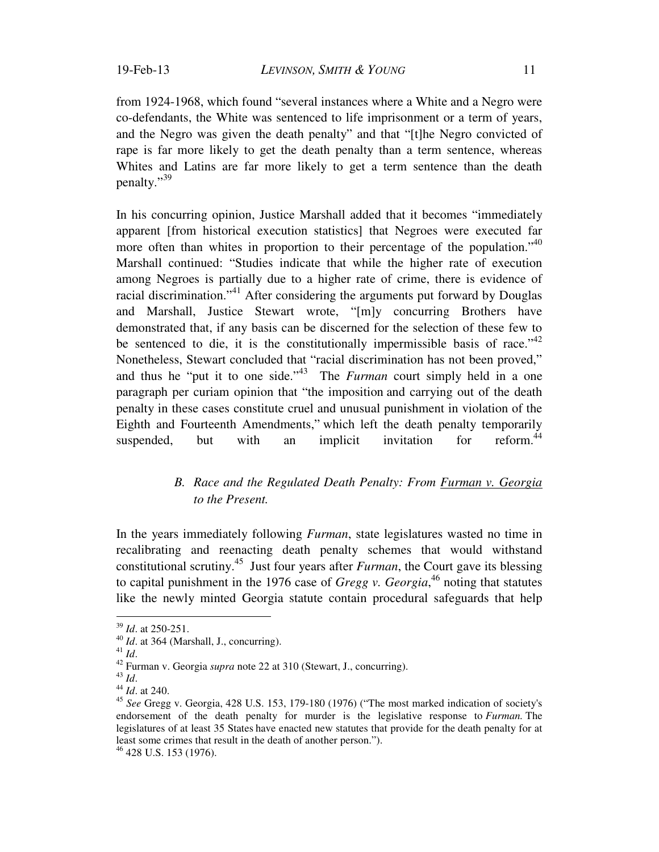from 1924-1968, which found "several instances where a White and a Negro were co-defendants, the White was sentenced to life imprisonment or a term of years, and the Negro was given the death penalty" and that "[t]he Negro convicted of rape is far more likely to get the death penalty than a term sentence, whereas Whites and Latins are far more likely to get a term sentence than the death penalty."39

In his concurring opinion, Justice Marshall added that it becomes "immediately apparent [from historical execution statistics] that Negroes were executed far more often than whites in proportion to their percentage of the population.<sup> $40$ </sup> Marshall continued: "Studies indicate that while the higher rate of execution among Negroes is partially due to a higher rate of crime, there is evidence of racial discrimination."<sup>41</sup> After considering the arguments put forward by Douglas and Marshall, Justice Stewart wrote, "[m]y concurring Brothers have demonstrated that, if any basis can be discerned for the selection of these few to be sentenced to die, it is the constitutionally impermissible basis of race." $42$ Nonetheless, Stewart concluded that "racial discrimination has not been proved," and thus he "put it to one side."<sup>43</sup> The *Furman* court simply held in a one paragraph per curiam opinion that "the imposition and carrying out of the death penalty in these cases constitute cruel and unusual punishment in violation of the Eighth and Fourteenth Amendments," which left the death penalty temporarily suspended, but with an implicit invitation for reform $44$ 

## *B. Race and the Regulated Death Penalty: From Furman v. Georgia to the Present.*

In the years immediately following *Furman*, state legislatures wasted no time in recalibrating and reenacting death penalty schemes that would withstand constitutional scrutiny.45 Just four years after *Furman*, the Court gave its blessing to capital punishment in the 1976 case of *Gregg v. Georgia*, 46 noting that statutes like the newly minted Georgia statute contain procedural safeguards that help

46 428 U.S. 153 (1976).

 $39$  *Id.* at 250-251.

<sup>39</sup> *Id*. at 250-251. 40 *Id*. at 364 (Marshall, J., concurring). 41 *Id*. 42 Furman v. Georgia *supra* note 22 at 310 (Stewart, J., concurring). 43 *Id*. 44 *Id*. at 240.

<sup>45</sup> *See* Gregg v. Georgia, 428 U.S. 153, 179-180 (1976) ("The most marked indication of society's endorsement of the death penalty for murder is the legislative response to *Furman.* The legislatures of at least 35 States have enacted new statutes that provide for the death penalty for at least some crimes that result in the death of another person.").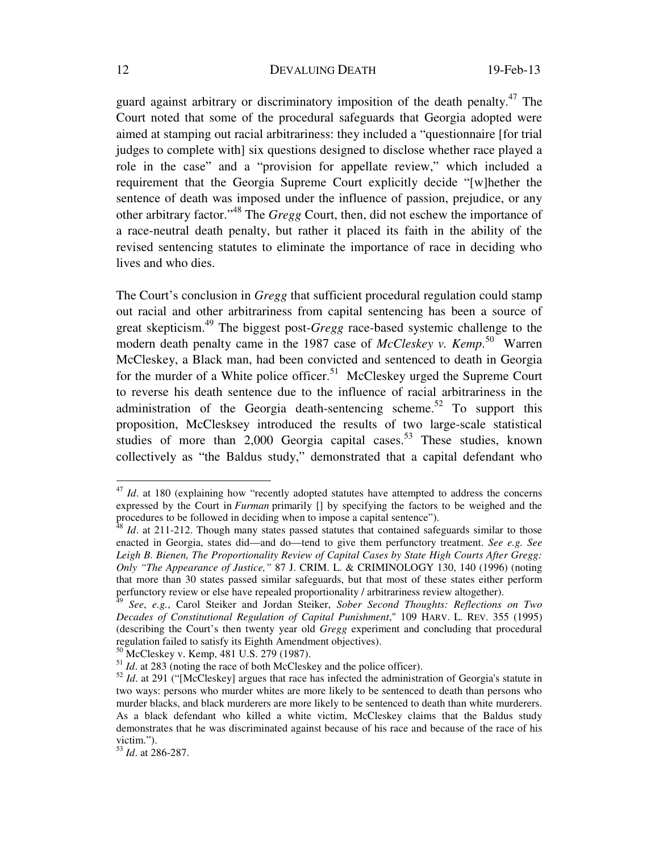guard against arbitrary or discriminatory imposition of the death penalty.<sup>47</sup> The Court noted that some of the procedural safeguards that Georgia adopted were aimed at stamping out racial arbitrariness: they included a "questionnaire [for trial judges to complete with] six questions designed to disclose whether race played a role in the case" and a "provision for appellate review," which included a requirement that the Georgia Supreme Court explicitly decide "[w]hether the sentence of death was imposed under the influence of passion, prejudice, or any other arbitrary factor."48 The *Gregg* Court, then, did not eschew the importance of a race-neutral death penalty, but rather it placed its faith in the ability of the revised sentencing statutes to eliminate the importance of race in deciding who lives and who dies.

The Court's conclusion in *Gregg* that sufficient procedural regulation could stamp out racial and other arbitrariness from capital sentencing has been a source of great skepticism.49 The biggest post-*Gregg* race-based systemic challenge to the modern death penalty came in the 1987 case of *McCleskey v. Kemp*. 50 Warren McCleskey, a Black man, had been convicted and sentenced to death in Georgia for the murder of a White police officer.<sup>51</sup> McCleskey urged the Supreme Court to reverse his death sentence due to the influence of racial arbitrariness in the administration of the Georgia death-sentencing scheme.<sup>52</sup> To support this proposition, McClesksey introduced the results of two large-scale statistical studies of more than  $2,000$  Georgia capital cases.<sup>53</sup> These studies, known collectively as "the Baldus study," demonstrated that a capital defendant who

50 McCleskey v. Kemp, 481 U.S. 279 (1987).

<sup>&</sup>lt;sup>47</sup> *Id*. at 180 (explaining how "recently adopted statutes have attempted to address the concerns expressed by the Court in *Furman* primarily [] by specifying the factors to be weighed and the procedures to be followed in deciding when to impose a capital sentence").<br><sup>48</sup> *Id*. at 211-212. Though many states passed statutes that contained safeguards similar to those

enacted in Georgia, states did—and do—tend to give them perfunctory treatment. *See e.g. See Leigh B. Bienen, The Proportionality Review of Capital Cases by State High Courts After Gregg: Only "The Appearance of Justice,"* 87 J. CRIM. L. & CRIMINOLOGY 130, 140 (1996) (noting that more than 30 states passed similar safeguards, but that most of these states either perform perfunctory review or else have repealed proportionality / arbitrariness review altogether).

<sup>49</sup> *See*, *e.g.*, Carol Steiker and Jordan Steiker, *Sober Second Thoughts: Reflections on Two Decades of Constitutional Regulation of Capital Punishment*," 109 HARV. L. REV. 355 (1995) (describing the Court's then twenty year old *Gregg* experiment and concluding that procedural regulation failed to satisfy its Eighth Amendment objectives).

<sup>&</sup>lt;sup>51</sup> *Id.* at 283 (noting the race of both McCleskey and the police officer).

<sup>&</sup>lt;sup>52</sup> *Id.* at 291 ("[McCleskey] argues that race has infected the administration of Georgia's statute in two ways: persons who murder whites are more likely to be sentenced to death than persons who murder blacks, and black murderers are more likely to be sentenced to death than white murderers. As a black defendant who killed a white victim, McCleskey claims that the Baldus study demonstrates that he was discriminated against because of his race and because of the race of his victim.").

<sup>53</sup> *Id*. at 286-287.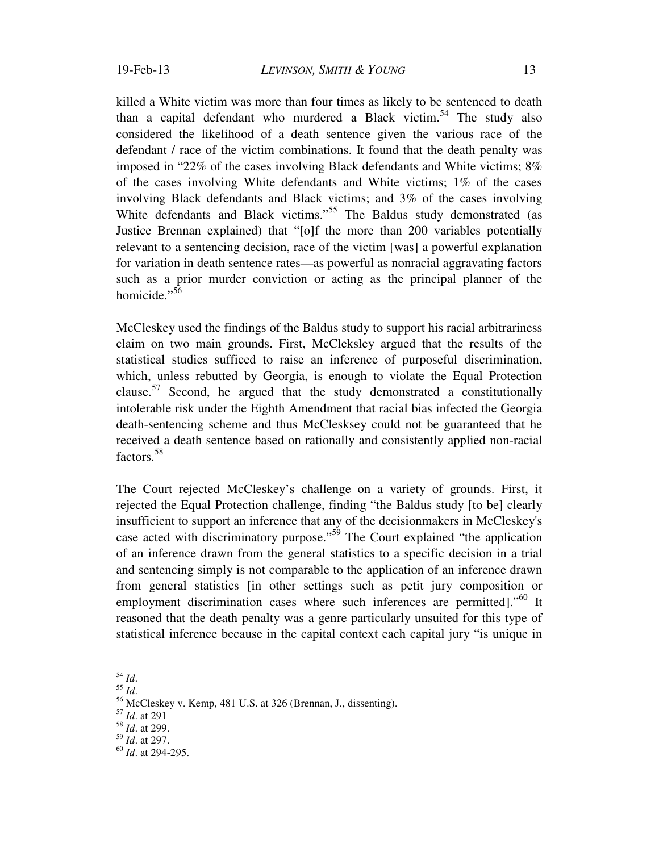killed a White victim was more than four times as likely to be sentenced to death than a capital defendant who murdered a Black victim.<sup>54</sup> The study also considered the likelihood of a death sentence given the various race of the defendant / race of the victim combinations. It found that the death penalty was imposed in "22% of the cases involving Black defendants and White victims; 8% of the cases involving White defendants and White victims; 1% of the cases involving Black defendants and Black victims; and 3% of the cases involving White defendants and Black victims."<sup>55</sup> The Baldus study demonstrated (as Justice Brennan explained) that "[o]f the more than 200 variables potentially relevant to a sentencing decision, race of the victim [was] a powerful explanation for variation in death sentence rates—as powerful as nonracial aggravating factors such as a prior murder conviction or acting as the principal planner of the homicide."<sup>56</sup>

McCleskey used the findings of the Baldus study to support his racial arbitrariness claim on two main grounds. First, McCleksley argued that the results of the statistical studies sufficed to raise an inference of purposeful discrimination, which, unless rebutted by Georgia, is enough to violate the Equal Protection clause.<sup>57</sup> Second, he argued that the study demonstrated a constitutionally intolerable risk under the Eighth Amendment that racial bias infected the Georgia death-sentencing scheme and thus McClesksey could not be guaranteed that he received a death sentence based on rationally and consistently applied non-racial factors.58

The Court rejected McCleskey's challenge on a variety of grounds. First, it rejected the Equal Protection challenge, finding "the Baldus study [to be] clearly insufficient to support an inference that any of the decisionmakers in McCleskey's case acted with discriminatory purpose."59 The Court explained "the application of an inference drawn from the general statistics to a specific decision in a trial and sentencing simply is not comparable to the application of an inference drawn from general statistics [in other settings such as petit jury composition or employment discrimination cases where such inferences are permitted]."<sup>60</sup> It reasoned that the death penalty was a genre particularly unsuited for this type of statistical inference because in the capital context each capital jury "is unique in

 $^{54}$   $\mathit{Id}.$ 

<sup>&</sup>lt;sup>55</sup> *Id.*<br><sup>56</sup> McCleskey v. Kemp, 481 U.S. at 326 (Brennan, J., dissenting).

<sup>57</sup> *Id*. at 291

<sup>58</sup> *Id*. at 299.

<sup>59</sup> *Id*. at 297.

<sup>60</sup> *Id*. at 294-295.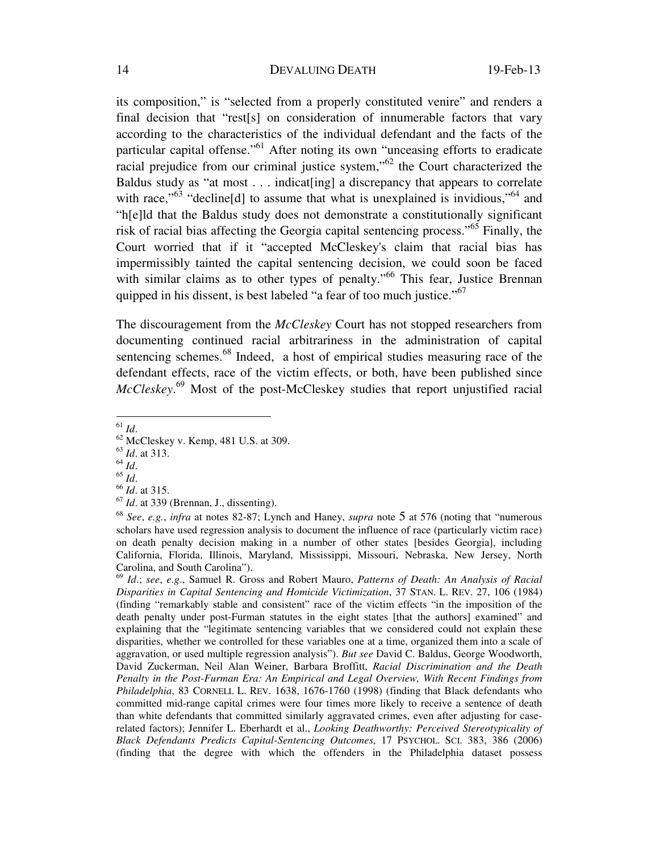its composition," is "selected from a properly constituted venire" and renders a final decision that "rest[s] on consideration of innumerable factors that vary according to the characteristics of the individual defendant and the facts of the particular capital offense."61 After noting its own "unceasing efforts to eradicate racial prejudice from our criminal justice system,"<sup>62</sup> the Court characterized the Baldus study as "at most . . . indicat[ing] a discrepancy that appears to correlate with race,"<sup>63</sup> "decline[d] to assume that what is unexplained is invidious,"<sup>64</sup> and "h[e]ld that the Baldus study does not demonstrate a constitutionally significant risk of racial bias affecting the Georgia capital sentencing process."65 Finally, the Court worried that if it "accepted McCleskey's claim that racial bias has impermissibly tainted the capital sentencing decision, we could soon be faced with similar claims as to other types of penalty."<sup>66</sup> This fear, Justice Brennan quipped in his dissent, is best labeled "a fear of too much justice."<sup>67</sup>

The discouragement from the *McCleskey* Court has not stopped researchers from documenting continued racial arbitrariness in the administration of capital sentencing schemes.<sup>68</sup> Indeed, a host of empirical studies measuring race of the defendant effects, race of the victim effects, or both, have been published since *McCleskey*. 69 Most of the post-McCleskey studies that report unjustified racial

 $61$   $Id.$ 

<sup>63</sup> *Id*. at 313.

- 
- 

<sup>&</sup>lt;sup>62</sup> McCleskey v. Kemp, 481 U.S. at 309.

<sup>64</sup> *Id*. 65 *Id*. 66 *Id*. at 315.

<sup>67</sup> *Id*. at 339 (Brennan, J., dissenting).

<sup>68</sup> *See*, *e.g.*, *infra* at notes 82-87; Lynch and Haney, *supra* note 5 at 576 (noting that "numerous scholars have used regression analysis to document the influence of race (particularly victim race) on death penalty decision making in a number of other states [besides Georgia], including California, Florida, Illinois, Maryland, Mississippi, Missouri, Nebraska, New Jersey, North Carolina, and South Carolina").

<sup>69</sup> *Id*.; *see*, *e.g*., Samuel R. Gross and Robert Mauro, *Patterns of Death: An Analysis of Racial Disparities in Capital Sentencing and Homicide Victimization*, 37 STAN. L. REV. 27, 106 (1984) (finding "remarkably stable and consistent" race of the victim effects "in the imposition of the death penalty under post-Furman statutes in the eight states [that the authors] examined" and explaining that the "legitimate sentencing variables that we considered could not explain these disparities, whether we controlled for these variables one at a time, organized them into a scale of aggravation, or used multiple regression analysis"). *But see* David C. Baldus, George Woodworth, David Zuckerman, Neil Alan Weiner, Barbara Broffitt, *Racial Discrimination and the Death Penalty in the Post-Furman Era: An Empirical and Legal Overview, With Recent Findings from Philadelphia*, 83 CORNELL L. REV. 1638, 1676-1760 (1998) (finding that Black defendants who committed mid-range capital crimes were four times more likely to receive a sentence of death than white defendants that committed similarly aggravated crimes, even after adjusting for caserelated factors); Jennifer L. Eberhardt et al., *Looking Deathworthy: Perceived Stereotypicality of Black Defendants Predicts Capital-Sentencing Outcomes*, 17 PSYCHOL. SCI. 383, 386 (2006) (finding that the degree with which the offenders in the Philadelphia dataset possess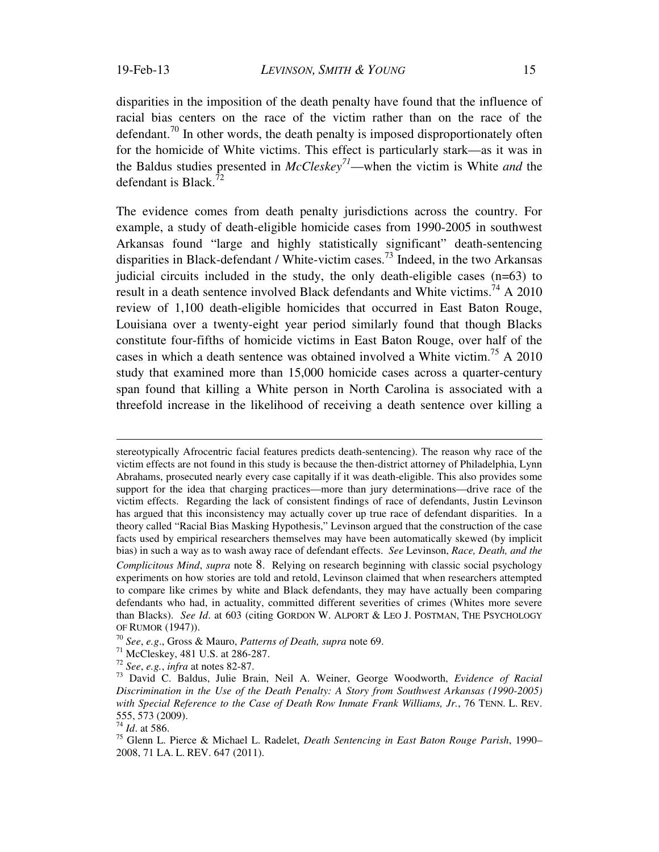disparities in the imposition of the death penalty have found that the influence of racial bias centers on the race of the victim rather than on the race of the defendant.<sup>70</sup> In other words, the death penalty is imposed disproportionately often for the homicide of White victims. This effect is particularly stark—as it was in the Baldus studies presented in *McCleskey<sup>71</sup>*—when the victim is White *and* the defendant is Black. $^{72}$ 

The evidence comes from death penalty jurisdictions across the country. For example, a study of death-eligible homicide cases from 1990-2005 in southwest Arkansas found "large and highly statistically significant" death-sentencing disparities in Black-defendant / White-victim cases. 73 Indeed, in the two Arkansas judicial circuits included in the study, the only death-eligible cases (n=63) to result in a death sentence involved Black defendants and White victims.<sup>74</sup> A 2010 review of 1,100 death-eligible homicides that occurred in East Baton Rouge, Louisiana over a twenty-eight year period similarly found that though Blacks constitute four-fifths of homicide victims in East Baton Rouge, over half of the cases in which a death sentence was obtained involved a White victim.75 A 2010 study that examined more than 15,000 homicide cases across a quarter-century span found that killing a White person in North Carolina is associated with a threefold increase in the likelihood of receiving a death sentence over killing a

stereotypically Afrocentric facial features predicts death-sentencing). The reason why race of the victim effects are not found in this study is because the then-district attorney of Philadelphia, Lynn Abrahams, prosecuted nearly every case capitally if it was death-eligible. This also provides some support for the idea that charging practices—more than jury determinations—drive race of the victim effects. Regarding the lack of consistent findings of race of defendants, Justin Levinson has argued that this inconsistency may actually cover up true race of defendant disparities. In a theory called "Racial Bias Masking Hypothesis," Levinson argued that the construction of the case facts used by empirical researchers themselves may have been automatically skewed (by implicit bias) in such a way as to wash away race of defendant effects. *See* Levinson, *Race, Death, and the Complicitous Mind*, *supra* note 8. Relying on research beginning with classic social psychology experiments on how stories are told and retold, Levinson claimed that when researchers attempted to compare like crimes by white and Black defendants, they may have actually been comparing defendants who had, in actuality, committed different severities of crimes (Whites more severe than Blacks). *See Id*. at 603 (citing GORDON W. ALPORT & LEO J. POSTMAN, THE PSYCHOLOGY OF RUMOR (1947)).<br><sup>70</sup> *See*, *e.g.*, Gross & Mauro, *Patterns of Death, supra* note 69.<br><sup>71</sup> McCleskey, 481 U.S. at 286-287.<br><sup>72</sup> *See*, *e.g.*, *infra* at notes 82-87.

<sup>&</sup>lt;sup>73</sup> David C. Baldus, Julie Brain, Neil A. Weiner, George Woodworth, *Evidence of Racial Discrimination in the Use of the Death Penalty: A Story from Southwest Arkansas (1990-2005) with Special Reference to the Case of Death Row Inmate Frank Williams, Jr.*, 76 TENN. L. REV. 555, 573 (2009).

<sup>74</sup> *Id*. at 586.

<sup>75</sup> Glenn L. Pierce & Michael L. Radelet, *Death Sentencing in East Baton Rouge Parish*, 1990– 2008, 71 LA. L. REV. 647 (2011).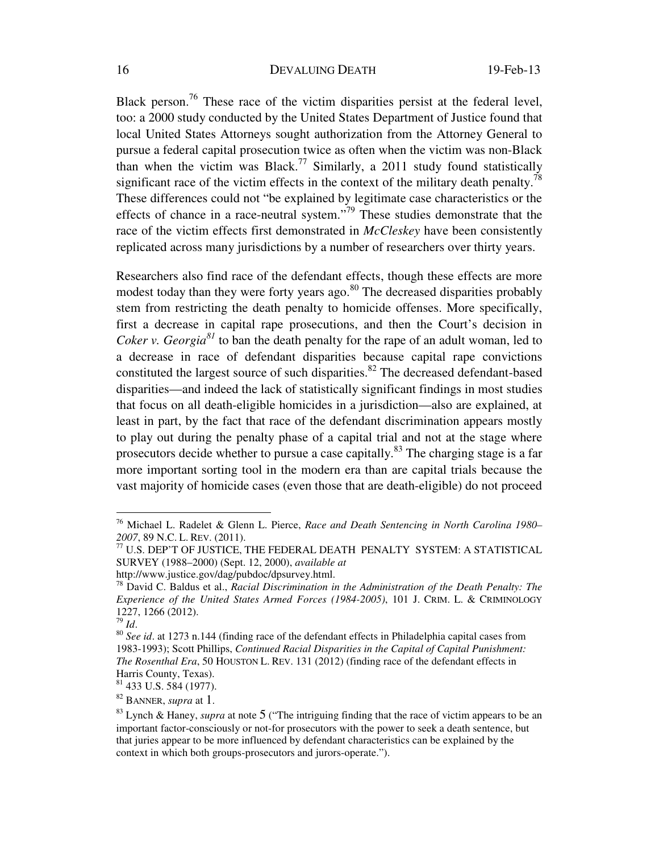Black person.<sup>76</sup> These race of the victim disparities persist at the federal level, too: a 2000 study conducted by the United States Department of Justice found that local United States Attorneys sought authorization from the Attorney General to pursue a federal capital prosecution twice as often when the victim was non-Black than when the victim was Black.<sup>77</sup> Similarly, a 2011 study found statistically significant race of the victim effects in the context of the military death penalty.<sup>78</sup> These differences could not "be explained by legitimate case characteristics or the effects of chance in a race-neutral system."79 These studies demonstrate that the race of the victim effects first demonstrated in *McCleskey* have been consistently replicated across many jurisdictions by a number of researchers over thirty years.

Researchers also find race of the defendant effects, though these effects are more modest today than they were forty years ago. $80$  The decreased disparities probably stem from restricting the death penalty to homicide offenses. More specifically, first a decrease in capital rape prosecutions, and then the Court's decision in *Coker v. Georgia*<sup>81</sup> to ban the death penalty for the rape of an adult woman, led to a decrease in race of defendant disparities because capital rape convictions constituted the largest source of such disparities.<sup>82</sup> The decreased defendant-based disparities—and indeed the lack of statistically significant findings in most studies that focus on all death-eligible homicides in a jurisdiction—also are explained, at least in part, by the fact that race of the defendant discrimination appears mostly to play out during the penalty phase of a capital trial and not at the stage where prosecutors decide whether to pursue a case capitally.<sup>83</sup> The charging stage is a far more important sorting tool in the modern era than are capital trials because the vast majority of homicide cases (even those that are death-eligible) do not proceed

<sup>76</sup> Michael L. Radelet & Glenn L. Pierce, *Race and Death Sentencing in North Carolina 1980–*

 $^{77}$  U.S. DEP'T OF JUSTICE, THE FEDERAL DEATH PENALTY SYSTEM: A STATISTICAL SURVEY (1988–2000) (Sept. 12, 2000), *available at*

http://www.justice.gov/dag/pubdoc/dpsurvey.html.

<sup>78</sup> David C. Baldus et al., *Racial Discrimination in the Administration of the Death Penalty: The Experience of the United States Armed Forces (1984-2005)*, 101 J. CRIM. L. & CRIMINOLOGY 1227, 1266 (2012).<br> $\frac{79}{10}$ Id.

<sup>79</sup> *Id*. 80 *See id*. at 1273 n.144 (finding race of the defendant effects in Philadelphia capital cases from 1983-1993); Scott Phillips, *Continued Racial Disparities in the Capital of Capital Punishment: The Rosenthal Era*, 50 HOUSTON L. REV. 131 (2012) (finding race of the defendant effects in Harris County, Texas).

 $81$  433 U.S. 584 (1977).

<sup>&</sup>lt;sup>82</sup> BANNER, *supra* at 1.<br><sup>83</sup> Lynch & Haney, *supra* at note 5 ("The intriguing finding that the race of victim appears to be an important factor-consciously or not-for prosecutors with the power to seek a death sentence, but that juries appear to be more influenced by defendant characteristics can be explained by the context in which both groups-prosecutors and jurors-operate.").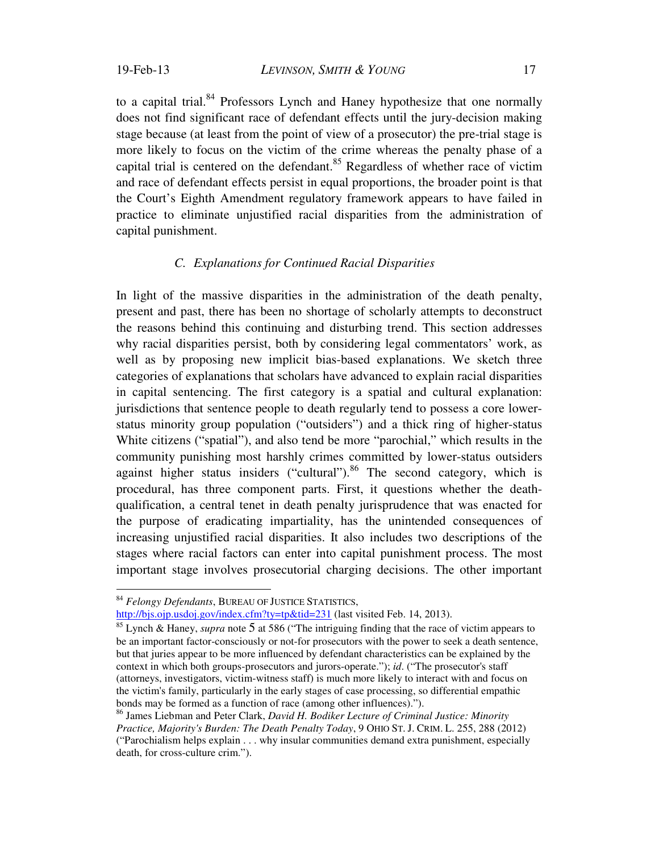to a capital trial.<sup>84</sup> Professors Lynch and Haney hypothesize that one normally does not find significant race of defendant effects until the jury-decision making stage because (at least from the point of view of a prosecutor) the pre-trial stage is more likely to focus on the victim of the crime whereas the penalty phase of a capital trial is centered on the defendant.<sup>85</sup> Regardless of whether race of victim and race of defendant effects persist in equal proportions, the broader point is that the Court's Eighth Amendment regulatory framework appears to have failed in practice to eliminate unjustified racial disparities from the administration of capital punishment.

## *C. Explanations for Continued Racial Disparities*

In light of the massive disparities in the administration of the death penalty, present and past, there has been no shortage of scholarly attempts to deconstruct the reasons behind this continuing and disturbing trend. This section addresses why racial disparities persist, both by considering legal commentators' work, as well as by proposing new implicit bias-based explanations. We sketch three categories of explanations that scholars have advanced to explain racial disparities in capital sentencing. The first category is a spatial and cultural explanation: jurisdictions that sentence people to death regularly tend to possess a core lowerstatus minority group population ("outsiders") and a thick ring of higher-status White citizens ("spatial"), and also tend be more "parochial," which results in the community punishing most harshly crimes committed by lower-status outsiders against higher status insiders ("cultural").<sup>86</sup> The second category, which is procedural, has three component parts. First, it questions whether the deathqualification, a central tenet in death penalty jurisprudence that was enacted for the purpose of eradicating impartiality, has the unintended consequences of increasing unjustified racial disparities. It also includes two descriptions of the stages where racial factors can enter into capital punishment process. The most important stage involves prosecutorial charging decisions. The other important

 $\overline{a}$ 

http://bjs.ojp.usdoj.gov/index.cfm?ty=tp&tid=231 (last visited Feb. 14, 2013).

<sup>84</sup> *Felongy Defendants*, BUREAU OF JUSTICE STATISTICS,

<sup>85</sup> Lynch & Haney, *supra* note 5 at 586 ("The intriguing finding that the race of victim appears to be an important factor-consciously or not-for prosecutors with the power to seek a death sentence, but that juries appear to be more influenced by defendant characteristics can be explained by the context in which both groups-prosecutors and jurors-operate."); *id*. ("The prosecutor's staff (attorneys, investigators, victim-witness staff) is much more likely to interact with and focus on the victim's family, particularly in the early stages of case processing, so differential empathic bonds may be formed as a function of race (among other influences).").

<sup>86</sup> James Liebman and Peter Clark, *David H. Bodiker Lecture of Criminal Justice: Minority Practice, Majority's Burden: The Death Penalty Today*, 9 OHIO ST. J. CRIM. L. 255, 288 (2012) ("Parochialism helps explain . . . why insular communities demand extra punishment, especially death, for cross-culture crim.").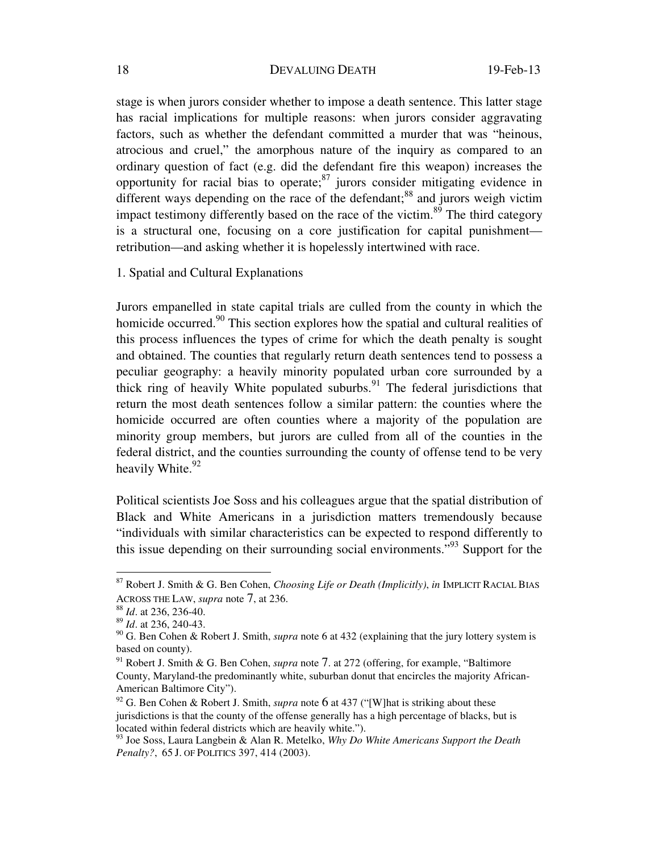stage is when jurors consider whether to impose a death sentence. This latter stage has racial implications for multiple reasons: when jurors consider aggravating factors, such as whether the defendant committed a murder that was "heinous, atrocious and cruel," the amorphous nature of the inquiry as compared to an ordinary question of fact (e.g. did the defendant fire this weapon) increases the opportunity for racial bias to operate; $87$  jurors consider mitigating evidence in different ways depending on the race of the defendant; $88$  and jurors weigh victim impact testimony differently based on the race of the victim. $89$  The third category is a structural one, focusing on a core justification for capital punishment retribution—and asking whether it is hopelessly intertwined with race.

1. Spatial and Cultural Explanations

Jurors empanelled in state capital trials are culled from the county in which the homicide occurred.<sup>90</sup> This section explores how the spatial and cultural realities of this process influences the types of crime for which the death penalty is sought and obtained. The counties that regularly return death sentences tend to possess a peculiar geography: a heavily minority populated urban core surrounded by a thick ring of heavily White populated suburbs.<sup>91</sup> The federal jurisdictions that return the most death sentences follow a similar pattern: the counties where the homicide occurred are often counties where a majority of the population are minority group members, but jurors are culled from all of the counties in the federal district, and the counties surrounding the county of offense tend to be very heavily White.<sup>92</sup>

Political scientists Joe Soss and his colleagues argue that the spatial distribution of Black and White Americans in a jurisdiction matters tremendously because "individuals with similar characteristics can be expected to respond differently to this issue depending on their surrounding social environments.<sup> $193$ </sup> Support for the

<sup>87</sup> Robert J. Smith & G. Ben Cohen, *Choosing Life or Death (Implicitly)*, *in* IMPLICIT RACIAL BIAS ACROSS THE LAW, *supra* note 7, at 236. 88 *Id*. at 236, 236-40.

<sup>&</sup>lt;sup>89</sup> *Id.* at 236, 240-43.

<sup>90</sup> G. Ben Cohen & Robert J. Smith, *supra* note 6 at 432 (explaining that the jury lottery system is based on county).

<sup>91</sup> Robert J. Smith & G. Ben Cohen, *supra* note 7. at 272 (offering, for example, "Baltimore County, Maryland-the predominantly white, suburban donut that encircles the majority African-American Baltimore City").

<sup>&</sup>lt;sup>92</sup> G. Ben Cohen & Robert J. Smith, *supra* note 6 at 437 ("[W] hat is striking about these jurisdictions is that the county of the offense generally has a high percentage of blacks, but is located within federal districts which are heavily white.").

<sup>93</sup> Joe Soss, Laura Langbein & Alan R. Metelko, *Why Do White Americans Support the Death Penalty?*, 65 J. OF POLITICS 397, 414 (2003).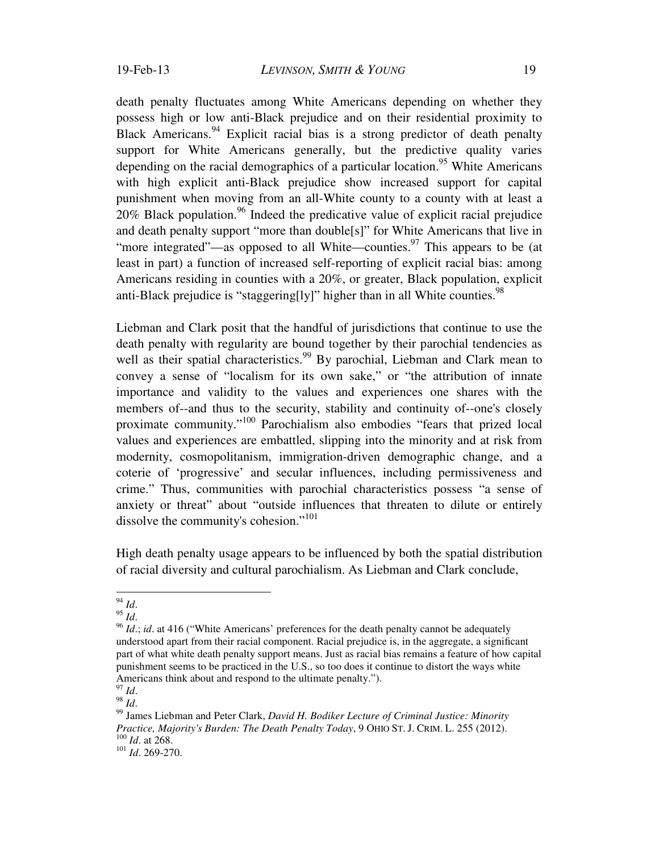death penalty fluctuates among White Americans depending on whether they possess high or low anti-Black prejudice and on their residential proximity to Black Americans.<sup>94</sup> Explicit racial bias is a strong predictor of death penalty support for White Americans generally, but the predictive quality varies depending on the racial demographics of a particular location.<sup>95</sup> White Americans with high explicit anti-Black prejudice show increased support for capital punishment when moving from an all-White county to a county with at least a  $20\%$  Black population.<sup>96</sup> Indeed the predicative value of explicit racial prejudice and death penalty support "more than double[s]" for White Americans that live in "more integrated"—as opposed to all White—counties.<sup>97</sup> This appears to be (at least in part) a function of increased self-reporting of explicit racial bias: among Americans residing in counties with a 20%, or greater, Black population, explicit anti-Black prejudice is "staggering[ly]" higher than in all White counties.<sup>98</sup>

Liebman and Clark posit that the handful of jurisdictions that continue to use the death penalty with regularity are bound together by their parochial tendencies as well as their spatial characteristics.<sup>99</sup> By parochial, Liebman and Clark mean to convey a sense of "localism for its own sake," or "the attribution of innate importance and validity to the values and experiences one shares with the members of--and thus to the security, stability and continuity of--one's closely proximate community."100 Parochialism also embodies "fears that prized local values and experiences are embattled, slipping into the minority and at risk from modernity, cosmopolitanism, immigration-driven demographic change, and a coterie of 'progressive' and secular influences, including permissiveness and crime." Thus, communities with parochial characteristics possess "a sense of anxiety or threat" about "outside influences that threaten to dilute or entirely dissolve the community's cohesion."<sup>101</sup>

High death penalty usage appears to be influenced by both the spatial distribution of racial diversity and cultural parochialism. As Liebman and Clark conclude,

 $^{94}$   $\mathit{Id}.$ 

<sup>95</sup> *Id.*<br><sup>96</sup> *Id.*; *id.* at 416 ("White Americans' preferences for the death penalty cannot be adequately understood apart from their racial component. Racial prejudice is, in the aggregate, a significant part of what white death penalty support means. Just as racial bias remains a feature of how capital punishment seems to be practiced in the U.S., so too does it continue to distort the ways white Americans think about and respond to the ultimate penalty.").  $^{97}$  *M* 

<sup>97</sup> *Id*. 98 *Id*. 99 James Liebman and Peter Clark, *David H. Bodiker Lecture of Criminal Justice: Minority Practice, Majority's Burden: The Death Penalty Today,* 9 OHIO ST. J. CRIM. L. 255 (2012).<br><sup>100</sup> *Id.* at 268.<br><sup>101</sup> *Id.* 269-270.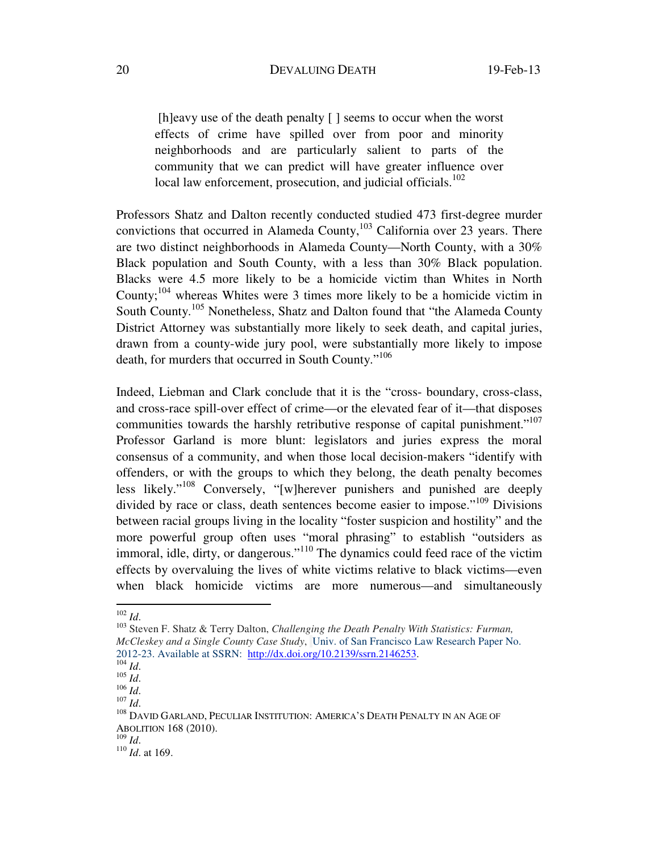[h]eavy use of the death penalty [] seems to occur when the worst effects of crime have spilled over from poor and minority neighborhoods and are particularly salient to parts of the community that we can predict will have greater influence over local law enforcement, prosecution, and judicial officials.<sup>102</sup>

Professors Shatz and Dalton recently conducted studied 473 first-degree murder convictions that occurred in Alameda County, $103$  California over 23 years. There are two distinct neighborhoods in Alameda County—North County, with a 30% Black population and South County, with a less than 30% Black population. Blacks were 4.5 more likely to be a homicide victim than Whites in North County;  $104$  whereas Whites were 3 times more likely to be a homicide victim in South County.<sup>105</sup> Nonetheless, Shatz and Dalton found that "the Alameda County" District Attorney was substantially more likely to seek death, and capital juries, drawn from a county-wide jury pool, were substantially more likely to impose death, for murders that occurred in South County."<sup>106</sup>

Indeed, Liebman and Clark conclude that it is the "cross- boundary, cross-class, and cross-race spill-over effect of crime—or the elevated fear of it—that disposes communities towards the harshly retributive response of capital punishment."<sup>107</sup> Professor Garland is more blunt: legislators and juries express the moral consensus of a community, and when those local decision-makers "identify with offenders, or with the groups to which they belong, the death penalty becomes less likely."108 Conversely, "[w]herever punishers and punished are deeply divided by race or class, death sentences become easier to impose."<sup>109</sup> Divisions between racial groups living in the locality "foster suspicion and hostility" and the more powerful group often uses "moral phrasing" to establish "outsiders as immoral, idle, dirty, or dangerous."<sup>110</sup> The dynamics could feed race of the victim effects by overvaluing the lives of white victims relative to black victims—even when black homicide victims are more numerous—and simultaneously

 $102$  *Id.* 

<sup>&</sup>lt;sup>103</sup> Steven F. Shatz & Terry Dalton, *Challenging the Death Penalty With Statistics: Furman, McCleskey and a Single County Case Study*, Univ. of San Francisco Law Research Paper No. 2012-23. Available at SSRN: <u>http://dx.doi.org/10.2139/ssrn.2146253</u>.<br><sup>104</sup> *Id.* 105 *Id.* 108 *Id.* 108 *Id.* 108 DAVID GARLAND, PECULIAR INSTITUTION: AMERICA'S DEATH PENALTY IN AN AGE OF

ABOLITION 168 (2010).<br> $^{109}$  *Id.* 

<sup>&</sup>lt;sup>110</sup> *Id.* at 169.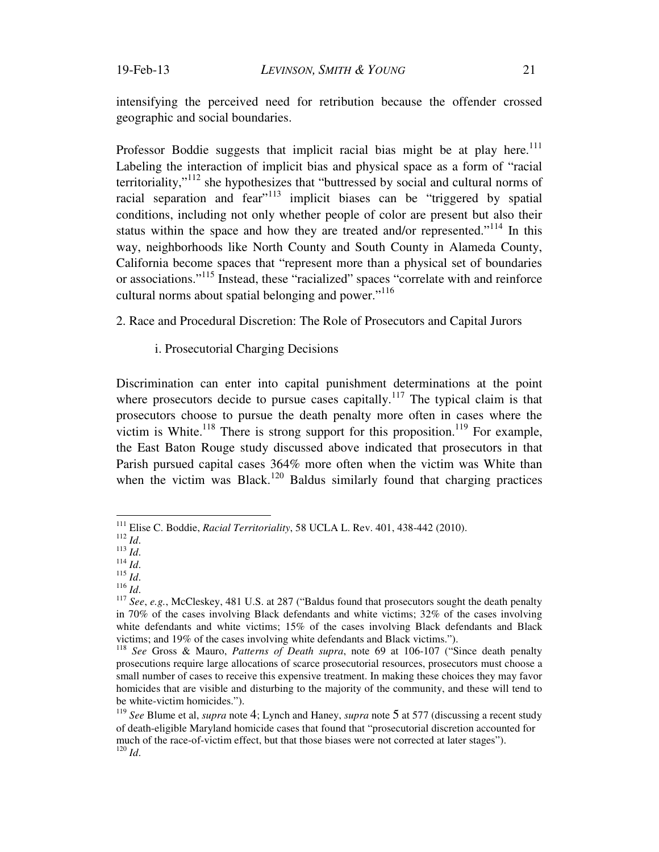intensifying the perceived need for retribution because the offender crossed geographic and social boundaries.

Professor Boddie suggests that implicit racial bias might be at play here.<sup>111</sup> Labeling the interaction of implicit bias and physical space as a form of "racial territoriality,"112 she hypothesizes that "buttressed by social and cultural norms of racial separation and fear<sup>"113</sup> implicit biases can be "triggered by spatial" conditions, including not only whether people of color are present but also their status within the space and how they are treated and/or represented."<sup>114</sup> In this way, neighborhoods like North County and South County in Alameda County, California become spaces that "represent more than a physical set of boundaries or associations."115 Instead, these "racialized" spaces "correlate with and reinforce cultural norms about spatial belonging and power."116

2. Race and Procedural Discretion: The Role of Prosecutors and Capital Jurors

i. Prosecutorial Charging Decisions

Discrimination can enter into capital punishment determinations at the point where prosecutors decide to pursue cases capitally.<sup>117</sup> The typical claim is that prosecutors choose to pursue the death penalty more often in cases where the victim is White.<sup>118</sup> There is strong support for this proposition.<sup>119</sup> For example, the East Baton Rouge study discussed above indicated that prosecutors in that Parish pursued capital cases 364% more often when the victim was White than when the victim was Black.<sup>120</sup> Baldus similarly found that charging practices

<sup>&</sup>lt;sup>111</sup> Elise C. Boddie, *Racial Territoriality*, 58 UCLA L. Rev. 401, 438-442 (2010).

<sup>&</sup>lt;sup>112</sup> *Id.*<br>
<sup>113</sup> *Id.*<br>
<sup>114</sup> *Id.*<br>
<sup>114</sup> *Id.*<br>
<sup>115</sup> *Id.*<br>
<sup>116</sup> *Id.*<br>
<sup>116</sup> *Id.*<br>
<sup>116</sup> *Id.*<br>
<sup>116</sup> *Id.*<br>
<sup>116</sup> *Id.*<br>
<sup>116</sup> *Id.*<br>
<sup>117</sup> See, e.g., McCleskey, 481 U.S. at 287 ("Baldus found that prosecutors so in 70% of the cases involving Black defendants and white victims; 32% of the cases involving white defendants and white victims; 15% of the cases involving Black defendants and Black victims; and 19% of the cases involving white defendants and Black victims.").

<sup>&</sup>lt;sup>118</sup> See Gross & Mauro, Patterns of Death supra, note 69 at 106-107 ("Since death penalty prosecutions require large allocations of scarce prosecutorial resources, prosecutors must choose a small number of cases to receive this expensive treatment. In making these choices they may favor homicides that are visible and disturbing to the majority of the community, and these will tend to be white-victim homicides.").

<sup>119</sup> *See* Blume et al, *supra* note 4; Lynch and Haney, *supra* note 5 at 577 (discussing a recent study of death-eligible Maryland homicide cases that found that "prosecutorial discretion accounted for much of the race-of-victim effect, but that those biases were not corrected at later stages"). <sup>120</sup> *Id*.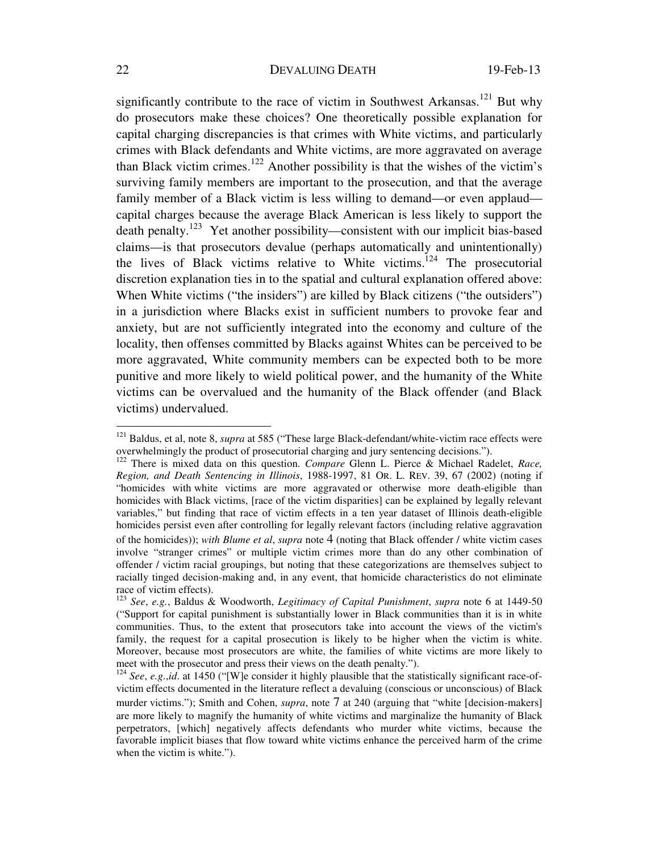significantly contribute to the race of victim in Southwest Arkansas.<sup>121</sup> But why do prosecutors make these choices? One theoretically possible explanation for capital charging discrepancies is that crimes with White victims, and particularly crimes with Black defendants and White victims, are more aggravated on average than Black victim crimes.<sup>122</sup> Another possibility is that the wishes of the victim's surviving family members are important to the prosecution, and that the average family member of a Black victim is less willing to demand—or even applaud capital charges because the average Black American is less likely to support the death penalty.123 Yet another possibility—consistent with our implicit bias-based claims—is that prosecutors devalue (perhaps automatically and unintentionally) the lives of Black victims relative to White victims.<sup>124</sup> The prosecutorial discretion explanation ties in to the spatial and cultural explanation offered above: When White victims ("the insiders") are killed by Black citizens ("the outsiders") in a jurisdiction where Blacks exist in sufficient numbers to provoke fear and anxiety, but are not sufficiently integrated into the economy and culture of the locality, then offenses committed by Blacks against Whites can be perceived to be more aggravated, White community members can be expected both to be more punitive and more likely to wield political power, and the humanity of the White victims can be overvalued and the humanity of the Black offender (and Black victims) undervalued.

<sup>121</sup> Baldus, et al, note 8, *supra* at 585 ("These large Black-defendant/white-victim race effects were overwhelmingly the product of prosecutorial charging and jury sentencing decisions."). 122 There is mixed data on this question. *Compare* Glenn L. Pierce & Michael Radelet, *Race,* 

*Region, and Death Sentencing in Illinois*, 1988-1997, 81 OR. L. REV. 39, 67 (2002) (noting if "homicides with white victims are more aggravated or otherwise more death-eligible than homicides with Black victims, [race of the victim disparities] can be explained by legally relevant variables," but finding that race of victim effects in a ten year dataset of Illinois death-eligible homicides persist even after controlling for legally relevant factors (including relative aggravation of the homicides)); *with Blume et al*, *supra* note 4 (noting that Black offender / white victim cases involve "stranger crimes" or multiple victim crimes more than do any other combination of offender / victim racial groupings, but noting that these categorizations are themselves subject to racially tinged decision-making and, in any event, that homicide characteristics do not eliminate race of victim effects).

<sup>123</sup> *See*, *e.g.*, Baldus & Woodworth, *Legitimacy of Capital Punishment*, *supra* note 6 at 1449-50 ("Support for capital punishment is substantially lower in Black communities than it is in white communities. Thus, to the extent that prosecutors take into account the views of the victim's family, the request for a capital prosecution is likely to be higher when the victim is white. Moreover, because most prosecutors are white, the families of white victims are more likely to meet with the prosecutor and press their views on the death penalty.").<br><sup>124</sup> *See*, *e.g.*,*id*. at 1450 ("[W]e consider it highly plausible that the statistically significant race-of-

victim effects documented in the literature reflect a devaluing (conscious or unconscious) of Black murder victims."); Smith and Cohen, *supra*, note 7 at 240 (arguing that "white [decision-makers] are more likely to magnify the humanity of white victims and marginalize the humanity of Black perpetrators, [which] negatively affects defendants who murder white victims, because the favorable implicit biases that flow toward white victims enhance the perceived harm of the crime when the victim is white.").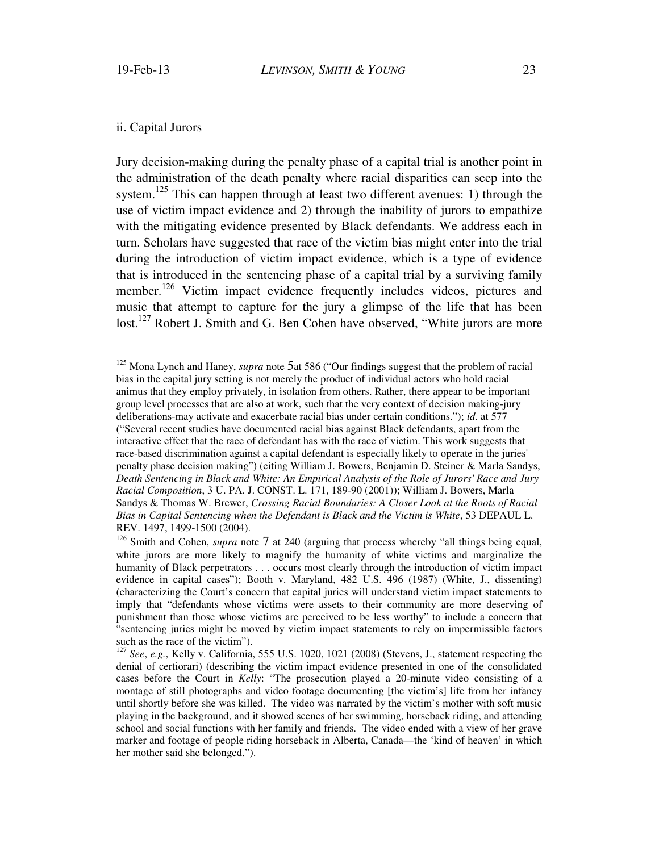$\overline{a}$ 

## ii. Capital Jurors

Jury decision-making during the penalty phase of a capital trial is another point in the administration of the death penalty where racial disparities can seep into the system.<sup>125</sup> This can happen through at least two different avenues: 1) through the use of victim impact evidence and 2) through the inability of jurors to empathize with the mitigating evidence presented by Black defendants. We address each in turn. Scholars have suggested that race of the victim bias might enter into the trial during the introduction of victim impact evidence, which is a type of evidence that is introduced in the sentencing phase of a capital trial by a surviving family member.<sup>126</sup> Victim impact evidence frequently includes videos, pictures and music that attempt to capture for the jury a glimpse of the life that has been lost.<sup>127</sup> Robert J. Smith and G. Ben Cohen have observed, "White jurors are more

<sup>125</sup> Mona Lynch and Haney, *supra* note 5at 586 ("Our findings suggest that the problem of racial bias in the capital jury setting is not merely the product of individual actors who hold racial animus that they employ privately, in isolation from others. Rather, there appear to be important group level processes that are also at work, such that the very context of decision making-jury deliberations-may activate and exacerbate racial bias under certain conditions."); *id*. at 577 ("Several recent studies have documented racial bias against Black defendants, apart from the interactive effect that the race of defendant has with the race of victim. This work suggests that race-based discrimination against a capital defendant is especially likely to operate in the juries' penalty phase decision making") (citing William J. Bowers, Benjamin D. Steiner & Marla Sandys, *Death Sentencing in Black and White: An Empirical Analysis of the Role of Jurors' Race and Jury Racial Composition*, 3 U. PA. J. CONST. L. 171, 189-90 (2001)); William J. Bowers, Marla Sandys & Thomas W. Brewer, *Crossing Racial Boundaries: A Closer Look at the Roots of Racial Bias in Capital Sentencing when the Defendant is Black and the Victim is White*, 53 DEPAUL L. REV. 1497, 1499-1500 (2004).

<sup>&</sup>lt;sup>126</sup> Smith and Cohen, *supra* note 7 at 240 (arguing that process whereby "all things being equal, white jurors are more likely to magnify the humanity of white victims and marginalize the humanity of Black perpetrators . . . occurs most clearly through the introduction of victim impact evidence in capital cases"); Booth v. Maryland, 482 U.S. 496 (1987) (White, J., dissenting) (characterizing the Court's concern that capital juries will understand victim impact statements to imply that "defendants whose victims were assets to their community are more deserving of punishment than those whose victims are perceived to be less worthy" to include a concern that "sentencing juries might be moved by victim impact statements to rely on impermissible factors such as the race of the victim").

<sup>127</sup> *See*, *e.g.*, Kelly v. California, 555 U.S. 1020, 1021 (2008) (Stevens, J., statement respecting the denial of certiorari) (describing the victim impact evidence presented in one of the consolidated cases before the Court in *Kelly*: "The prosecution played a 20-minute video consisting of a montage of still photographs and video footage documenting [the victim's] life from her infancy until shortly before she was killed. The video was narrated by the victim's mother with soft music playing in the background, and it showed scenes of her swimming, horseback riding, and attending school and social functions with her family and friends. The video ended with a view of her grave marker and footage of people riding horseback in Alberta, Canada—the 'kind of heaven' in which her mother said she belonged.").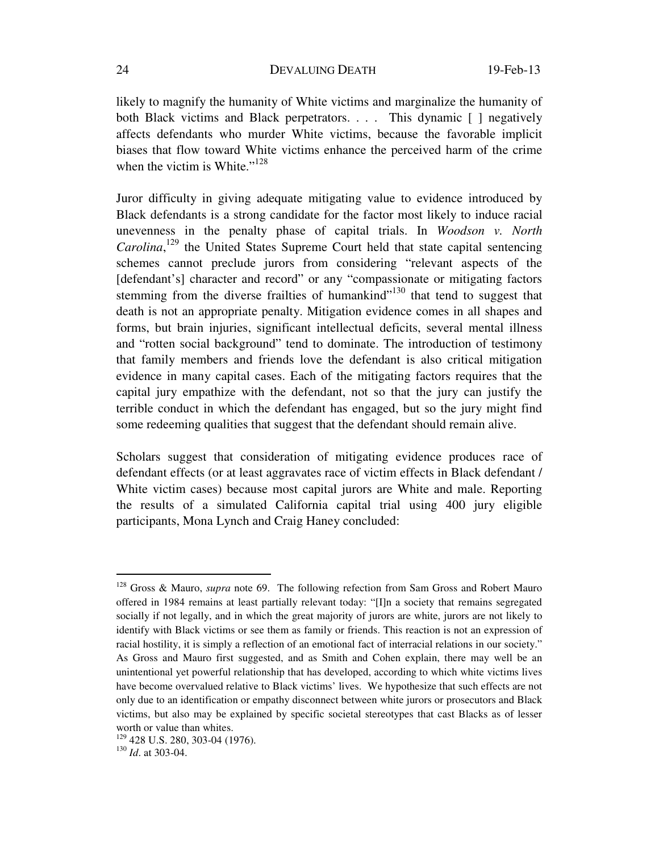likely to magnify the humanity of White victims and marginalize the humanity of both Black victims and Black perpetrators. . . . This dynamic [ ] negatively affects defendants who murder White victims, because the favorable implicit biases that flow toward White victims enhance the perceived harm of the crime when the victim is White." $128$ 

Juror difficulty in giving adequate mitigating value to evidence introduced by Black defendants is a strong candidate for the factor most likely to induce racial unevenness in the penalty phase of capital trials. In *Woodson v. North*  Carolina,<sup>129</sup> the United States Supreme Court held that state capital sentencing schemes cannot preclude jurors from considering "relevant aspects of the [defendant's] character and record" or any "compassionate or mitigating factors stemming from the diverse frailties of humankind $130$  that tend to suggest that death is not an appropriate penalty. Mitigation evidence comes in all shapes and forms, but brain injuries, significant intellectual deficits, several mental illness and "rotten social background" tend to dominate. The introduction of testimony that family members and friends love the defendant is also critical mitigation evidence in many capital cases. Each of the mitigating factors requires that the capital jury empathize with the defendant, not so that the jury can justify the terrible conduct in which the defendant has engaged, but so the jury might find some redeeming qualities that suggest that the defendant should remain alive.

Scholars suggest that consideration of mitigating evidence produces race of defendant effects (or at least aggravates race of victim effects in Black defendant / White victim cases) because most capital jurors are White and male. Reporting the results of a simulated California capital trial using 400 jury eligible participants, Mona Lynch and Craig Haney concluded:

<sup>&</sup>lt;sup>128</sup> Gross & Mauro, *supra* note 69. The following refection from Sam Gross and Robert Mauro offered in 1984 remains at least partially relevant today: "[I]n a society that remains segregated socially if not legally, and in which the great majority of jurors are white, jurors are not likely to identify with Black victims or see them as family or friends. This reaction is not an expression of racial hostility, it is simply a reflection of an emotional fact of interracial relations in our society." As Gross and Mauro first suggested, and as Smith and Cohen explain, there may well be an unintentional yet powerful relationship that has developed, according to which white victims lives have become overvalued relative to Black victims' lives. We hypothesize that such effects are not only due to an identification or empathy disconnect between white jurors or prosecutors and Black victims, but also may be explained by specific societal stereotypes that cast Blacks as of lesser worth or value than whites.

<sup>129 428</sup> U.S. 280, 303-04 (1976). 130 *Id*. at 303-04.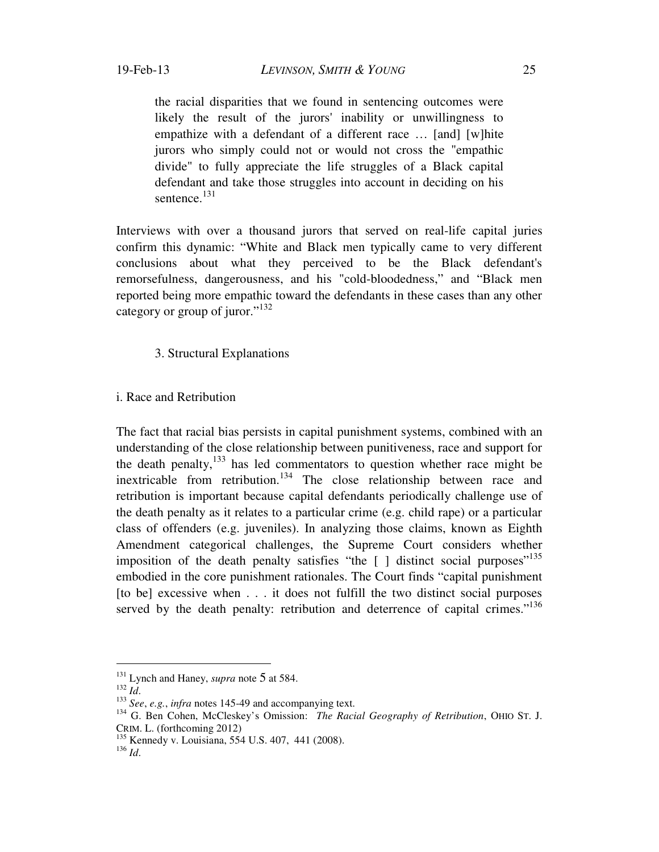the racial disparities that we found in sentencing outcomes were likely the result of the jurors' inability or unwillingness to empathize with a defendant of a different race … [and] [w]hite jurors who simply could not or would not cross the "empathic divide" to fully appreciate the life struggles of a Black capital defendant and take those struggles into account in deciding on his sentence.<sup>131</sup>

Interviews with over a thousand jurors that served on real-life capital juries confirm this dynamic: "White and Black men typically came to very different conclusions about what they perceived to be the Black defendant's remorsefulness, dangerousness, and his "cold-bloodedness," and "Black men reported being more empathic toward the defendants in these cases than any other category or group of juror."<sup>132</sup>

## 3. Structural Explanations

## i. Race and Retribution

The fact that racial bias persists in capital punishment systems, combined with an understanding of the close relationship between punitiveness, race and support for the death penalty, $^{133}$  has led commentators to question whether race might be inextricable from retribution.<sup>134</sup> The close relationship between race and retribution is important because capital defendants periodically challenge use of the death penalty as it relates to a particular crime (e.g. child rape) or a particular class of offenders (e.g. juveniles). In analyzing those claims, known as Eighth Amendment categorical challenges, the Supreme Court considers whether imposition of the death penalty satisfies "the  $[ \ ]$  distinct social purposes"<sup>135</sup> embodied in the core punishment rationales. The Court finds "capital punishment [to be] excessive when . . . it does not fulfill the two distinct social purposes served by the death penalty: retribution and deterrence of capital crimes."<sup>136</sup>

<sup>&</sup>lt;sup>131</sup> Lynch and Haney, *supra* note 5 at 584.<br><sup>132</sup> *Id.*<br><sup>133</sup> *See, e.g., infra* notes 145-49 and accompanying text.<br><sup>134</sup> G. Ben Cohen, McCleskey's Omission: *The Racial Geography of Retribution*, OHIO ST. J. CRIM. L. (forthcoming 2012)

<sup>135</sup> Kennedy v. Louisiana, 554 U.S. 407, 441 (2008).

<sup>136</sup> *Id*.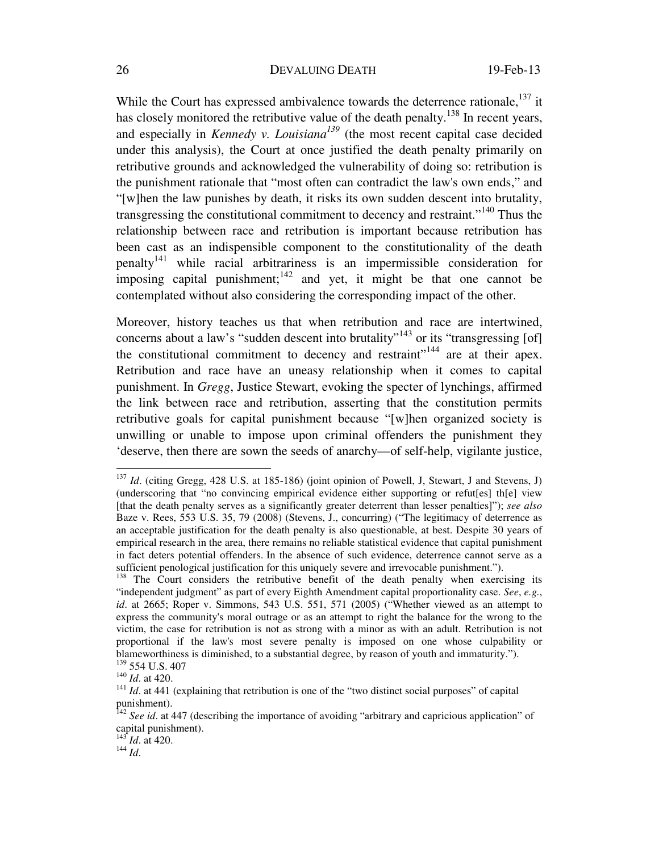While the Court has expressed ambivalence towards the deterrence rationale,  $137$  it has closely monitored the retributive value of the death penalty.<sup>138</sup> In recent years, and especially in *Kennedy v. Louisiana*<sup> $139$ </sup> (the most recent capital case decided under this analysis), the Court at once justified the death penalty primarily on retributive grounds and acknowledged the vulnerability of doing so: retribution is the punishment rationale that "most often can contradict the law's own ends," and "[w]hen the law punishes by death, it risks its own sudden descent into brutality, transgressing the constitutional commitment to decency and restraint."<sup>140</sup> Thus the relationship between race and retribution is important because retribution has been cast as an indispensible component to the constitutionality of the death  $penalty<sup>141</sup>$  while racial arbitrariness is an impermissible consideration for imposing capital punishment; $142$  and yet, it might be that one cannot be contemplated without also considering the corresponding impact of the other.

Moreover, history teaches us that when retribution and race are intertwined, concerns about a law's "sudden descent into brutality"<sup>143</sup> or its "transgressing [of] the constitutional commitment to decency and restraint $^{144}$  are at their apex. Retribution and race have an uneasy relationship when it comes to capital punishment. In *Gregg*, Justice Stewart, evoking the specter of lynchings, affirmed the link between race and retribution, asserting that the constitution permits retributive goals for capital punishment because "[w]hen organized society is unwilling or unable to impose upon criminal offenders the punishment they 'deserve, then there are sown the seeds of anarchy—of self-help, vigilante justice,

<sup>&</sup>lt;sup>137</sup> *Id.* (citing Gregg, 428 U.S. at 185-186) (joint opinion of Powell, J, Stewart, J and Stevens, J) (underscoring that "no convincing empirical evidence either supporting or refut[es] th[e] view [that the death penalty serves as a significantly greater deterrent than lesser penalties]"); *see also* Baze v. Rees, 553 U.S. 35, 79 (2008) (Stevens, J., concurring) ("The legitimacy of deterrence as an acceptable justification for the death penalty is also questionable, at best. Despite 30 years of empirical research in the area, there remains no reliable statistical evidence that capital punishment in fact deters potential offenders. In the absence of such evidence, deterrence cannot serve as a sufficient penological justification for this uniquely severe and irrevocable punishment.").

<sup>&</sup>lt;sup>138</sup> The Court considers the retributive benefit of the death penalty when exercising its "independent judgment" as part of every Eighth Amendment capital proportionality case. *See*, *e.g.*, *id.* at 2665; Roper v. Simmons, 543 U.S. 551, 571 (2005) ("Whether viewed as an attempt to express the community's moral outrage or as an attempt to right the balance for the wrong to the victim, the case for retribution is not as strong with a minor as with an adult. Retribution is not proportional if the law's most severe penalty is imposed on one whose culpability or blameworthiness is diminished, to a substantial degree, by reason of youth and immaturity.").<br><sup>139</sup> 554 U.S. 407

<sup>&</sup>lt;sup>140</sup> *Id*. at 420.<br><sup>141</sup> *Id*. at 441 (explaining that retribution is one of the "two distinct social purposes" of capital punishment).

<sup>&</sup>lt;sup>142</sup> See id. at 447 (describing the importance of avoiding "arbitrary and capricious application" of capital punishment).

<sup>&</sup>lt;sup>143</sup>*Id.* at 420.<br><sup>144</sup> *Id.*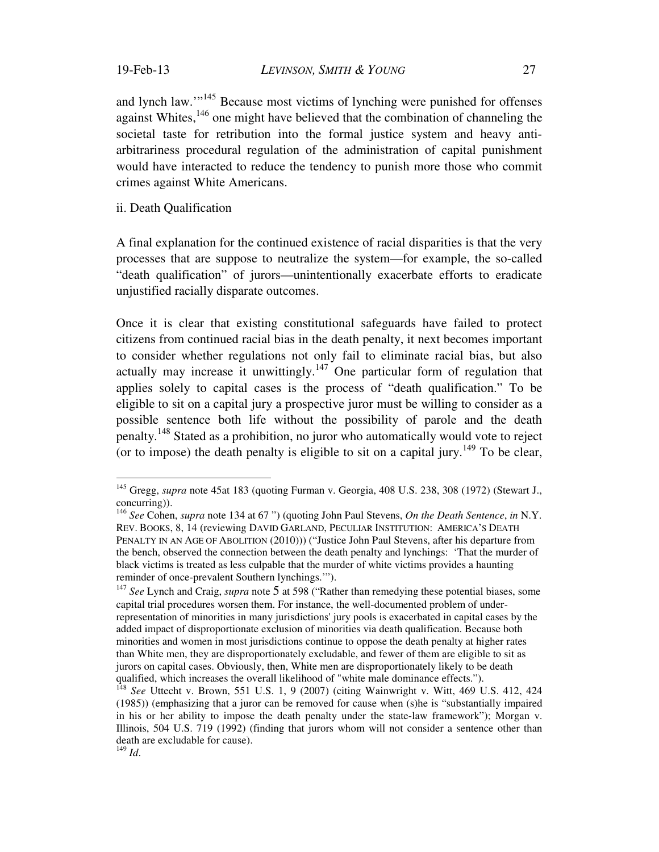and lynch law.'"145 Because most victims of lynching were punished for offenses against Whites,  $146$  one might have believed that the combination of channeling the societal taste for retribution into the formal justice system and heavy antiarbitrariness procedural regulation of the administration of capital punishment would have interacted to reduce the tendency to punish more those who commit crimes against White Americans.

ii. Death Qualification

A final explanation for the continued existence of racial disparities is that the very processes that are suppose to neutralize the system—for example, the so-called "death qualification" of jurors—unintentionally exacerbate efforts to eradicate unjustified racially disparate outcomes.

Once it is clear that existing constitutional safeguards have failed to protect citizens from continued racial bias in the death penalty, it next becomes important to consider whether regulations not only fail to eliminate racial bias, but also actually may increase it unwittingly.<sup>147</sup> One particular form of regulation that applies solely to capital cases is the process of "death qualification." To be eligible to sit on a capital jury a prospective juror must be willing to consider as a possible sentence both life without the possibility of parole and the death penalty.148 Stated as a prohibition, no juror who automatically would vote to reject (or to impose) the death penalty is eligible to sit on a capital jury.<sup>149</sup> To be clear,

<sup>&</sup>lt;sup>145</sup> Gregg, *supra* note 45at 183 (quoting Furman v. Georgia, 408 U.S. 238, 308 (1972) (Stewart J., concurring)).

<sup>146</sup> *See* Cohen, *supra* note 134 at 67 ") (quoting John Paul Stevens, *On the Death Sentence*, *in* N.Y. REV. BOOKS, 8, 14 (reviewing DAVID GARLAND, PECULIAR INSTITUTION: AMERICA'S DEATH PENALTY IN AN AGE OF ABOLITION (2010))) ("Justice John Paul Stevens, after his departure from the bench, observed the connection between the death penalty and lynchings: 'That the murder of black victims is treated as less culpable that the murder of white victims provides a haunting reminder of once-prevalent Southern lynchings.'").

<sup>&</sup>lt;sup>147</sup> See Lynch and Craig, *supra* note 5 at 598 ("Rather than remedying these potential biases, some capital trial procedures worsen them. For instance, the well-documented problem of underrepresentation of minorities in many jurisdictions' jury pools is exacerbated in capital cases by the added impact of disproportionate exclusion of minorities via death qualification. Because both minorities and women in most jurisdictions continue to oppose the death penalty at higher rates than White men, they are disproportionately excludable, and fewer of them are eligible to sit as jurors on capital cases. Obviously, then, White men are disproportionately likely to be death qualified, which increases the overall likelihood of "white male dominance effects.").<br><sup>148</sup> *See* Uttecht v. Brown, 551 U.S. 1, 9 (2007) (citing Wainwright v. Witt, 469 U.S. 412, 424

<sup>(1985)) (</sup>emphasizing that a juror can be removed for cause when (s)he is "substantially impaired in his or her ability to impose the death penalty under the state-law framework"); Morgan v. Illinois, 504 U.S. 719 (1992) (finding that jurors whom will not consider a sentence other than death are excludable for cause).

<sup>149</sup> *Id*.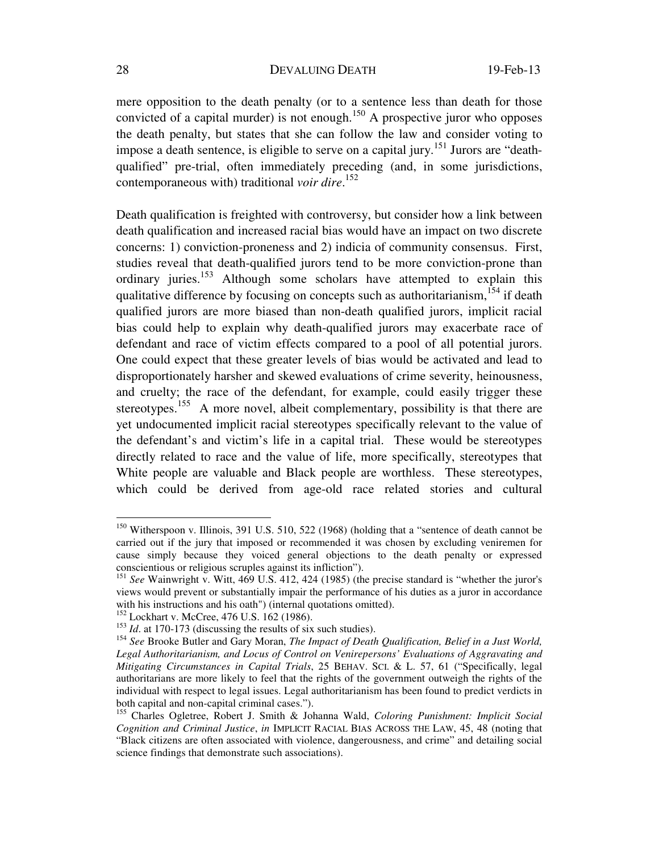mere opposition to the death penalty (or to a sentence less than death for those convicted of a capital murder) is not enough.<sup>150</sup> A prospective juror who opposes the death penalty, but states that she can follow the law and consider voting to impose a death sentence, is eligible to serve on a capital jury.<sup>151</sup> Jurors are "deathqualified" pre-trial, often immediately preceding (and, in some jurisdictions, contemporaneous with) traditional *voir dire*. 152

Death qualification is freighted with controversy, but consider how a link between death qualification and increased racial bias would have an impact on two discrete concerns: 1) conviction-proneness and 2) indicia of community consensus. First, studies reveal that death-qualified jurors tend to be more conviction-prone than ordinary juries.<sup>153</sup> Although some scholars have attempted to explain this qualitative difference by focusing on concepts such as authoritarianism,  $154$  if death qualified jurors are more biased than non-death qualified jurors, implicit racial bias could help to explain why death-qualified jurors may exacerbate race of defendant and race of victim effects compared to a pool of all potential jurors. One could expect that these greater levels of bias would be activated and lead to disproportionately harsher and skewed evaluations of crime severity, heinousness, and cruelty; the race of the defendant, for example, could easily trigger these stereotypes.<sup>155</sup> A more novel, albeit complementary, possibility is that there are yet undocumented implicit racial stereotypes specifically relevant to the value of the defendant's and victim's life in a capital trial. These would be stereotypes directly related to race and the value of life, more specifically, stereotypes that White people are valuable and Black people are worthless. These stereotypes, which could be derived from age-old race related stories and cultural

<sup>&</sup>lt;sup>150</sup> Witherspoon v. Illinois, 391 U.S. 510, 522 (1968) (holding that a "sentence of death cannot be carried out if the jury that imposed or recommended it was chosen by excluding veniremen for cause simply because they voiced general objections to the death penalty or expressed conscientious or religious scruples against its infliction").

<sup>151</sup> *See* Wainwright v. Witt, 469 U.S. 412, 424 (1985) (the precise standard is "whether the juror's views would prevent or substantially impair the performance of his duties as a juror in accordance with his instructions and his oath") (internal quotations omitted).

<sup>&</sup>lt;sup>152</sup> Lockhart v. McCree, 476 U.S. 162 (1986).

<sup>&</sup>lt;sup>153</sup> *Id.* at 170-173 (discussing the results of six such studies).

<sup>154</sup> *See* Brooke Butler and Gary Moran, *The Impact of Death Qualification, Belief in a Just World, Legal Authoritarianism, and Locus of Control on Venirepersons' Evaluations of Aggravating and Mitigating Circumstances in Capital Trials*, 25 BEHAV. SCI. & L. 57, 61 ("Specifically, legal authoritarians are more likely to feel that the rights of the government outweigh the rights of the individual with respect to legal issues. Legal authoritarianism has been found to predict verdicts in both capital and non-capital criminal cases.").

<sup>155</sup> Charles Ogletree, Robert J. Smith & Johanna Wald, *Coloring Punishment: Implicit Social Cognition and Criminal Justice*, *in* IMPLICIT RACIAL BIAS ACROSS THE LAW, 45, 48 (noting that "Black citizens are often associated with violence, dangerousness, and crime" and detailing social science findings that demonstrate such associations).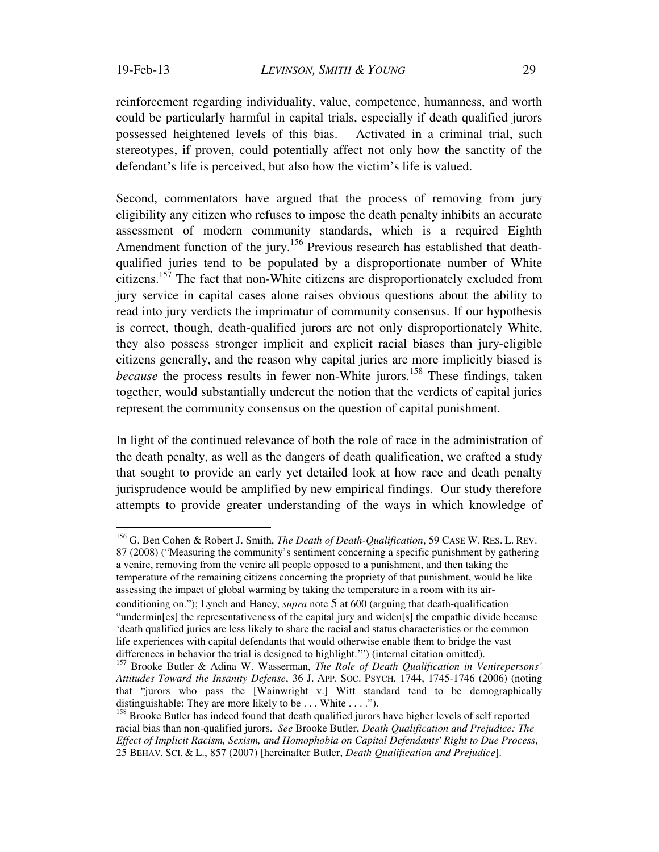reinforcement regarding individuality, value, competence, humanness, and worth could be particularly harmful in capital trials, especially if death qualified jurors possessed heightened levels of this bias. Activated in a criminal trial, such stereotypes, if proven, could potentially affect not only how the sanctity of the defendant's life is perceived, but also how the victim's life is valued.

Second, commentators have argued that the process of removing from jury eligibility any citizen who refuses to impose the death penalty inhibits an accurate assessment of modern community standards, which is a required Eighth Amendment function of the jury.<sup>156</sup> Previous research has established that deathqualified juries tend to be populated by a disproportionate number of White citizens.157 The fact that non-White citizens are disproportionately excluded from jury service in capital cases alone raises obvious questions about the ability to read into jury verdicts the imprimatur of community consensus. If our hypothesis is correct, though, death-qualified jurors are not only disproportionately White, they also possess stronger implicit and explicit racial biases than jury-eligible citizens generally, and the reason why capital juries are more implicitly biased is *because* the process results in fewer non-White jurors.<sup>158</sup> These findings, taken together, would substantially undercut the notion that the verdicts of capital juries represent the community consensus on the question of capital punishment.

In light of the continued relevance of both the role of race in the administration of the death penalty, as well as the dangers of death qualification, we crafted a study that sought to provide an early yet detailed look at how race and death penalty jurisprudence would be amplified by new empirical findings. Our study therefore attempts to provide greater understanding of the ways in which knowledge of

 $\overline{a}$ 156 G. Ben Cohen & Robert J. Smith, *The Death of Death-Qualification*, 59 CASE W. RES. L. REV. 87 (2008) ("Measuring the community's sentiment concerning a specific punishment by gathering a venire, removing from the venire all people opposed to a punishment, and then taking the temperature of the remaining citizens concerning the propriety of that punishment, would be like assessing the impact of global warming by taking the temperature in a room with its airconditioning on."); Lynch and Haney, *supra* note 5 at 600 (arguing that death-qualification "undermin[es] the representativeness of the capital jury and widen[s] the empathic divide because 'death qualified juries are less likely to share the racial and status characteristics or the common life experiences with capital defendants that would otherwise enable them to bridge the vast differences in behavior the trial is designed to highlight.'") (internal citation omitted).

<sup>157</sup> Brooke Butler & Adina W. Wasserman, *The Role of Death Qualification in Venirepersons' Attitudes Toward the Insanity Defense*, 36 J. APP. SOC. PSYCH. 1744, 1745-1746 (2006) (noting that "jurors who pass the [Wainwright v.] Witt standard tend to be demographically distinguishable: They are more likely to be . . . White . . . .").

<sup>&</sup>lt;sup>158</sup> Brooke Butler has indeed found that death qualified jurors have higher levels of self reported racial bias than non-qualified jurors. *See* Brooke Butler, *Death Qualification and Prejudice: The Effect of Implicit Racism, Sexism, and Homophobia on Capital Defendants' Right to Due Process*, 25 BEHAV. SCI. & L., 857 (2007) [hereinafter Butler, *Death Qualification and Prejudice*].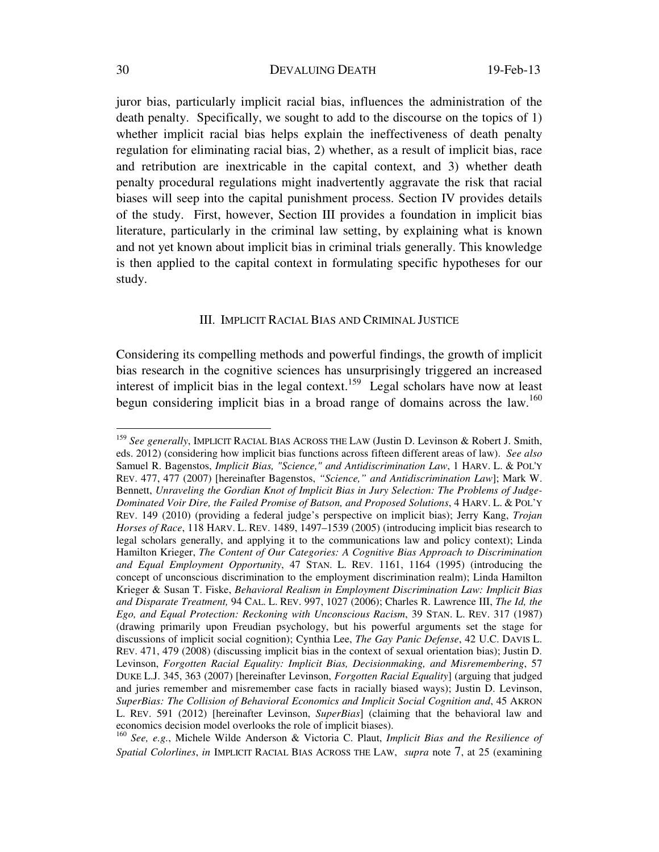juror bias, particularly implicit racial bias, influences the administration of the death penalty. Specifically, we sought to add to the discourse on the topics of 1) whether implicit racial bias helps explain the ineffectiveness of death penalty regulation for eliminating racial bias, 2) whether, as a result of implicit bias, race and retribution are inextricable in the capital context, and 3) whether death penalty procedural regulations might inadvertently aggravate the risk that racial biases will seep into the capital punishment process. Section IV provides details of the study. First, however, Section III provides a foundation in implicit bias literature, particularly in the criminal law setting, by explaining what is known and not yet known about implicit bias in criminal trials generally. This knowledge is then applied to the capital context in formulating specific hypotheses for our study.

## III. IMPLICIT RACIAL BIAS AND CRIMINAL JUSTICE

Considering its compelling methods and powerful findings, the growth of implicit bias research in the cognitive sciences has unsurprisingly triggered an increased interest of implicit bias in the legal context.<sup>159</sup> Legal scholars have now at least begun considering implicit bias in a broad range of domains across the law.<sup>160</sup>

<sup>159</sup> *See generally*, IMPLICIT RACIAL BIAS ACROSS THE LAW (Justin D. Levinson & Robert J. Smith, eds. 2012) (considering how implicit bias functions across fifteen different areas of law). *See also* Samuel R. Bagenstos, *Implicit Bias, "Science," and Antidiscrimination Law*, 1 HARV. L. & POL'Y REV. 477, 477 (2007) [hereinafter Bagenstos, *"Science," and Antidiscrimination Law*]; Mark W. Bennett, *Unraveling the Gordian Knot of Implicit Bias in Jury Selection: The Problems of Judge-Dominated Voir Dire, the Failed Promise of Batson, and Proposed Solutions*, 4 HARV. L. & POL'Y REV. 149 (2010) (providing a federal judge's perspective on implicit bias); Jerry Kang, *Trojan Horses of Race*, 118 HARV. L. REV. 1489, 1497–1539 (2005) (introducing implicit bias research to legal scholars generally, and applying it to the communications law and policy context); Linda Hamilton Krieger, *The Content of Our Categories: A Cognitive Bias Approach to Discrimination and Equal Employment Opportunity*, 47 STAN. L. REV. 1161, 1164 (1995) (introducing the concept of unconscious discrimination to the employment discrimination realm); Linda Hamilton Krieger & Susan T. Fiske, *Behavioral Realism in Employment Discrimination Law: Implicit Bias and Disparate Treatment,* 94 CAL. L. REV. 997, 1027 (2006); Charles R. Lawrence III, *The Id, the Ego, and Equal Protection: Reckoning with Unconscious Racism*, 39 STAN. L. REV. 317 (1987) (drawing primarily upon Freudian psychology, but his powerful arguments set the stage for discussions of implicit social cognition); Cynthia Lee, *The Gay Panic Defense*, 42 U.C. DAVIS L. REV. 471, 479 (2008) (discussing implicit bias in the context of sexual orientation bias); Justin D. Levinson, *Forgotten Racial Equality: Implicit Bias, Decisionmaking, and Misremembering*, 57 DUKE L.J. 345, 363 (2007) [hereinafter Levinson, *Forgotten Racial Equality*] (arguing that judged and juries remember and misremember case facts in racially biased ways); Justin D. Levinson, *SuperBias: The Collision of Behavioral Economics and Implicit Social Cognition and*, 45 AKRON L. REV. 591 (2012) [hereinafter Levinson, *SuperBias*] (claiming that the behavioral law and economics decision model overlooks the role of implicit biases).

<sup>160</sup> *See, e.g.*, Michele Wilde Anderson & Victoria C. Plaut, *Implicit Bias and the Resilience of Spatial Colorlines*, *in* IMPLICIT RACIAL BIAS ACROSS THE LAW, *supra* note 7, at 25 (examining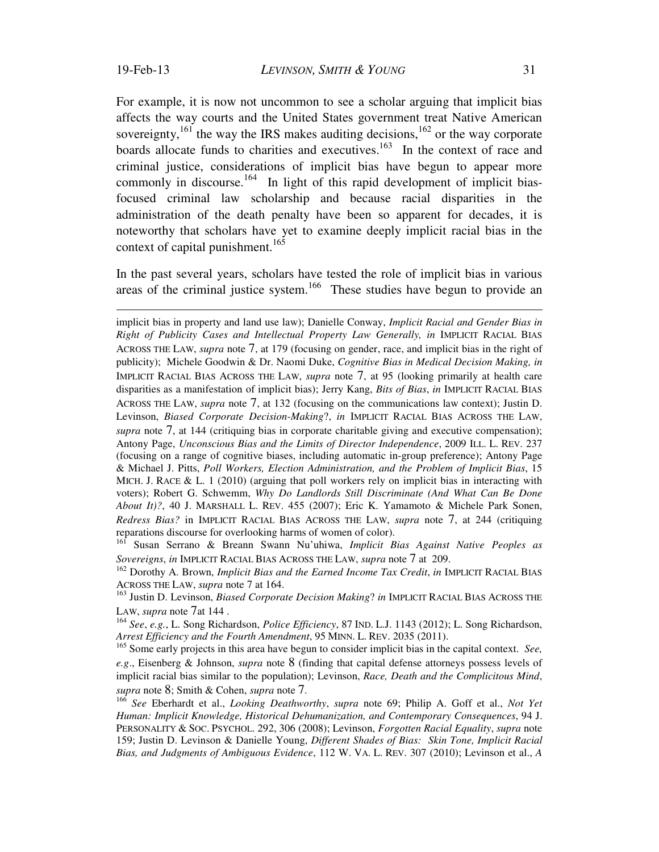$\overline{a}$ 

For example, it is now not uncommon to see a scholar arguing that implicit bias affects the way courts and the United States government treat Native American sovereignty,<sup>161</sup> the way the IRS makes auditing decisions,  $162$  or the way corporate boards allocate funds to charities and executives.<sup>163</sup> In the context of race and criminal justice, considerations of implicit bias have begun to appear more commonly in discourse.<sup>164</sup> In light of this rapid development of implicit biasfocused criminal law scholarship and because racial disparities in the administration of the death penalty have been so apparent for decades, it is noteworthy that scholars have yet to examine deeply implicit racial bias in the context of capital punishment.<sup>165</sup>

In the past several years, scholars have tested the role of implicit bias in various areas of the criminal justice system.<sup>166</sup> These studies have begun to provide an

implicit bias in property and land use law); Danielle Conway, *Implicit Racial and Gender Bias in Right of Publicity Cases and Intellectual Property Law Generally, in* IMPLICIT RACIAL BIAS ACROSS THE LAW, *supra* note 7, at 179 (focusing on gender, race, and implicit bias in the right of publicity); Michele Goodwin & Dr. Naomi Duke, *Cognitive Bias in Medical Decision Making, in* IMPLICIT RACIAL BIAS ACROSS THE LAW, *supra* note 7, at 95 (looking primarily at health care disparities as a manifestation of implicit bias); Jerry Kang, *Bits of Bias*, *in* IMPLICIT RACIAL BIAS ACROSS THE LAW, *supra* note 7, at 132 (focusing on the communications law context); Justin D. Levinson, *Biased Corporate Decision-Making*?, *in* IMPLICIT RACIAL BIAS ACROSS THE LAW, *supra* note 7, at 144 (critiquing bias in corporate charitable giving and executive compensation); Antony Page, *Unconscious Bias and the Limits of Director Independence*, 2009 ILL. L. REV. 237 (focusing on a range of cognitive biases, including automatic in-group preference); Antony Page & Michael J. Pitts, *Poll Workers, Election Administration, and the Problem of Implicit Bias*, 15 MICH. J. RACE & L. 1 (2010) (arguing that poll workers rely on implicit bias in interacting with voters); Robert G. Schwemm, *Why Do Landlords Still Discriminate (And What Can Be Done About It)?*, 40 J. MARSHALL L. REV. 455 (2007); Eric K. Yamamoto & Michele Park Sonen, *Redress Bias?* in IMPLICIT RACIAL BIAS ACROSS THE LAW, *supra* note 7, at 244 (critiquing reparations discourse for overlooking harms of women of color).

<sup>161</sup> Susan Serrano & Breann Swann Nu'uhiwa, *Implicit Bias Against Native Peoples as Sovereigns*, *in* IMPLICIT RACIAL BIAS ACROSS THE LAW, *supra* note 7 at 209.

<sup>162</sup> Dorothy A. Brown, *Implicit Bias and the Earned Income Tax Credit*, *in* IMPLICIT RACIAL BIAS ACROSS THE LAW, *supra* note 7 at 164.

<sup>163</sup> Justin D. Levinson, *Biased Corporate Decision Making*? *in* IMPLICIT RACIAL BIAS ACROSS THE LAW, *supra* note 7at 144 .

<sup>164</sup> *See*, *e.g.*, L. Song Richardson, *Police Efficiency*, 87 IND. L.J. 1143 (2012); L. Song Richardson, *Arrest Efficiency and the Fourth Amendment*, 95 MINN. L. REV. 2035 (2011).

<sup>165</sup> Some early projects in this area have begun to consider implicit bias in the capital context. *See, e.g*., Eisenberg & Johnson, *supra* note 8 (finding that capital defense attorneys possess levels of implicit racial bias similar to the population); Levinson, *Race, Death and the Complicitous Mind*, *supra* note 8; Smith & Cohen, *supra* note 7. 166 *See* Eberhardt et al., *Looking Deathworthy*, *supra* note 69; Philip A. Goff et al., *Not Yet* 

*Human: Implicit Knowledge, Historical Dehumanization, and Contemporary Consequences*, 94 J. PERSONALITY & SOC. PSYCHOL. 292, 306 (2008); Levinson, *Forgotten Racial Equality*, *supra* note 159; Justin D. Levinson & Danielle Young, *Different Shades of Bias: Skin Tone, Implicit Racial Bias, and Judgments of Ambiguous Evidence*, 112 W. VA. L. REV. 307 (2010); Levinson et al., *A*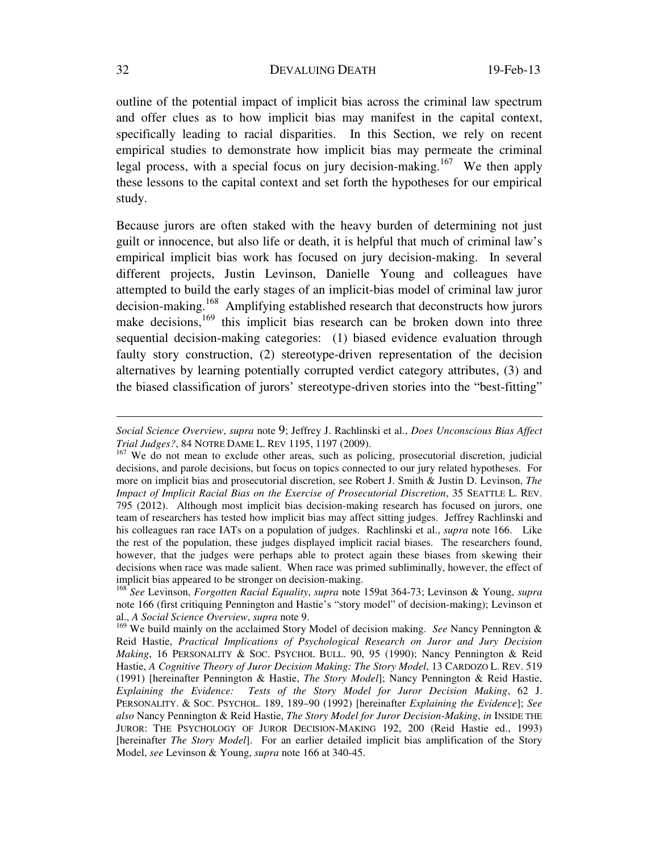outline of the potential impact of implicit bias across the criminal law spectrum and offer clues as to how implicit bias may manifest in the capital context, specifically leading to racial disparities. In this Section, we rely on recent empirical studies to demonstrate how implicit bias may permeate the criminal legal process, with a special focus on jury decision-making.<sup>167</sup> We then apply these lessons to the capital context and set forth the hypotheses for our empirical study.

Because jurors are often staked with the heavy burden of determining not just guilt or innocence, but also life or death, it is helpful that much of criminal law's empirical implicit bias work has focused on jury decision-making. In several different projects, Justin Levinson, Danielle Young and colleagues have attempted to build the early stages of an implicit-bias model of criminal law juror decision-making.<sup>168</sup> Amplifying established research that deconstructs how jurors make decisions,<sup>169</sup> this implicit bias research can be broken down into three sequential decision-making categories: (1) biased evidence evaluation through faulty story construction, (2) stereotype-driven representation of the decision alternatives by learning potentially corrupted verdict category attributes, (3) and the biased classification of jurors' stereotype-driven stories into the "best-fitting"

*Social Science Overview*, *supra* note 9; Jeffrey J. Rachlinski et al., *Does Unconscious Bias Affect Trial Judges?*, 84 NOTRE DAME L. REV 1195, 1197 (2009).

<sup>&</sup>lt;sup>167</sup> We do not mean to exclude other areas, such as policing, prosecutorial discretion, judicial decisions, and parole decisions, but focus on topics connected to our jury related hypotheses. For more on implicit bias and prosecutorial discretion, see Robert J. Smith & Justin D. Levinson, *The Impact of Implicit Racial Bias on the Exercise of Prosecutorial Discretion*, 35 SEATTLE L. REV. 795 (2012). Although most implicit bias decision-making research has focused on jurors, one team of researchers has tested how implicit bias may affect sitting judges. Jeffrey Rachlinski and his colleagues ran race IATs on a population of judges. Rachlinski et al., *supra* note 166. Like the rest of the population, these judges displayed implicit racial biases. The researchers found, however, that the judges were perhaps able to protect again these biases from skewing their decisions when race was made salient. When race was primed subliminally, however, the effect of implicit bias appeared to be stronger on decision-making.

<sup>168</sup> *See* Levinson, *Forgotten Racial Equality*, *supra* note 159at 364-73; Levinson & Young, *supra* note 166 (first critiquing Pennington and Hastie's "story model" of decision-making); Levinson et al., *A Social Science Overview*, *supra* note 9.

<sup>&</sup>lt;sup>169</sup> We build mainly on the acclaimed Story Model of decision making. *See* Nancy Pennington & Reid Hastie, *Practical Implications of Psychological Research on Juror and Jury Decision Making*, 16 PERSONALITY & SOC. PSYCHOL BULL. 90, 95 (1990); Nancy Pennington & Reid Hastie, *A Cognitive Theory of Juror Decision Making: The Story Model*, 13 CARDOZO L. REV. 519 (1991) [hereinafter Pennington & Hastie, *The Story Model*]; Nancy Pennington & Reid Hastie, *Explaining the Evidence: Tests of the Story Model for Juror Decision Making*, 62 J. PERSONALITY. & SOC. PSYCHOL. 189, 189–90 (1992) [hereinafter *Explaining the Evidence*]; *See also* Nancy Pennington & Reid Hastie, *The Story Model for Juror Decision-Making*, *in* INSIDE THE JUROR: THE PSYCHOLOGY OF JUROR DECISION-MAKING 192, 200 (Reid Hastie ed., 1993) [hereinafter *The Story Model*]. For an earlier detailed implicit bias amplification of the Story Model, *see* Levinson & Young, *supra* note 166 at 340-45.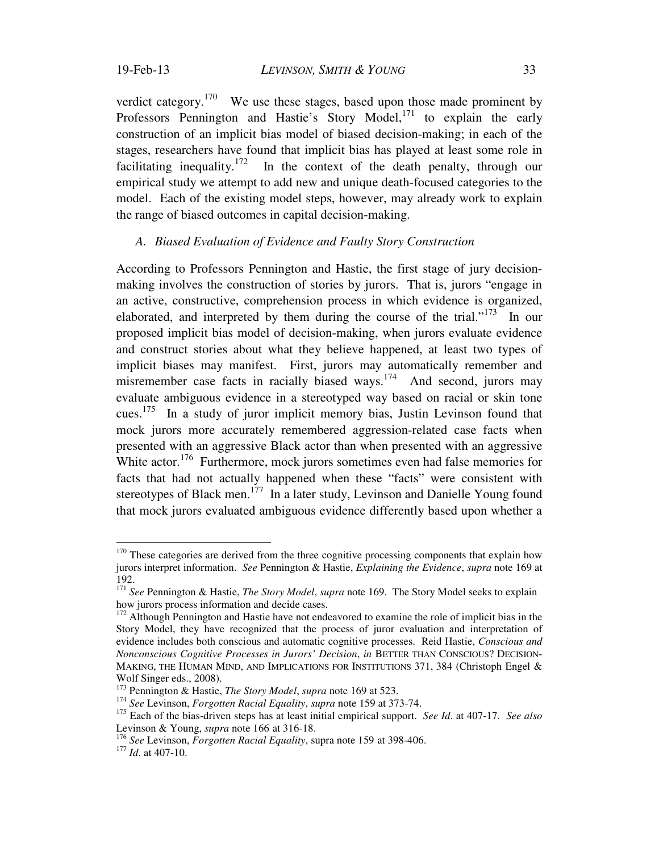verdict category.<sup>170</sup> We use these stages, based upon those made prominent by Professors Pennington and Hastie's Story Model,<sup>171</sup> to explain the early construction of an implicit bias model of biased decision-making; in each of the stages, researchers have found that implicit bias has played at least some role in facilitating inequality.<sup>172</sup> In the context of the death penalty, through our empirical study we attempt to add new and unique death-focused categories to the model. Each of the existing model steps, however, may already work to explain the range of biased outcomes in capital decision-making.

## *A. Biased Evaluation of Evidence and Faulty Story Construction*

According to Professors Pennington and Hastie, the first stage of jury decisionmaking involves the construction of stories by jurors. That is, jurors "engage in an active, constructive, comprehension process in which evidence is organized, elaborated, and interpreted by them during the course of the trial."<sup>173</sup> In our proposed implicit bias model of decision-making, when jurors evaluate evidence and construct stories about what they believe happened, at least two types of implicit biases may manifest. First, jurors may automatically remember and misremember case facts in racially biased ways.<sup>174</sup> And second, jurors may evaluate ambiguous evidence in a stereotyped way based on racial or skin tone cues.<sup>175</sup> In a study of juror implicit memory bias, Justin Levinson found that mock jurors more accurately remembered aggression-related case facts when presented with an aggressive Black actor than when presented with an aggressive White actor.<sup>176</sup> Furthermore, mock jurors sometimes even had false memories for facts that had not actually happened when these "facts" were consistent with stereotypes of Black men.<sup>177</sup> In a later study, Levinson and Danielle Young found that mock jurors evaluated ambiguous evidence differently based upon whether a

 $170$  These categories are derived from the three cognitive processing components that explain how jurors interpret information. *See* Pennington & Hastie, *Explaining the Evidence*, *supra* note 169 at 192.

<sup>171</sup> *See* Pennington & Hastie, *The Story Model*, *supra* note 169. The Story Model seeks to explain how jurors process information and decide cases.

<sup>&</sup>lt;sup>172</sup> Although Pennington and Hastie have not endeavored to examine the role of implicit bias in the Story Model, they have recognized that the process of juror evaluation and interpretation of evidence includes both conscious and automatic cognitive processes. Reid Hastie, *Conscious and Nonconscious Cognitive Processes in Jurors' Decision*, *in* BETTER THAN CONSCIOUS? DECISION-MAKING, THE HUMAN MIND, AND IMPLICATIONS FOR INSTITUTIONS 371, 384 (Christoph Engel & Wolf Singer eds., 2008).<br><sup>173</sup> Pennington & Hastie, *The Story Model*, *supra* note 169 at 523.

<sup>&</sup>lt;sup>174</sup> See Levinson, *Forgotten Racial Equality*, *supra* note 159 at 373-74.

<sup>175</sup> Each of the bias-driven steps has at least initial empirical support. *See Id*. at 407-17. *See also* Levinson & Young, *supra* note 166 at 316-18.

<sup>176</sup> *See* Levinson, *Forgotten Racial Equality*, supra note 159 at 398-406. 177 *Id*. at 407-10.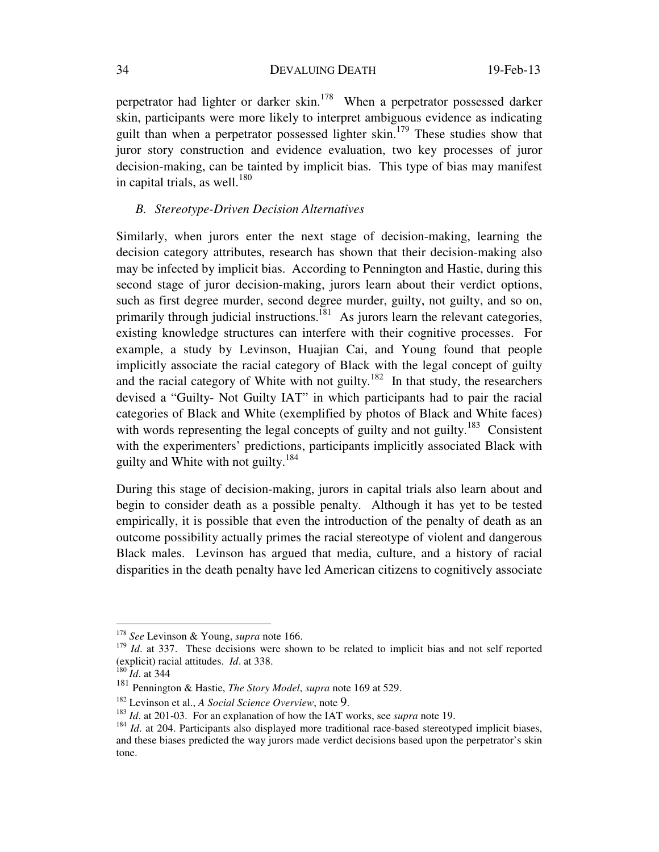perpetrator had lighter or darker skin.<sup>178</sup> When a perpetrator possessed darker skin, participants were more likely to interpret ambiguous evidence as indicating guilt than when a perpetrator possessed lighter skin.<sup>179</sup> These studies show that juror story construction and evidence evaluation, two key processes of juror decision-making, can be tainted by implicit bias. This type of bias may manifest in capital trials, as well. $^{180}$ 

## *B. Stereotype-Driven Decision Alternatives*

Similarly, when jurors enter the next stage of decision-making, learning the decision category attributes, research has shown that their decision-making also may be infected by implicit bias. According to Pennington and Hastie, during this second stage of juror decision-making, jurors learn about their verdict options, such as first degree murder, second degree murder, guilty, not guilty, and so on, primarily through judicial instructions.<sup>181</sup> As jurors learn the relevant categories, existing knowledge structures can interfere with their cognitive processes. For example, a study by Levinson, Huajian Cai, and Young found that people implicitly associate the racial category of Black with the legal concept of guilty and the racial category of White with not guilty.<sup>182</sup> In that study, the researchers devised a "Guilty- Not Guilty IAT" in which participants had to pair the racial categories of Black and White (exemplified by photos of Black and White faces) with words representing the legal concepts of guilty and not guilty.<sup>183</sup> Consistent with the experimenters' predictions, participants implicitly associated Black with guilty and White with not guilty.<sup>184</sup>

During this stage of decision-making, jurors in capital trials also learn about and begin to consider death as a possible penalty. Although it has yet to be tested empirically, it is possible that even the introduction of the penalty of death as an outcome possibility actually primes the racial stereotype of violent and dangerous Black males. Levinson has argued that media, culture, and a history of racial disparities in the death penalty have led American citizens to cognitively associate

<sup>178</sup> *See* Levinson & Young, *supra* note 166.

<sup>&</sup>lt;sup>179</sup> *Id.* at 337. These decisions were shown to be related to implicit bias and not self reported (explicit) racial attitudes. *Id.* at 338.<br><sup>180</sup> *Id.* at 344<br><sup>181</sup> Pennington & Hastie, *The Story Model*, *supra* note 169 at 529.

<sup>&</sup>lt;sup>182</sup> Levinson et al., *A Social Science Overview*, note 9.<br><sup>183</sup> *Id.* at 201-03. For an explanation of how the IAT works, see *supra* note 19.<br><sup>184</sup> *Id.* at 204. Participants also displayed more traditional race-based and these biases predicted the way jurors made verdict decisions based upon the perpetrator's skin tone.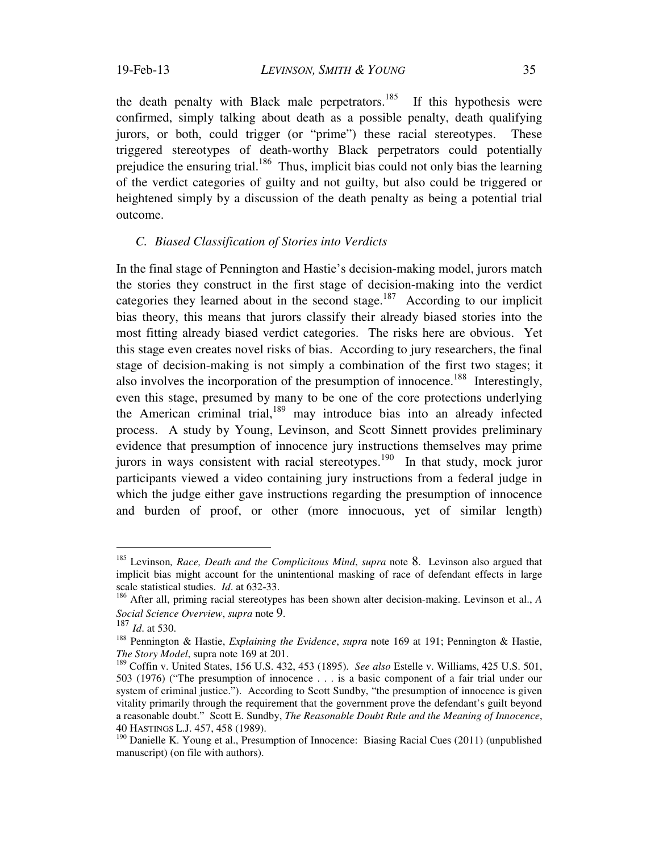the death penalty with Black male perpetrators.<sup>185</sup> If this hypothesis were confirmed, simply talking about death as a possible penalty, death qualifying jurors, or both, could trigger (or "prime") these racial stereotypes. These triggered stereotypes of death-worthy Black perpetrators could potentially prejudice the ensuring trial.<sup>186</sup> Thus, implicit bias could not only bias the learning of the verdict categories of guilty and not guilty, but also could be triggered or heightened simply by a discussion of the death penalty as being a potential trial outcome.

#### *C. Biased Classification of Stories into Verdicts*

In the final stage of Pennington and Hastie's decision-making model, jurors match the stories they construct in the first stage of decision-making into the verdict categories they learned about in the second stage.<sup>187</sup> According to our implicit bias theory, this means that jurors classify their already biased stories into the most fitting already biased verdict categories. The risks here are obvious. Yet this stage even creates novel risks of bias. According to jury researchers, the final stage of decision-making is not simply a combination of the first two stages; it also involves the incorporation of the presumption of innocence.<sup>188</sup> Interestingly, even this stage, presumed by many to be one of the core protections underlying the American criminal trial, $189$  may introduce bias into an already infected process. A study by Young, Levinson, and Scott Sinnett provides preliminary evidence that presumption of innocence jury instructions themselves may prime jurors in ways consistent with racial stereotypes.<sup>190</sup> In that study, mock juror participants viewed a video containing jury instructions from a federal judge in which the judge either gave instructions regarding the presumption of innocence and burden of proof, or other (more innocuous, yet of similar length)

<sup>185</sup> Levinson*, Race, Death and the Complicitous Mind*, *supra* note 8. Levinson also argued that implicit bias might account for the unintentional masking of race of defendant effects in large scale statistical studies. *Id*. at 632-33.

<sup>186</sup> After all, priming racial stereotypes has been shown alter decision-making. Levinson et al., *A* 

*Social Science Overview*, *supra* note 9. 187 *Id*. at 530. 188 Pennington & Hastie, *Explaining the Evidence*, *supra* note 169 at 191; Pennington & Hastie, *The Story Model*, supra note 169 at 201.

<sup>189</sup> Coffin v. United States, 156 U.S. 432, 453 (1895). *See also* Estelle v. Williams, 425 U.S. 501, 503 (1976) ("The presumption of innocence . . . is a basic component of a fair trial under our system of criminal justice."). According to Scott Sundby, "the presumption of innocence is given vitality primarily through the requirement that the government prove the defendant's guilt beyond a reasonable doubt." Scott E. Sundby, *The Reasonable Doubt Rule and the Meaning of Innocence*, 40 HASTINGS L.J. 457, 458 (1989).

<sup>&</sup>lt;sup>190</sup> Danielle K. Young et al., Presumption of Innocence: Biasing Racial Cues (2011) (unpublished manuscript) (on file with authors).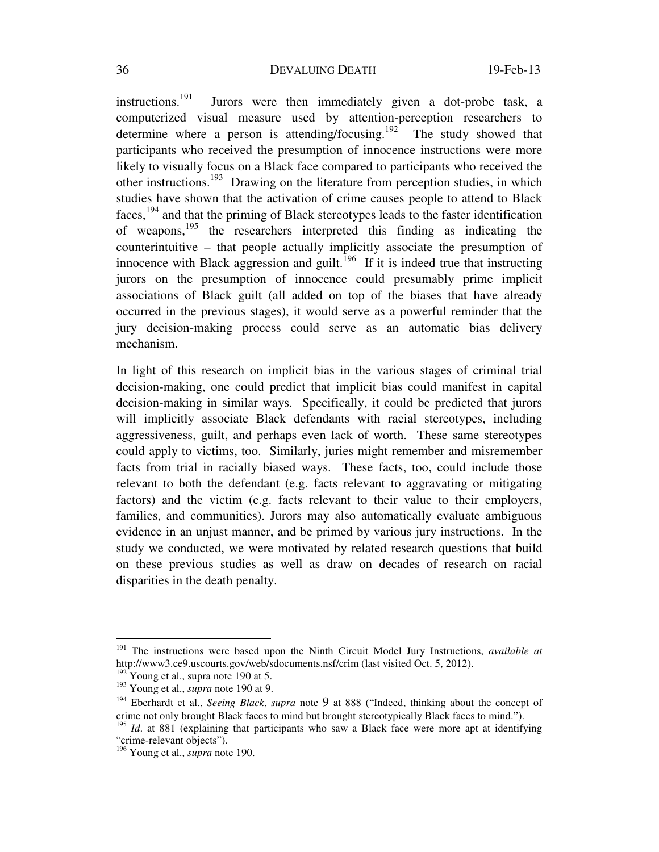instructions.<sup>191</sup> Jurors were then immediately given a dot-probe task, a computerized visual measure used by attention-perception researchers to determine where a person is attending/focusing.<sup>192</sup> The study showed that participants who received the presumption of innocence instructions were more likely to visually focus on a Black face compared to participants who received the other instructions.193 Drawing on the literature from perception studies, in which studies have shown that the activation of crime causes people to attend to Black faces,194 and that the priming of Black stereotypes leads to the faster identification of weapons,195 the researchers interpreted this finding as indicating the counterintuitive – that people actually implicitly associate the presumption of innocence with Black aggression and guilt.<sup>196</sup> If it is indeed true that instructing jurors on the presumption of innocence could presumably prime implicit associations of Black guilt (all added on top of the biases that have already occurred in the previous stages), it would serve as a powerful reminder that the jury decision-making process could serve as an automatic bias delivery mechanism.

In light of this research on implicit bias in the various stages of criminal trial decision-making, one could predict that implicit bias could manifest in capital decision-making in similar ways. Specifically, it could be predicted that jurors will implicitly associate Black defendants with racial stereotypes, including aggressiveness, guilt, and perhaps even lack of worth. These same stereotypes could apply to victims, too. Similarly, juries might remember and misremember facts from trial in racially biased ways. These facts, too, could include those relevant to both the defendant (e.g. facts relevant to aggravating or mitigating factors) and the victim (e.g. facts relevant to their value to their employers, families, and communities). Jurors may also automatically evaluate ambiguous evidence in an unjust manner, and be primed by various jury instructions. In the study we conducted, we were motivated by related research questions that build on these previous studies as well as draw on decades of research on racial disparities in the death penalty.

<sup>191</sup> The instructions were based upon the Ninth Circuit Model Jury Instructions, *available at* http://www3.ce9.uscourts.gov/web/sdocuments.nsf/crim (last visited Oct. 5, 2012).

 $\frac{192}{192}$  Young et al., supra note 190 at 5.

<sup>193</sup> Young et al., *supra* note 190 at 9.

<sup>194</sup> Eberhardt et al., *Seeing Black*, *supra* note 9 at 888 ("Indeed, thinking about the concept of crime not only brought Black faces to mind but brought stereotypically Black faces to mind.").

<sup>&</sup>lt;sup>195</sup> *Id.* at 881 (explaining that participants who saw a Black face were more apt at identifying "crime-relevant objects").

<sup>196</sup> Young et al., *supra* note 190.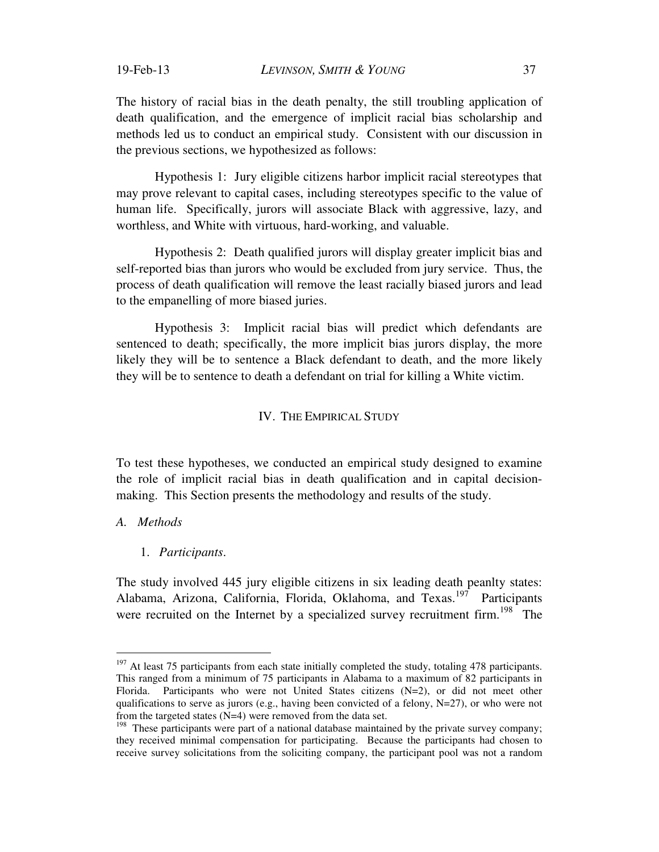The history of racial bias in the death penalty, the still troubling application of death qualification, and the emergence of implicit racial bias scholarship and methods led us to conduct an empirical study. Consistent with our discussion in the previous sections, we hypothesized as follows:

 Hypothesis 1: Jury eligible citizens harbor implicit racial stereotypes that may prove relevant to capital cases, including stereotypes specific to the value of human life. Specifically, jurors will associate Black with aggressive, lazy, and worthless, and White with virtuous, hard-working, and valuable.

 Hypothesis 2: Death qualified jurors will display greater implicit bias and self-reported bias than jurors who would be excluded from jury service. Thus, the process of death qualification will remove the least racially biased jurors and lead to the empanelling of more biased juries.

 Hypothesis 3: Implicit racial bias will predict which defendants are sentenced to death; specifically, the more implicit bias jurors display, the more likely they will be to sentence a Black defendant to death, and the more likely they will be to sentence to death a defendant on trial for killing a White victim.

#### IV. THE EMPIRICAL STUDY

To test these hypotheses, we conducted an empirical study designed to examine the role of implicit racial bias in death qualification and in capital decisionmaking. This Section presents the methodology and results of the study.

## *A. Methods*

 $\overline{a}$ 

1. *Participants*.

The study involved 445 jury eligible citizens in six leading death peanlty states: Alabama, Arizona, California, Florida, Oklahoma, and Texas.<sup>197</sup> Participants were recruited on the Internet by a specialized survey recruitment firm.<sup>198</sup> The

 $197$  At least 75 participants from each state initially completed the study, totaling 478 participants. This ranged from a minimum of 75 participants in Alabama to a maximum of 82 participants in Florida. Participants who were not United States citizens (N=2), or did not meet other qualifications to serve as jurors (e.g., having been convicted of a felony,  $N=27$ ), or who were not from the targeted states (N=4) were removed from the data set.

 $198$  These participants were part of a national database maintained by the private survey company; they received minimal compensation for participating. Because the participants had chosen to receive survey solicitations from the soliciting company, the participant pool was not a random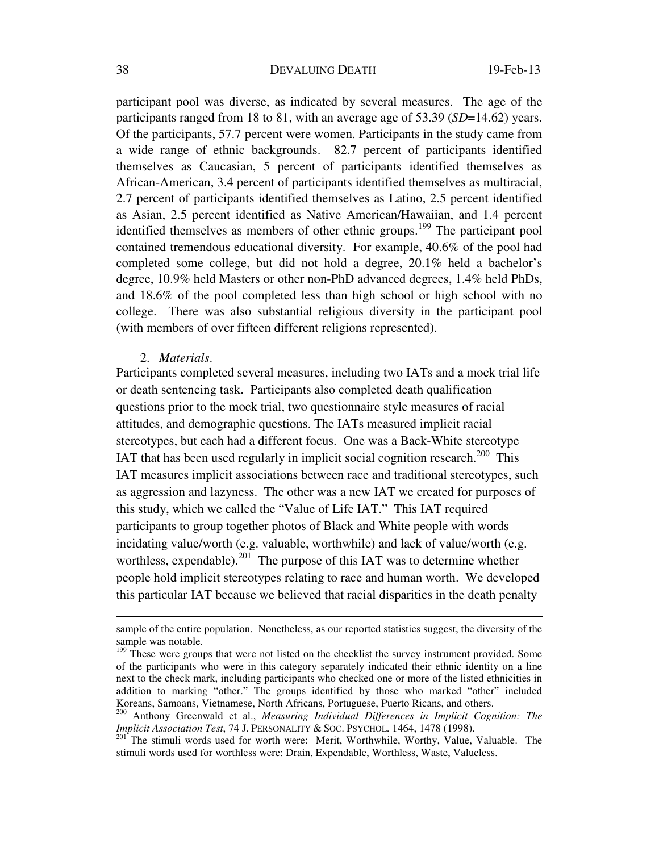participant pool was diverse, as indicated by several measures. The age of the participants ranged from 18 to 81, with an average age of 53.39 (*SD*=14.62) years. Of the participants, 57.7 percent were women. Participants in the study came from a wide range of ethnic backgrounds. 82.7 percent of participants identified themselves as Caucasian, 5 percent of participants identified themselves as African-American, 3.4 percent of participants identified themselves as multiracial, 2.7 percent of participants identified themselves as Latino, 2.5 percent identified as Asian, 2.5 percent identified as Native American/Hawaiian, and 1.4 percent identified themselves as members of other ethnic groups.<sup>199</sup> The participant pool contained tremendous educational diversity. For example, 40.6% of the pool had completed some college, but did not hold a degree, 20.1% held a bachelor's degree, 10.9% held Masters or other non-PhD advanced degrees, 1.4% held PhDs, and 18.6% of the pool completed less than high school or high school with no college. There was also substantial religious diversity in the participant pool (with members of over fifteen different religions represented).

## 2. *Materials*.

 $\overline{a}$ 

Participants completed several measures, including two IATs and a mock trial life or death sentencing task. Participants also completed death qualification questions prior to the mock trial, two questionnaire style measures of racial attitudes, and demographic questions. The IATs measured implicit racial stereotypes, but each had a different focus. One was a Back-White stereotype IAT that has been used regularly in implicit social cognition research.<sup>200</sup> This IAT measures implicit associations between race and traditional stereotypes, such as aggression and lazyness. The other was a new IAT we created for purposes of this study, which we called the "Value of Life IAT." This IAT required participants to group together photos of Black and White people with words incidating value/worth (e.g. valuable, worthwhile) and lack of value/worth (e.g. worthless, expendable).<sup>201</sup> The purpose of this IAT was to determine whether people hold implicit stereotypes relating to race and human worth. We developed this particular IAT because we believed that racial disparities in the death penalty

sample of the entire population. Nonetheless, as our reported statistics suggest, the diversity of the sample was notable.

<sup>&</sup>lt;sup>199</sup> These were groups that were not listed on the checklist the survey instrument provided. Some of the participants who were in this category separately indicated their ethnic identity on a line next to the check mark, including participants who checked one or more of the listed ethnicities in addition to marking "other." The groups identified by those who marked "other" included

Koreans, Samoans, Vietnamese, North Africans, Portuguese, Puerto Ricans, and others.<br><sup>200</sup> Anthony Greenwald et al., *Measuring Individual Differences in Implicit Cognition: The Implicit Association Test*, 74 J. PERSONALIT

<sup>&</sup>lt;sup>201</sup> The stimuli words used for worth were: Merit, Worthwhile, Worthy, Value, Valuable. The stimuli words used for worthless were: Drain, Expendable, Worthless, Waste, Valueless.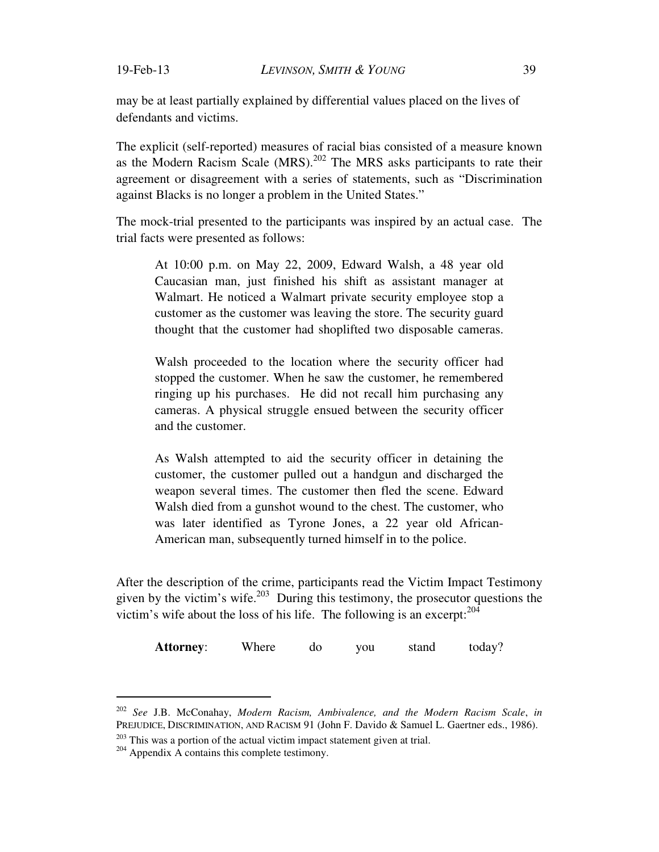may be at least partially explained by differential values placed on the lives of defendants and victims.

The explicit (self-reported) measures of racial bias consisted of a measure known as the Modern Racism Scale  $(MRS)$ <sup>202</sup> The MRS asks participants to rate their agreement or disagreement with a series of statements, such as "Discrimination against Blacks is no longer a problem in the United States."

The mock-trial presented to the participants was inspired by an actual case. The trial facts were presented as follows:

At 10:00 p.m. on May 22, 2009, Edward Walsh, a 48 year old Caucasian man, just finished his shift as assistant manager at Walmart. He noticed a Walmart private security employee stop a customer as the customer was leaving the store. The security guard thought that the customer had shoplifted two disposable cameras.

Walsh proceeded to the location where the security officer had stopped the customer. When he saw the customer, he remembered ringing up his purchases. He did not recall him purchasing any cameras. A physical struggle ensued between the security officer and the customer.

As Walsh attempted to aid the security officer in detaining the customer, the customer pulled out a handgun and discharged the weapon several times. The customer then fled the scene. Edward Walsh died from a gunshot wound to the chest. The customer, who was later identified as Tyrone Jones, a 22 year old African-American man, subsequently turned himself in to the police.

After the description of the crime, participants read the Victim Impact Testimony given by the victim's wife.<sup>203</sup> During this testimony, the prosecutor questions the victim's wife about the loss of his life. The following is an excerpt: $^{204}$ 

Attorney: Where do you stand today?

<sup>202</sup> *See* J.B. McConahay, *Modern Racism, Ambivalence, and the Modern Racism Scale*, *in* PREJUDICE, DISCRIMINATION, AND RACISM 91 (John F. Davido & Samuel L. Gaertner eds., 1986). <sup>203</sup> This was a portion of the actual victim impact statement given at trial. <sup>204</sup> Appendix A contains this complete testimony.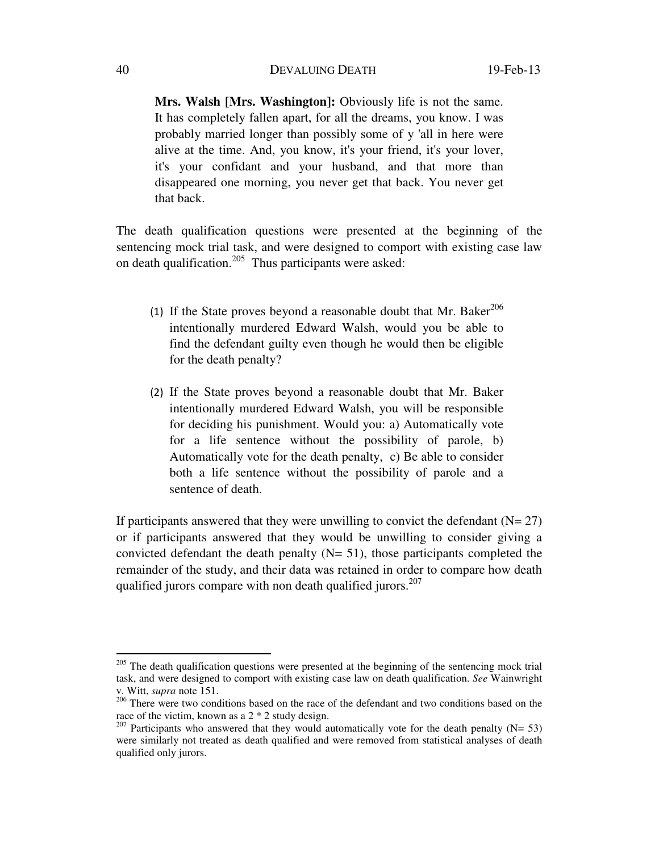**Mrs. Walsh [Mrs. Washington]:** Obviously life is not the same. It has completely fallen apart, for all the dreams, you know. I was probably married longer than possibly some of y 'all in here were alive at the time. And, you know, it's your friend, it's your lover, it's your confidant and your husband, and that more than disappeared one morning, you never get that back. You never get that back.

The death qualification questions were presented at the beginning of the sentencing mock trial task, and were designed to comport with existing case law on death qualification.205 Thus participants were asked:

- (1) If the State proves beyond a reasonable doubt that Mr. Baker<sup>206</sup> intentionally murdered Edward Walsh, would you be able to find the defendant guilty even though he would then be eligible for the death penalty?
- (2) If the State proves beyond a reasonable doubt that Mr. Baker intentionally murdered Edward Walsh, you will be responsible for deciding his punishment. Would you: a) Automatically vote for a life sentence without the possibility of parole, b) Automatically vote for the death penalty, c) Be able to consider both a life sentence without the possibility of parole and a sentence of death.

If participants answered that they were unwilling to convict the defendant  $(N= 27)$ or if participants answered that they would be unwilling to consider giving a convicted defendant the death penalty  $(N= 51)$ , those participants completed the remainder of the study, and their data was retained in order to compare how death qualified jurors compare with non death qualified jurors.<sup>207</sup>

<sup>&</sup>lt;sup>205</sup> The death qualification questions were presented at the beginning of the sentencing mock trial task, and were designed to comport with existing case law on death qualification. *See* Wainwright v. Witt, *supra* note 151.

<sup>&</sup>lt;sup>206</sup> There were two conditions based on the race of the defendant and two conditions based on the race of the victim, known as a 2 \* 2 study design.

<sup>&</sup>lt;sup>207</sup> Participants who answered that they would automatically vote for the death penalty (N= 53) were similarly not treated as death qualified and were removed from statistical analyses of death qualified only jurors.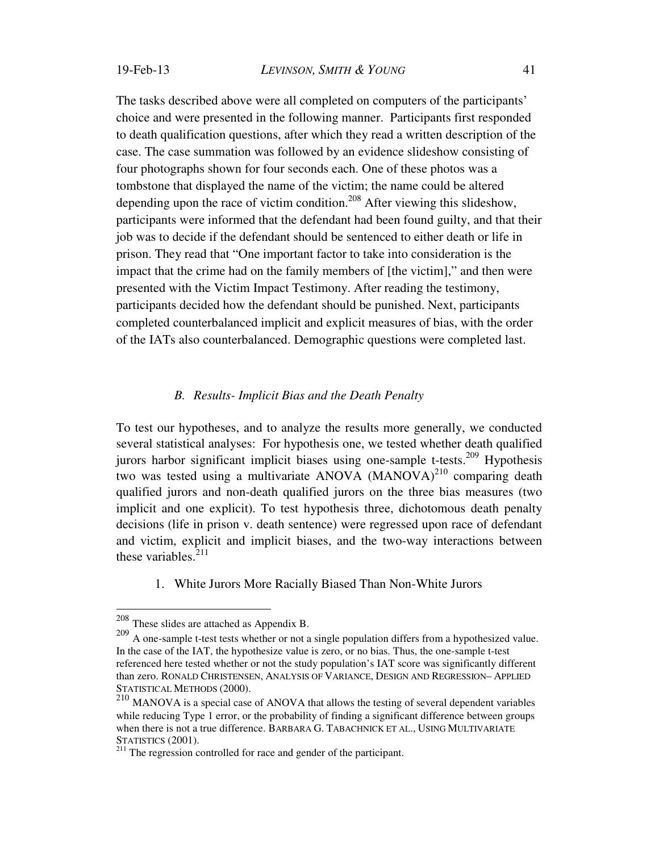The tasks described above were all completed on computers of the participants' choice and were presented in the following manner. Participants first responded to death qualification questions, after which they read a written description of the case. The case summation was followed by an evidence slideshow consisting of four photographs shown for four seconds each. One of these photos was a tombstone that displayed the name of the victim; the name could be altered depending upon the race of victim condition.<sup>208</sup> After viewing this slideshow, participants were informed that the defendant had been found guilty, and that their job was to decide if the defendant should be sentenced to either death or life in prison. They read that "One important factor to take into consideration is the impact that the crime had on the family members of [the victim]," and then were presented with the Victim Impact Testimony. After reading the testimony, participants decided how the defendant should be punished. Next, participants completed counterbalanced implicit and explicit measures of bias, with the order of the IATs also counterbalanced. Demographic questions were completed last.

### *B. Results- Implicit Bias and the Death Penalty*

To test our hypotheses, and to analyze the results more generally, we conducted several statistical analyses: For hypothesis one, we tested whether death qualified jurors harbor significant implicit biases using one-sample t-tests.<sup>209</sup> Hypothesis two was tested using a multivariate ANOVA (MANOVA)<sup>210</sup> comparing death qualified jurors and non-death qualified jurors on the three bias measures (two implicit and one explicit). To test hypothesis three, dichotomous death penalty decisions (life in prison v. death sentence) were regressed upon race of defendant and victim, explicit and implicit biases, and the two-way interactions between these variables. $^{211}$ 

1. White Jurors More Racially Biased Than Non-White Jurors

 $208$  These slides are attached as Appendix B.

<sup>&</sup>lt;sup>209</sup> A one-sample t-test tests whether or not a single population differs from a hypothesized value. In the case of the IAT, the hypothesize value is zero, or no bias. Thus, the one-sample t-test referenced here tested whether or not the study population's IAT score was significantly different than zero. RONALD CHRISTENSEN, ANALYSIS OF VARIANCE, DESIGN AND REGRESSION– APPLIED STATISTICAL METHODS (2000).

<sup>210</sup> MANOVA is a special case of ANOVA that allows the testing of several dependent variables while reducing Type 1 error, or the probability of finding a significant difference between groups when there is not a true difference. BARBARA G. TABACHNICK ET AL., USING MULTIVARIATE STATISTICS (2001).

 $211$  The regression controlled for race and gender of the participant.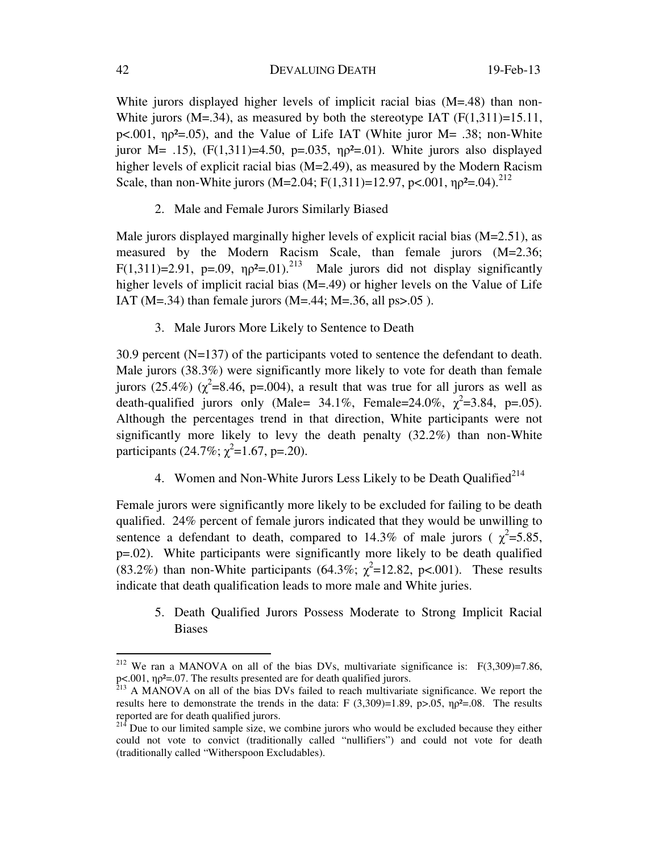White jurors displayed higher levels of implicit racial bias (M=.48) than non-White jurors (M=.34), as measured by both the stereotype IAT  $(F(1,311)=15.11)$ , p<.001,  $np^2 = 0.05$ ), and the Value of Life IAT (White juror M = .38; non-White juror M= .15),  $(F(1,311)=4.50, p=.035, \eta p^2=.01)$ . White jurors also displayed higher levels of explicit racial bias (M=2.49), as measured by the Modern Racism Scale, than non-White jurors (M=2.04; F(1,311)=12.97, p<.001,  $np^2$ =.04).<sup>212</sup>

2. Male and Female Jurors Similarly Biased

Male jurors displayed marginally higher levels of explicit racial bias (M=2.51), as measured by the Modern Racism Scale, than female jurors (M=2.36; F(1,311)=2.91, p=.09,  $\eta \rho^2$ =.01).<sup>213</sup> Male jurors did not display significantly higher levels of implicit racial bias (M=.49) or higher levels on the Value of Life IAT ( $M = .34$ ) than female jurors ( $M = .44$ ;  $M = .36$ , all ps $> .05$ ).

3. Male Jurors More Likely to Sentence to Death

30.9 percent (N=137) of the participants voted to sentence the defendant to death. Male jurors (38.3%) were significantly more likely to vote for death than female jurors (25.4%) ( $\chi^2$ =8.46, p=.004), a result that was true for all jurors as well as death-qualified jurors only (Male= 34.1%, Female=24.0%,  $\chi^2$ =3.84, p=.05). Although the percentages trend in that direction, White participants were not significantly more likely to levy the death penalty (32.2%) than non-White participants  $(24.7\%; \chi^2=1.67, p=.20)$ .

4. Women and Non-White Jurors Less Likely to be Death Qualified<sup>214</sup>

Female jurors were significantly more likely to be excluded for failing to be death qualified. 24% percent of female jurors indicated that they would be unwilling to sentence a defendant to death, compared to 14.3% of male jurors ( $\chi^2$ =5.85, p=.02). White participants were significantly more likely to be death qualified (83.2%) than non-White participants (64.3%;  $\chi^2$ =12.82, p<.001). These results indicate that death qualification leads to more male and White juries.

5. Death Qualified Jurors Possess Moderate to Strong Implicit Racial Biases

<sup>&</sup>lt;sup>212</sup> We ran a MANOVA on all of the bias DVs, multivariate significance is:  $F(3,309)=7.86$ , p<.001,  $np^2$ =.07. The results presented are for death qualified jurors.<br><sup>213</sup> A MANOVA on all of the bias DVs failed to reach multivariate significance. We report the

results here to demonstrate the trends in the data: F  $(3,309)=1.89$ , p $>0.05$ ,  $\eta p^2=0.08$ . The results reported are for death qualified jurors.

 $214$  Due to our limited sample size, we combine jurors who would be excluded because they either could not vote to convict (traditionally called "nullifiers") and could not vote for death (traditionally called "Witherspoon Excludables).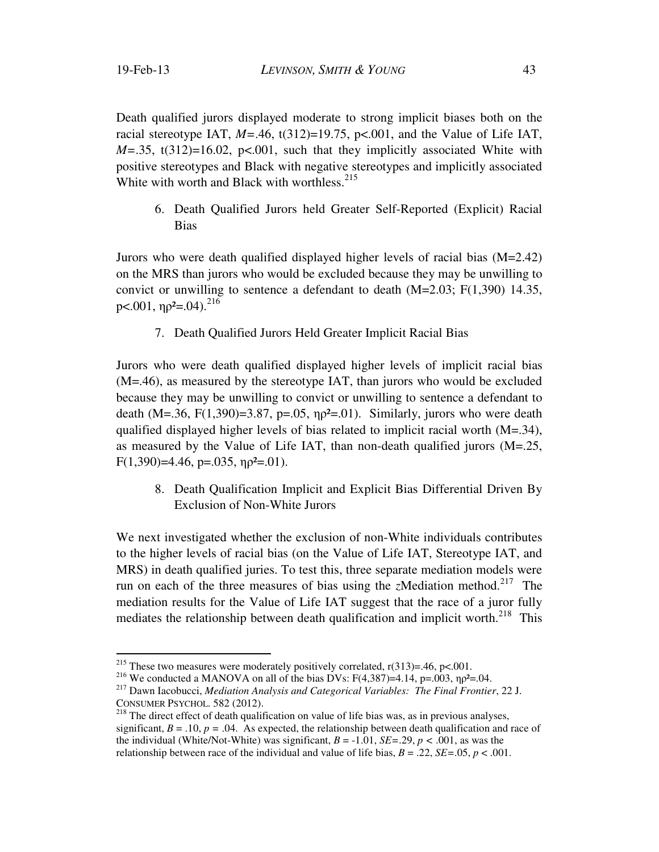$\overline{a}$ 

Death qualified jurors displayed moderate to strong implicit biases both on the racial stereotype IAT,  $M=46$ , t(312)=19.75, p<.001, and the Value of Life IAT,  $M = 0.35$ , t(312)=16.02, p<.001, such that they implicitly associated White with positive stereotypes and Black with negative stereotypes and implicitly associated White with worth and Black with worthless.<sup>215</sup>

6. Death Qualified Jurors held Greater Self-Reported (Explicit) Racial Bias

Jurors who were death qualified displayed higher levels of racial bias (M=2.42) on the MRS than jurors who would be excluded because they may be unwilling to convict or unwilling to sentence a defendant to death  $(M=2.03; F(1,390)$  14.35, p $< 0.001$ ,  $\eta$  $p^2 = 0.04$ ).<sup>216</sup>

7. Death Qualified Jurors Held Greater Implicit Racial Bias

Jurors who were death qualified displayed higher levels of implicit racial bias (M=.46), as measured by the stereotype IAT, than jurors who would be excluded because they may be unwilling to convict or unwilling to sentence a defendant to death (M=.36, F(1,390)=3.87, p=.05,  $np^2$ =.01). Similarly, jurors who were death qualified displayed higher levels of bias related to implicit racial worth  $(M=34)$ , as measured by the Value of Life IAT, than non-death qualified jurors (M=.25, F(1,390)=4.46, p=.035,  $np^2$ =.01).

8. Death Qualification Implicit and Explicit Bias Differential Driven By Exclusion of Non-White Jurors

We next investigated whether the exclusion of non-White individuals contributes to the higher levels of racial bias (on the Value of Life IAT, Stereotype IAT, and MRS) in death qualified juries. To test this, three separate mediation models were run on each of the three measures of bias using the *z*Mediation method.<sup>217</sup> The mediation results for the Value of Life IAT suggest that the race of a juror fully mediates the relationship between death qualification and implicit worth.<sup>218</sup> This

<sup>&</sup>lt;sup>215</sup> These two measures were moderately positively correlated,  $r(313)=.46$ ,  $p<.001$ .

<sup>&</sup>lt;sup>216</sup> We conducted a MANOVA on all of the bias DVs: F(4,387)=4.14, p=.003,  $np^2$ =.04.<br><sup>217</sup> Dawn Iacobucci, *Mediation Analysis and Categorical Variables: The Final Frontier*, 22 J.

CONSUMER PSYCHOL. 582 (2012).<br><sup>218</sup> The direct effect of death qualification on value of life bias was, as in previous analyses, significant,  $B = .10$ ,  $p = .04$ . As expected, the relationship between death qualification and race of the individual (White/Not-White) was significant,  $B = -1.01$ ,  $SE = .29$ ,  $p < .001$ , as was the relationship between race of the individual and value of life bias,  $B = .22$ ,  $SE = .05$ ,  $p < .001$ .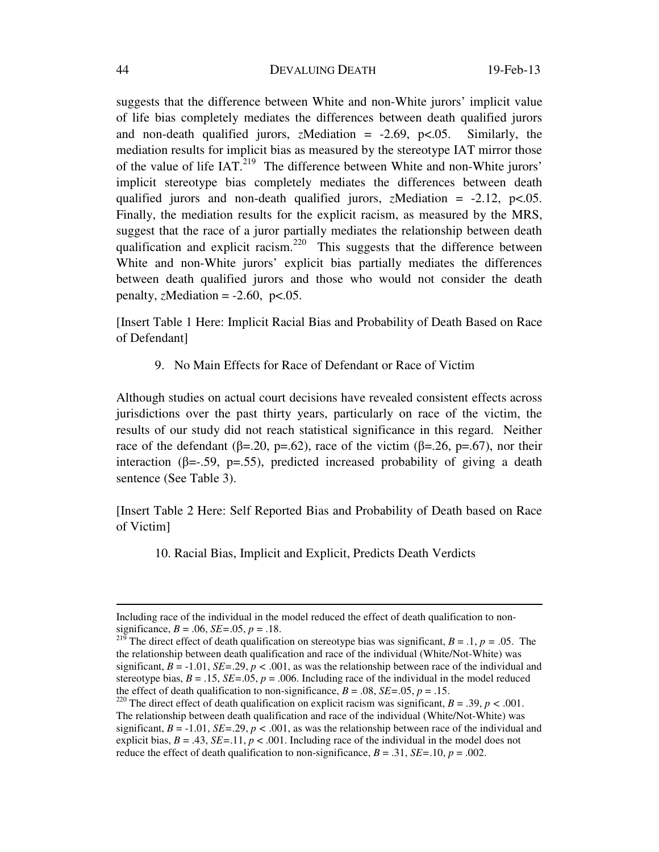suggests that the difference between White and non-White jurors' implicit value of life bias completely mediates the differences between death qualified jurors and non-death qualified jurors, *z*Mediation = -2.69, p<.05. Similarly, the mediation results for implicit bias as measured by the stereotype IAT mirror those of the value of life IAT.219 The difference between White and non-White jurors' implicit stereotype bias completely mediates the differences between death qualified jurors and non-death qualified jurors, *z*Mediation =  $-2.12$ , p<.05. Finally, the mediation results for the explicit racism, as measured by the MRS, suggest that the race of a juror partially mediates the relationship between death qualification and explicit racism.<sup>220</sup> This suggests that the difference between White and non-White jurors' explicit bias partially mediates the differences between death qualified jurors and those who would not consider the death penalty, *z*Mediation =  $-2.60$ ,  $p<.05$ .

[Insert Table 1 Here: Implicit Racial Bias and Probability of Death Based on Race of Defendant]

9. No Main Effects for Race of Defendant or Race of Victim

Although studies on actual court decisions have revealed consistent effects across jurisdictions over the past thirty years, particularly on race of the victim, the results of our study did not reach statistical significance in this regard. Neither race of the defendant ( $\beta$ =.20, p=.62), race of the victim ( $\beta$ =.26, p=.67), nor their interaction ( $\beta = -0.59$ ,  $p = 0.55$ ), predicted increased probability of giving a death sentence (See Table 3).

[Insert Table 2 Here: Self Reported Bias and Probability of Death based on Race of Victim]

10. Racial Bias, Implicit and Explicit, Predicts Death Verdicts

Including race of the individual in the model reduced the effect of death qualification to nonsignificance, *B* = .06, *SE=*.05, *p* = .18.

<sup>&</sup>lt;sup>219</sup> The direct effect of death qualification on stereotype bias was significant,  $B = .1, p = .05$ . The the relationship between death qualification and race of the individual (White/Not-White) was significant,  $B = -1.01$ ,  $SE = .29$ ,  $p < .001$ , as was the relationship between race of the individual and stereotype bias,  $B = .15$ ,  $SE = .05$ ,  $p = .006$ . Including race of the individual in the model reduced the effect of death qualification to non-significance,  $B = .08$ ,  $SE = .05$ ,  $p = .15$ .<br><sup>220</sup> The direct effect of death qualification on explicit racism was significant,  $B = .39$ ,  $p < .001$ .

The relationship between death qualification and race of the individual (White/Not-White) was significant,  $B = -1.01$ ,  $SE = .29$ ,  $p < .001$ , as was the relationship between race of the individual and explicit bias,  $B = .43$ ,  $SE = .11$ ,  $p < .001$ . Including race of the individual in the model does not reduce the effect of death qualification to non-significance,  $B = .31$ ,  $SE = .10$ ,  $p = .002$ .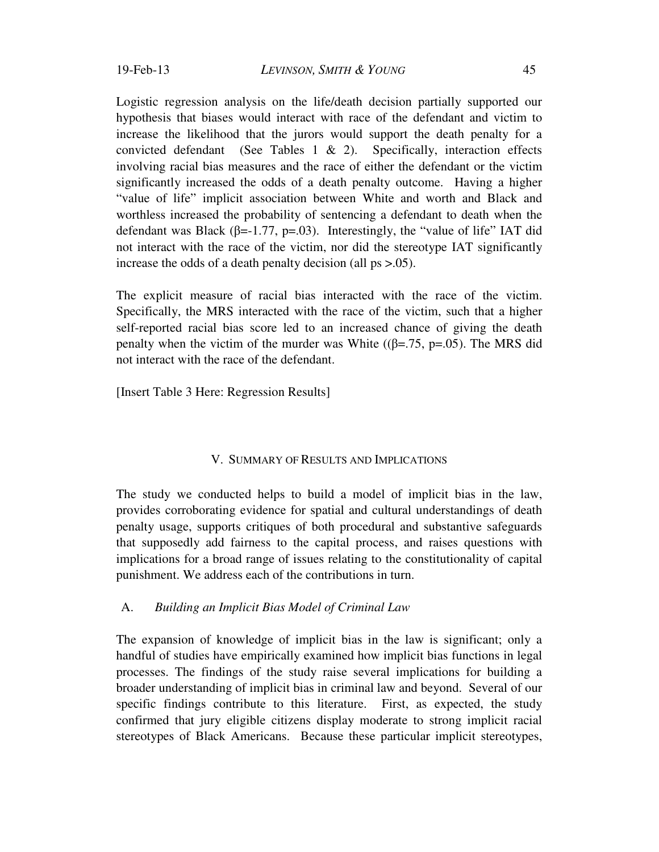Logistic regression analysis on the life/death decision partially supported our hypothesis that biases would interact with race of the defendant and victim to increase the likelihood that the jurors would support the death penalty for a convicted defendant (See Tables 1 & 2). Specifically, interaction effects involving racial bias measures and the race of either the defendant or the victim significantly increased the odds of a death penalty outcome. Having a higher "value of life" implicit association between White and worth and Black and worthless increased the probability of sentencing a defendant to death when the defendant was Black ( $\beta$ =-1.77, p=.03). Interestingly, the "value of life" IAT did not interact with the race of the victim, nor did the stereotype IAT significantly increase the odds of a death penalty decision (all ps >.05).

The explicit measure of racial bias interacted with the race of the victim. Specifically, the MRS interacted with the race of the victim, such that a higher self-reported racial bias score led to an increased chance of giving the death penalty when the victim of the murder was White ( $(\beta = .75, p = .05)$ ). The MRS did not interact with the race of the defendant.

[Insert Table 3 Here: Regression Results]

#### V. SUMMARY OF RESULTS AND IMPLICATIONS

The study we conducted helps to build a model of implicit bias in the law, provides corroborating evidence for spatial and cultural understandings of death penalty usage, supports critiques of both procedural and substantive safeguards that supposedly add fairness to the capital process, and raises questions with implications for a broad range of issues relating to the constitutionality of capital punishment. We address each of the contributions in turn.

## A. *Building an Implicit Bias Model of Criminal Law*

The expansion of knowledge of implicit bias in the law is significant; only a handful of studies have empirically examined how implicit bias functions in legal processes. The findings of the study raise several implications for building a broader understanding of implicit bias in criminal law and beyond. Several of our specific findings contribute to this literature. First, as expected, the study confirmed that jury eligible citizens display moderate to strong implicit racial stereotypes of Black Americans. Because these particular implicit stereotypes,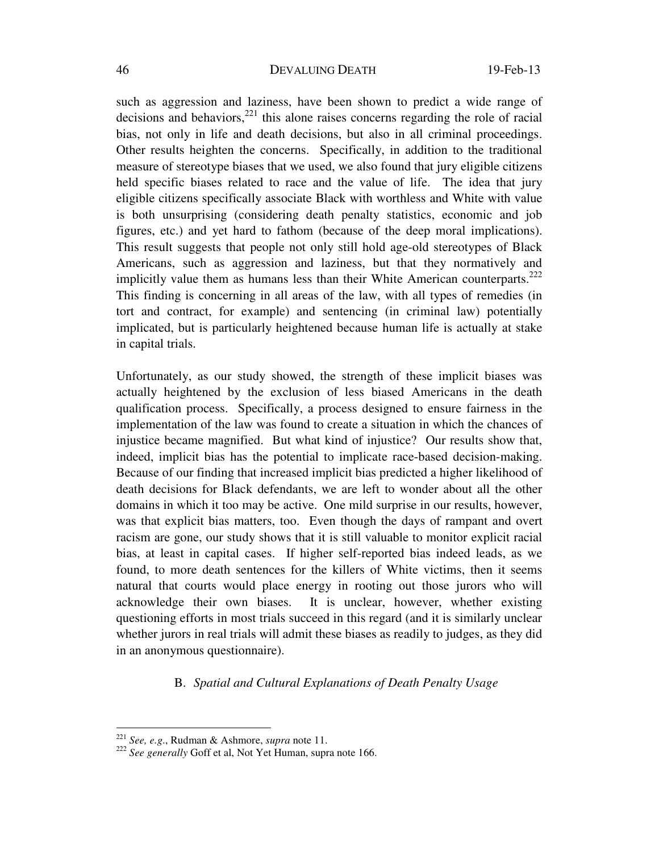such as aggression and laziness, have been shown to predict a wide range of decisions and behaviors, $^{221}$  this alone raises concerns regarding the role of racial bias, not only in life and death decisions, but also in all criminal proceedings. Other results heighten the concerns. Specifically, in addition to the traditional measure of stereotype biases that we used, we also found that jury eligible citizens held specific biases related to race and the value of life. The idea that jury eligible citizens specifically associate Black with worthless and White with value is both unsurprising (considering death penalty statistics, economic and job figures, etc.) and yet hard to fathom (because of the deep moral implications). This result suggests that people not only still hold age-old stereotypes of Black Americans, such as aggression and laziness, but that they normatively and implicitly value them as humans less than their White American counterparts.<sup>222</sup> This finding is concerning in all areas of the law, with all types of remedies (in tort and contract, for example) and sentencing (in criminal law) potentially implicated, but is particularly heightened because human life is actually at stake in capital trials.

Unfortunately, as our study showed, the strength of these implicit biases was actually heightened by the exclusion of less biased Americans in the death qualification process. Specifically, a process designed to ensure fairness in the implementation of the law was found to create a situation in which the chances of injustice became magnified. But what kind of injustice? Our results show that, indeed, implicit bias has the potential to implicate race-based decision-making. Because of our finding that increased implicit bias predicted a higher likelihood of death decisions for Black defendants, we are left to wonder about all the other domains in which it too may be active. One mild surprise in our results, however, was that explicit bias matters, too. Even though the days of rampant and overt racism are gone, our study shows that it is still valuable to monitor explicit racial bias, at least in capital cases. If higher self-reported bias indeed leads, as we found, to more death sentences for the killers of White victims, then it seems natural that courts would place energy in rooting out those jurors who will acknowledge their own biases. It is unclear, however, whether existing questioning efforts in most trials succeed in this regard (and it is similarly unclear whether jurors in real trials will admit these biases as readily to judges, as they did in an anonymous questionnaire).

## B. *Spatial and Cultural Explanations of Death Penalty Usage*

 $221$  See, e.g., Rudman & Ashmore, supra note 11.

<sup>&</sup>lt;sup>222</sup> See generally Goff et al, Not Yet Human, supra note 166.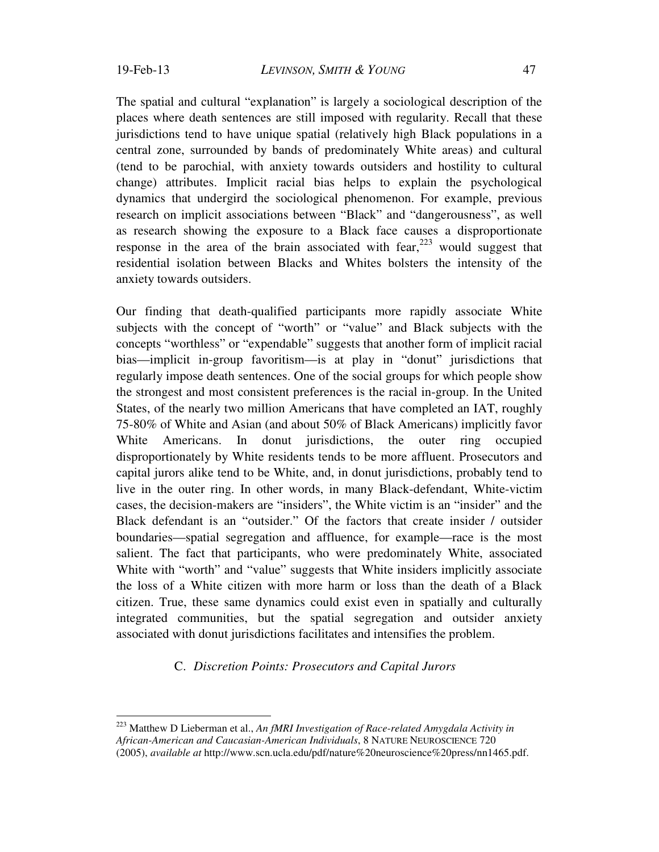$\overline{a}$ 

The spatial and cultural "explanation" is largely a sociological description of the places where death sentences are still imposed with regularity. Recall that these jurisdictions tend to have unique spatial (relatively high Black populations in a central zone, surrounded by bands of predominately White areas) and cultural (tend to be parochial, with anxiety towards outsiders and hostility to cultural change) attributes. Implicit racial bias helps to explain the psychological dynamics that undergird the sociological phenomenon. For example, previous research on implicit associations between "Black" and "dangerousness", as well as research showing the exposure to a Black face causes a disproportionate response in the area of the brain associated with fear,  $223$  would suggest that residential isolation between Blacks and Whites bolsters the intensity of the anxiety towards outsiders.

Our finding that death-qualified participants more rapidly associate White subjects with the concept of "worth" or "value" and Black subjects with the concepts "worthless" or "expendable" suggests that another form of implicit racial bias—implicit in-group favoritism—is at play in "donut" jurisdictions that regularly impose death sentences. One of the social groups for which people show the strongest and most consistent preferences is the racial in-group. In the United States, of the nearly two million Americans that have completed an IAT, roughly 75-80% of White and Asian (and about 50% of Black Americans) implicitly favor White Americans. In donut jurisdictions, the outer ring occupied disproportionately by White residents tends to be more affluent. Prosecutors and capital jurors alike tend to be White, and, in donut jurisdictions, probably tend to live in the outer ring. In other words, in many Black-defendant, White-victim cases, the decision-makers are "insiders", the White victim is an "insider" and the Black defendant is an "outsider." Of the factors that create insider / outsider boundaries—spatial segregation and affluence, for example—race is the most salient. The fact that participants, who were predominately White, associated White with "worth" and "value" suggests that White insiders implicitly associate the loss of a White citizen with more harm or loss than the death of a Black citizen. True, these same dynamics could exist even in spatially and culturally integrated communities, but the spatial segregation and outsider anxiety associated with donut jurisdictions facilitates and intensifies the problem.

C. *Discretion Points: Prosecutors and Capital Jurors* 

<sup>223</sup> Matthew D Lieberman et al., *An fMRI Investigation of Race-related Amygdala Activity in African-American and Caucasian-American Individuals*, 8 NATURE NEUROSCIENCE 720 (2005), *available at* http://www.scn.ucla.edu/pdf/nature%20neuroscience%20press/nn1465.pdf.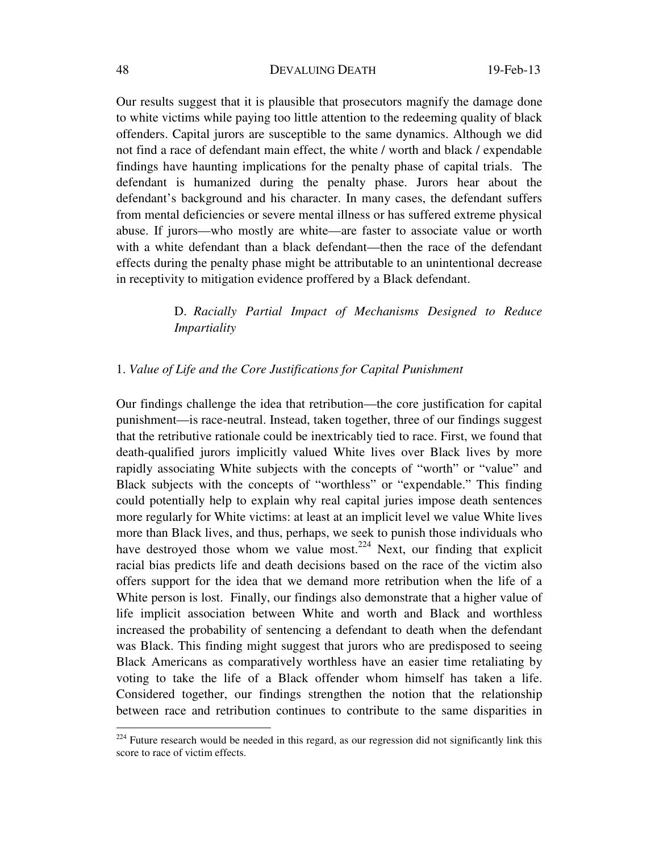Our results suggest that it is plausible that prosecutors magnify the damage done to white victims while paying too little attention to the redeeming quality of black offenders. Capital jurors are susceptible to the same dynamics. Although we did not find a race of defendant main effect, the white / worth and black / expendable findings have haunting implications for the penalty phase of capital trials. The defendant is humanized during the penalty phase. Jurors hear about the defendant's background and his character. In many cases, the defendant suffers from mental deficiencies or severe mental illness or has suffered extreme physical abuse. If jurors—who mostly are white—are faster to associate value or worth with a white defendant than a black defendant—then the race of the defendant effects during the penalty phase might be attributable to an unintentional decrease in receptivity to mitigation evidence proffered by a Black defendant.

> D. *Racially Partial Impact of Mechanisms Designed to Reduce Impartiality*

## 1. *Value of Life and the Core Justifications for Capital Punishment*

Our findings challenge the idea that retribution—the core justification for capital punishment—is race-neutral. Instead, taken together, three of our findings suggest that the retributive rationale could be inextricably tied to race. First, we found that death-qualified jurors implicitly valued White lives over Black lives by more rapidly associating White subjects with the concepts of "worth" or "value" and Black subjects with the concepts of "worthless" or "expendable." This finding could potentially help to explain why real capital juries impose death sentences more regularly for White victims: at least at an implicit level we value White lives more than Black lives, and thus, perhaps, we seek to punish those individuals who have destroyed those whom we value most.<sup>224</sup> Next, our finding that explicit racial bias predicts life and death decisions based on the race of the victim also offers support for the idea that we demand more retribution when the life of a White person is lost. Finally, our findings also demonstrate that a higher value of life implicit association between White and worth and Black and worthless increased the probability of sentencing a defendant to death when the defendant was Black. This finding might suggest that jurors who are predisposed to seeing Black Americans as comparatively worthless have an easier time retaliating by voting to take the life of a Black offender whom himself has taken a life. Considered together, our findings strengthen the notion that the relationship between race and retribution continues to contribute to the same disparities in

 $224$  Future research would be needed in this regard, as our regression did not significantly link this score to race of victim effects.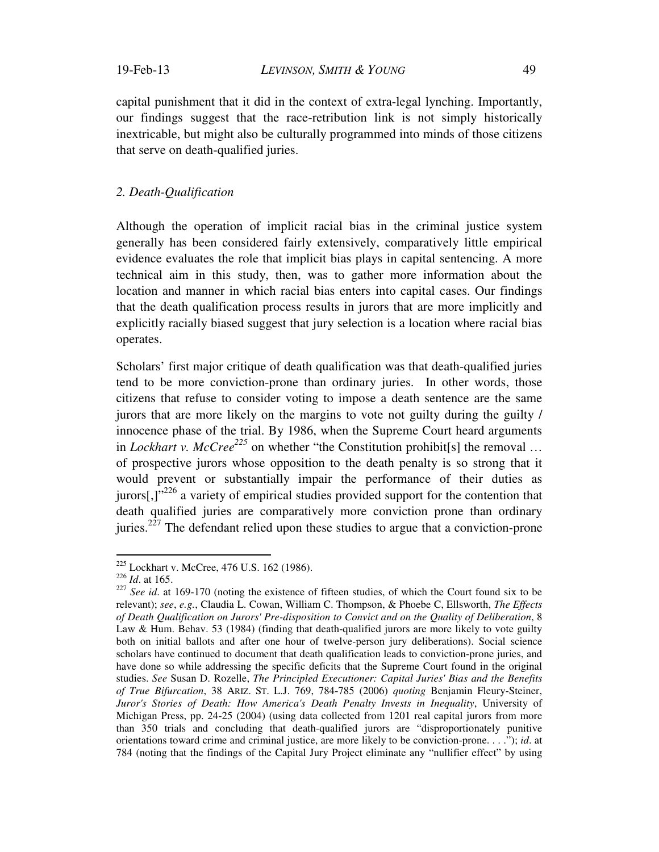capital punishment that it did in the context of extra-legal lynching. Importantly, our findings suggest that the race-retribution link is not simply historically inextricable, but might also be culturally programmed into minds of those citizens that serve on death-qualified juries.

## *2. Death-Qualification*

Although the operation of implicit racial bias in the criminal justice system generally has been considered fairly extensively, comparatively little empirical evidence evaluates the role that implicit bias plays in capital sentencing. A more technical aim in this study, then, was to gather more information about the location and manner in which racial bias enters into capital cases. Our findings that the death qualification process results in jurors that are more implicitly and explicitly racially biased suggest that jury selection is a location where racial bias operates.

Scholars' first major critique of death qualification was that death-qualified juries tend to be more conviction-prone than ordinary juries. In other words, those citizens that refuse to consider voting to impose a death sentence are the same jurors that are more likely on the margins to vote not guilty during the guilty / innocence phase of the trial. By 1986, when the Supreme Court heard arguments in *Lockhart v. McCree*<sup>225</sup> on whether "the Constitution prohibit[s] the removal ... of prospective jurors whose opposition to the death penalty is so strong that it would prevent or substantially impair the performance of their duties as jurors[,] $v^{226}$  a variety of empirical studies provided support for the contention that death qualified juries are comparatively more conviction prone than ordinary juries.<sup>227</sup> The defendant relied upon these studies to argue that a conviction-prone

 $^{225}$  Lockhart v. McCree, 476 U.S. 162 (1986).<br> $^{226}$  *Id.* at 165.

<sup>&</sup>lt;sup>227</sup> See id. at 169-170 (noting the existence of fifteen studies, of which the Court found six to be relevant); *see*, *e.g.*, Claudia L. Cowan, William C. Thompson, & Phoebe C, Ellsworth, *The Effects of Death Qualification on Jurors' Pre-disposition to Convict and on the Quality of Deliberation*, 8 Law & Hum. Behav. 53 (1984) (finding that death-qualified jurors are more likely to vote guilty both on initial ballots and after one hour of twelve-person jury deliberations). Social science scholars have continued to document that death qualification leads to conviction-prone juries, and have done so while addressing the specific deficits that the Supreme Court found in the original studies. *See* Susan D. Rozelle, *The Principled Executioner: Capital Juries' Bias and the Benefits of True Bifurcation*, 38 ARIZ. ST. L.J. 769, 784-785 (2006) *quoting* Benjamin Fleury-Steiner, *Juror's Stories of Death: How America's Death Penalty Invests in Inequality*, University of Michigan Press, pp. 24-25 (2004) (using data collected from 1201 real capital jurors from more than 350 trials and concluding that death-qualified jurors are "disproportionately punitive orientations toward crime and criminal justice, are more likely to be conviction-prone. . . ."); *id*. at 784 (noting that the findings of the Capital Jury Project eliminate any "nullifier effect" by using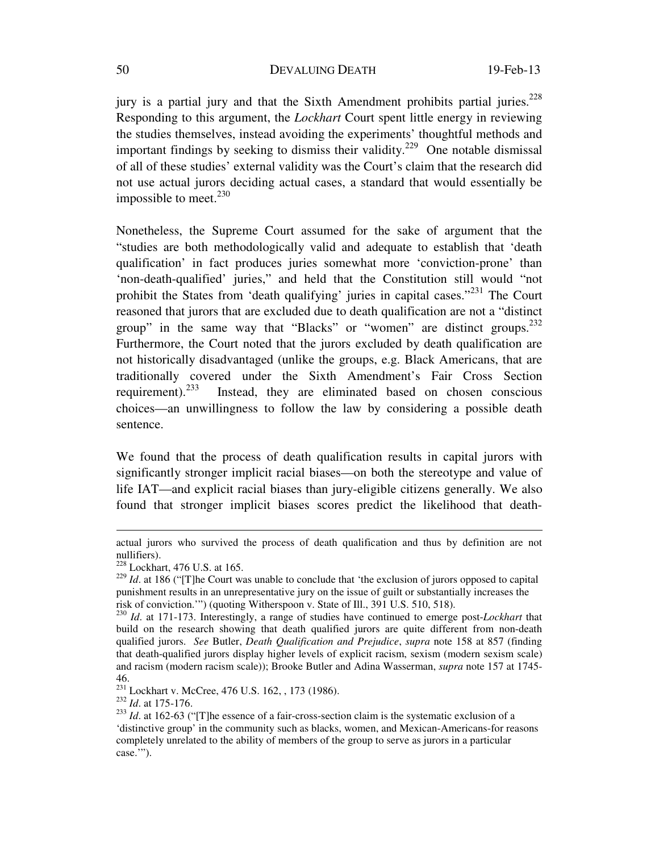jury is a partial jury and that the Sixth Amendment prohibits partial juries.<sup>228</sup> Responding to this argument, the *Lockhart* Court spent little energy in reviewing the studies themselves, instead avoiding the experiments' thoughtful methods and important findings by seeking to dismiss their validity.<sup>229</sup> One notable dismissal of all of these studies' external validity was the Court's claim that the research did not use actual jurors deciding actual cases, a standard that would essentially be impossible to meet. $230$ 

Nonetheless, the Supreme Court assumed for the sake of argument that the "studies are both methodologically valid and adequate to establish that 'death qualification' in fact produces juries somewhat more 'conviction-prone' than 'non-death-qualified' juries," and held that the Constitution still would "not prohibit the States from 'death qualifying' juries in capital cases."231 The Court reasoned that jurors that are excluded due to death qualification are not a "distinct group" in the same way that "Blacks" or "women" are distinct groups.  $232$ Furthermore, the Court noted that the jurors excluded by death qualification are not historically disadvantaged (unlike the groups, e.g. Black Americans, that are traditionally covered under the Sixth Amendment's Fair Cross Section requirement).<sup>233</sup> Instead, they are eliminated based on chosen conscious choices—an unwillingness to follow the law by considering a possible death sentence.

We found that the process of death qualification results in capital jurors with significantly stronger implicit racial biases—on both the stereotype and value of life IAT—and explicit racial biases than jury-eligible citizens generally. We also found that stronger implicit biases scores predict the likelihood that death-

actual jurors who survived the process of death qualification and thus by definition are not nullifiers).

 $228$  Lockhart, 476 U.S. at 165.

<sup>&</sup>lt;sup>229</sup> *Id.* at 186 ("[T]he Court was unable to conclude that 'the exclusion of jurors opposed to capital punishment results in an unrepresentative jury on the issue of guilt or substantially increases the risk of conviction."") (quoting Witherspoon v. State of Ill., 391 U.S. 510, 518).

<sup>&</sup>lt;sup>230</sup> *Id.* at 171-173. Interestingly, a range of studies have continued to emerge post-*Lockhart* that build on the research showing that death qualified jurors are quite different from non-death qualified jurors. *See* Butler, *Death Qualification and Prejudice*, *supra* note 158 at 857 (finding that death-qualified jurors display higher levels of explicit racism, sexism (modern sexism scale) and racism (modern racism scale)); Brooke Butler and Adina Wasserman, *supra* note 157 at 1745-

<sup>46.&</sup>lt;br><sup>231</sup> Lockhart v. McCree, 476 U.S. 162, , 173 (1986).

<sup>&</sup>lt;sup>232</sup> Id. at 175-176.<br><sup>233</sup> Id. at 162-63 ("[T]he essence of a fair-cross-section claim is the systematic exclusion of a 'distinctive group' in the community such as blacks, women, and Mexican-Americans-for reasons completely unrelated to the ability of members of the group to serve as jurors in a particular case.'").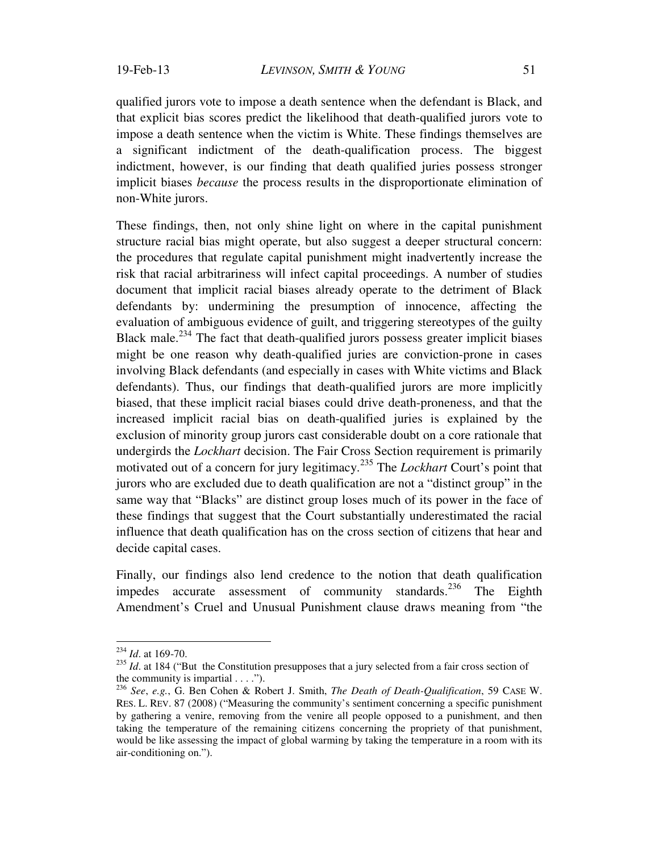qualified jurors vote to impose a death sentence when the defendant is Black, and that explicit bias scores predict the likelihood that death-qualified jurors vote to impose a death sentence when the victim is White. These findings themselves are a significant indictment of the death-qualification process. The biggest indictment, however, is our finding that death qualified juries possess stronger implicit biases *because* the process results in the disproportionate elimination of non-White jurors.

These findings, then, not only shine light on where in the capital punishment structure racial bias might operate, but also suggest a deeper structural concern: the procedures that regulate capital punishment might inadvertently increase the risk that racial arbitrariness will infect capital proceedings. A number of studies document that implicit racial biases already operate to the detriment of Black defendants by: undermining the presumption of innocence, affecting the evaluation of ambiguous evidence of guilt, and triggering stereotypes of the guilty Black male.<sup>234</sup> The fact that death-qualified jurors possess greater implicit biases might be one reason why death-qualified juries are conviction-prone in cases involving Black defendants (and especially in cases with White victims and Black defendants). Thus, our findings that death-qualified jurors are more implicitly biased, that these implicit racial biases could drive death-proneness, and that the increased implicit racial bias on death-qualified juries is explained by the exclusion of minority group jurors cast considerable doubt on a core rationale that undergirds the *Lockhart* decision. The Fair Cross Section requirement is primarily motivated out of a concern for jury legitimacy.235 The *Lockhart* Court's point that jurors who are excluded due to death qualification are not a "distinct group" in the same way that "Blacks" are distinct group loses much of its power in the face of these findings that suggest that the Court substantially underestimated the racial influence that death qualification has on the cross section of citizens that hear and decide capital cases.

Finally, our findings also lend credence to the notion that death qualification impedes accurate assessment of community standards.<sup>236</sup> The Eighth Amendment's Cruel and Unusual Punishment clause draws meaning from "the

<sup>234</sup> *Id*. at 169-70.

 $^{235}$  *Id.* at 184 ("But the Constitution presupposes that a jury selected from a fair cross section of the community is impartial  $\dots$ .").

<sup>236</sup> *See*, *e.g.*, G. Ben Cohen & Robert J. Smith, *The Death of Death-Qualification*, 59 CASE W. RES. L. REV. 87 (2008) ("Measuring the community's sentiment concerning a specific punishment by gathering a venire, removing from the venire all people opposed to a punishment, and then taking the temperature of the remaining citizens concerning the propriety of that punishment, would be like assessing the impact of global warming by taking the temperature in a room with its air-conditioning on.").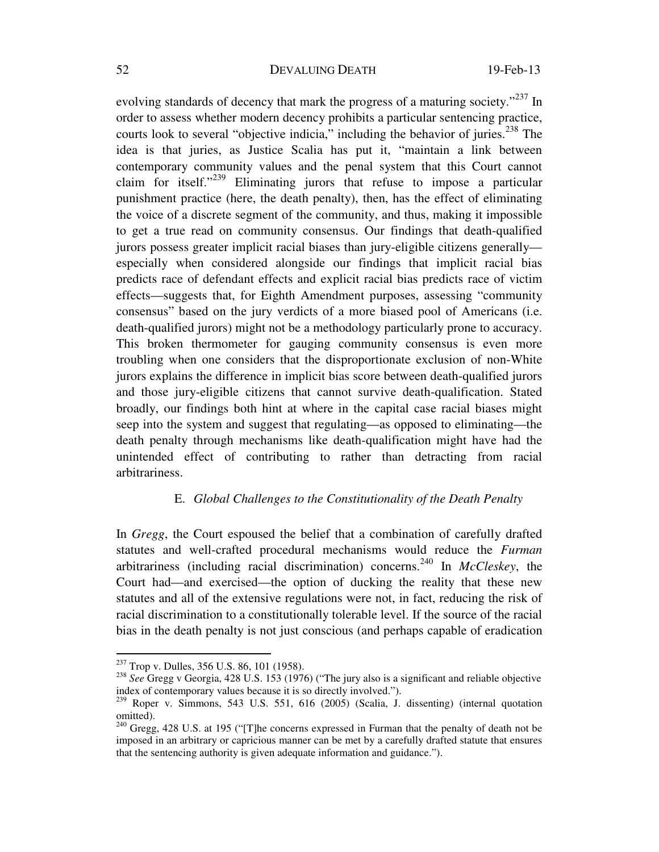evolving standards of decency that mark the progress of a maturing society."<sup>237</sup> In order to assess whether modern decency prohibits a particular sentencing practice, courts look to several "objective indicia," including the behavior of juries.<sup>238</sup> The idea is that juries, as Justice Scalia has put it, "maintain a link between contemporary community values and the penal system that this Court cannot claim for itself."<sup>239</sup> Eliminating jurors that refuse to impose a particular punishment practice (here, the death penalty), then, has the effect of eliminating the voice of a discrete segment of the community, and thus, making it impossible to get a true read on community consensus. Our findings that death-qualified jurors possess greater implicit racial biases than jury-eligible citizens generally especially when considered alongside our findings that implicit racial bias predicts race of defendant effects and explicit racial bias predicts race of victim effects—suggests that, for Eighth Amendment purposes, assessing "community consensus" based on the jury verdicts of a more biased pool of Americans (i.e. death-qualified jurors) might not be a methodology particularly prone to accuracy. This broken thermometer for gauging community consensus is even more troubling when one considers that the disproportionate exclusion of non-White jurors explains the difference in implicit bias score between death-qualified jurors and those jury-eligible citizens that cannot survive death-qualification. Stated broadly, our findings both hint at where in the capital case racial biases might seep into the system and suggest that regulating—as opposed to eliminating—the death penalty through mechanisms like death-qualification might have had the unintended effect of contributing to rather than detracting from racial arbitrariness.

## E. *Global Challenges to the Constitutionality of the Death Penalty*

In *Gregg*, the Court espoused the belief that a combination of carefully drafted statutes and well-crafted procedural mechanisms would reduce the *Furman*  arbitrariness (including racial discrimination) concerns.240 In *McCleskey*, the Court had—and exercised—the option of ducking the reality that these new statutes and all of the extensive regulations were not, in fact, reducing the risk of racial discrimination to a constitutionally tolerable level. If the source of the racial bias in the death penalty is not just conscious (and perhaps capable of eradication

<sup>&</sup>lt;sup>237</sup> Trop v. Dulles, 356 U.S. 86, 101 (1958).

<sup>&</sup>lt;sup>238</sup> See Gregg v. Georgia, 428 U.S. 153 (1976) ("The jury also is a significant and reliable objective index of contemporary values because it is so directly involved.").

<sup>239</sup> Roper v. Simmons, 543 U.S. 551, 616 (2005) (Scalia, J. dissenting) (internal quotation omitted).

 $240$  Gregg, 428 U.S. at 195 ("[T]he concerns expressed in Furman that the penalty of death not be imposed in an arbitrary or capricious manner can be met by a carefully drafted statute that ensures that the sentencing authority is given adequate information and guidance.").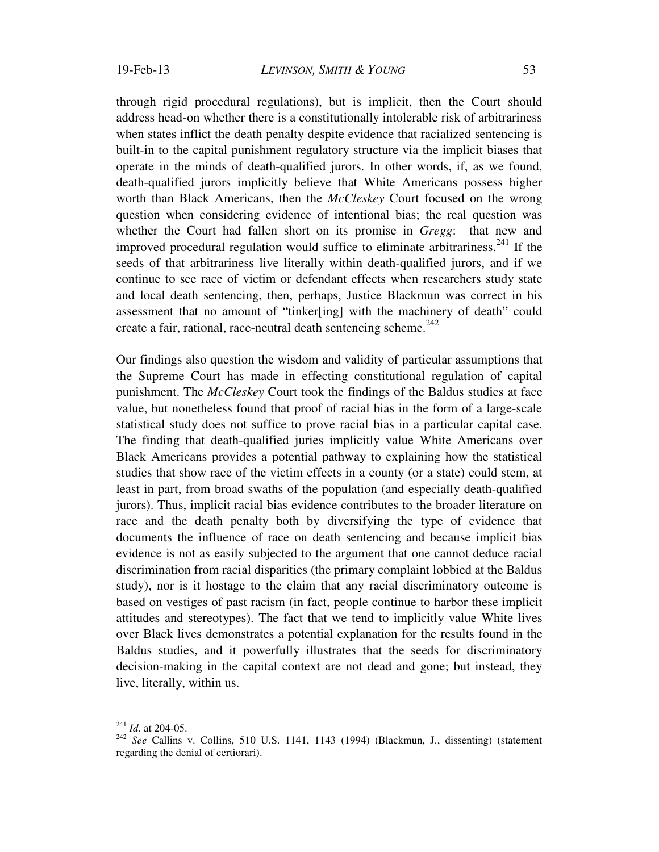through rigid procedural regulations), but is implicit, then the Court should address head-on whether there is a constitutionally intolerable risk of arbitrariness when states inflict the death penalty despite evidence that racialized sentencing is built-in to the capital punishment regulatory structure via the implicit biases that operate in the minds of death-qualified jurors. In other words, if, as we found, death-qualified jurors implicitly believe that White Americans possess higher worth than Black Americans, then the *McCleskey* Court focused on the wrong question when considering evidence of intentional bias; the real question was whether the Court had fallen short on its promise in *Gregg*: that new and improved procedural regulation would suffice to eliminate arbitrariness.<sup>241</sup> If the seeds of that arbitrariness live literally within death-qualified jurors, and if we continue to see race of victim or defendant effects when researchers study state and local death sentencing, then, perhaps, Justice Blackmun was correct in his assessment that no amount of "tinker[ing] with the machinery of death" could create a fair, rational, race-neutral death sentencing scheme. $242$ 

Our findings also question the wisdom and validity of particular assumptions that the Supreme Court has made in effecting constitutional regulation of capital punishment. The *McCleskey* Court took the findings of the Baldus studies at face value, but nonetheless found that proof of racial bias in the form of a large-scale statistical study does not suffice to prove racial bias in a particular capital case. The finding that death-qualified juries implicitly value White Americans over Black Americans provides a potential pathway to explaining how the statistical studies that show race of the victim effects in a county (or a state) could stem, at least in part, from broad swaths of the population (and especially death-qualified jurors). Thus, implicit racial bias evidence contributes to the broader literature on race and the death penalty both by diversifying the type of evidence that documents the influence of race on death sentencing and because implicit bias evidence is not as easily subjected to the argument that one cannot deduce racial discrimination from racial disparities (the primary complaint lobbied at the Baldus study), nor is it hostage to the claim that any racial discriminatory outcome is based on vestiges of past racism (in fact, people continue to harbor these implicit attitudes and stereotypes). The fact that we tend to implicitly value White lives over Black lives demonstrates a potential explanation for the results found in the Baldus studies, and it powerfully illustrates that the seeds for discriminatory decision-making in the capital context are not dead and gone; but instead, they live, literally, within us.

 $^{241}$  *Id.* at 204-05.

<sup>&</sup>lt;sup>242</sup> See Callins v. Collins, 510 U.S. 1141, 1143 (1994) (Blackmun, J., dissenting) (statement regarding the denial of certiorari).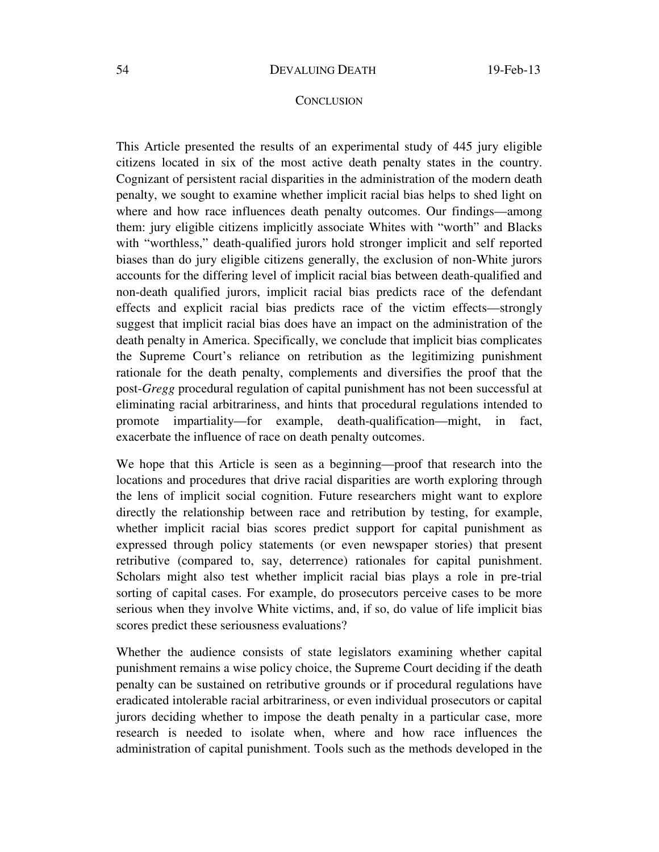## **CONCLUSION**

This Article presented the results of an experimental study of 445 jury eligible citizens located in six of the most active death penalty states in the country. Cognizant of persistent racial disparities in the administration of the modern death penalty, we sought to examine whether implicit racial bias helps to shed light on where and how race influences death penalty outcomes. Our findings—among them: jury eligible citizens implicitly associate Whites with "worth" and Blacks with "worthless," death-qualified jurors hold stronger implicit and self reported biases than do jury eligible citizens generally, the exclusion of non-White jurors accounts for the differing level of implicit racial bias between death-qualified and non-death qualified jurors, implicit racial bias predicts race of the defendant effects and explicit racial bias predicts race of the victim effects—strongly suggest that implicit racial bias does have an impact on the administration of the death penalty in America. Specifically, we conclude that implicit bias complicates the Supreme Court's reliance on retribution as the legitimizing punishment rationale for the death penalty, complements and diversifies the proof that the post-*Gregg* procedural regulation of capital punishment has not been successful at eliminating racial arbitrariness, and hints that procedural regulations intended to promote impartiality—for example, death-qualification—might, in fact, exacerbate the influence of race on death penalty outcomes.

We hope that this Article is seen as a beginning—proof that research into the locations and procedures that drive racial disparities are worth exploring through the lens of implicit social cognition. Future researchers might want to explore directly the relationship between race and retribution by testing, for example, whether implicit racial bias scores predict support for capital punishment as expressed through policy statements (or even newspaper stories) that present retributive (compared to, say, deterrence) rationales for capital punishment. Scholars might also test whether implicit racial bias plays a role in pre-trial sorting of capital cases. For example, do prosecutors perceive cases to be more serious when they involve White victims, and, if so, do value of life implicit bias scores predict these seriousness evaluations?

Whether the audience consists of state legislators examining whether capital punishment remains a wise policy choice, the Supreme Court deciding if the death penalty can be sustained on retributive grounds or if procedural regulations have eradicated intolerable racial arbitrariness, or even individual prosecutors or capital jurors deciding whether to impose the death penalty in a particular case, more research is needed to isolate when, where and how race influences the administration of capital punishment. Tools such as the methods developed in the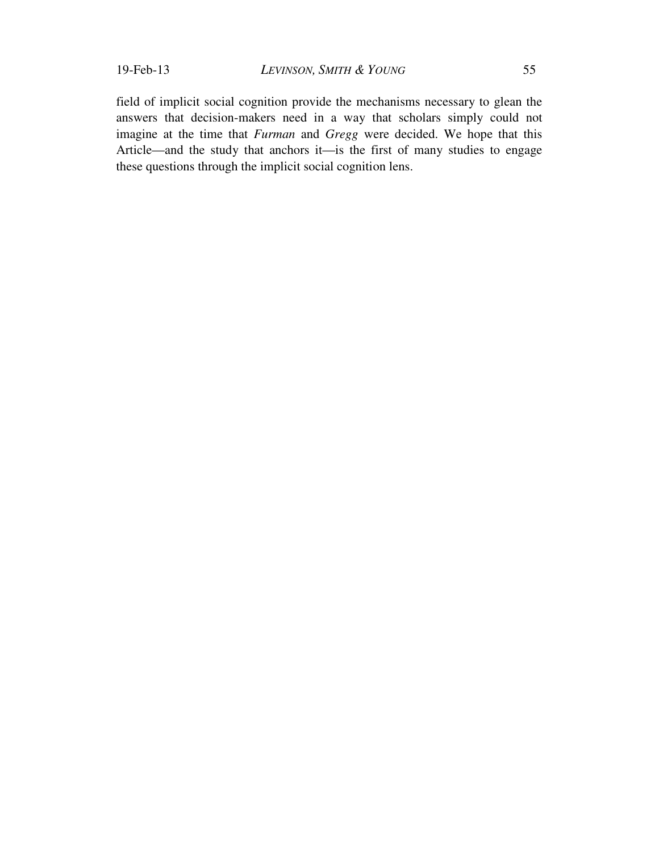field of implicit social cognition provide the mechanisms necessary to glean the answers that decision-makers need in a way that scholars simply could not imagine at the time that *Furman* and *Gregg* were decided. We hope that this Article—and the study that anchors it—is the first of many studies to engage these questions through the implicit social cognition lens.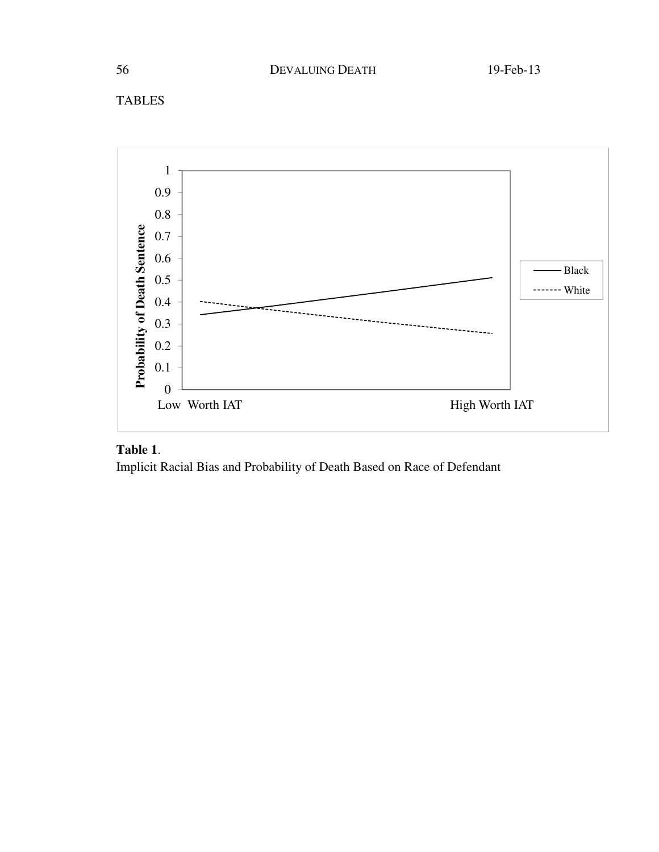



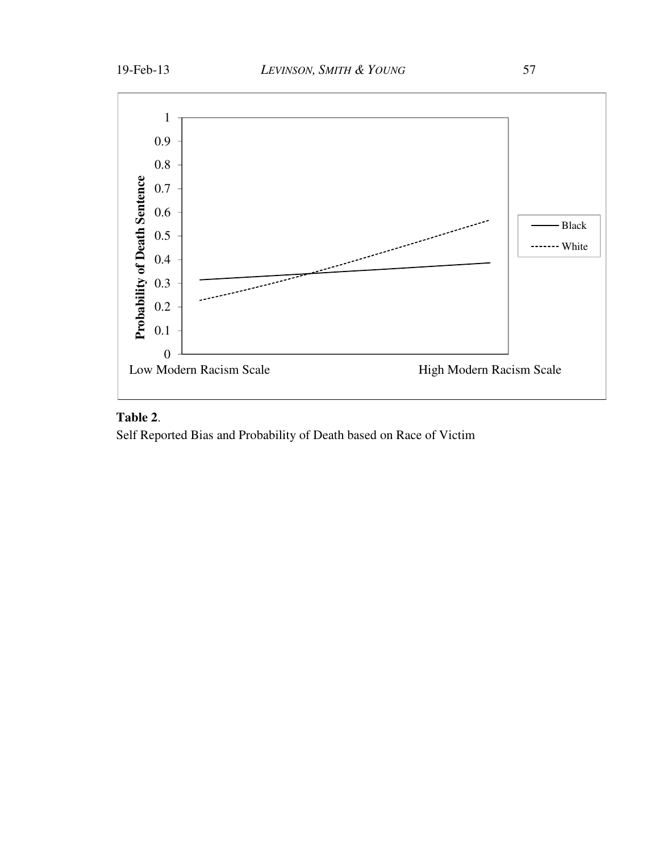

## **Table 2**.

Self Reported Bias and Probability of Death based on Race of Victim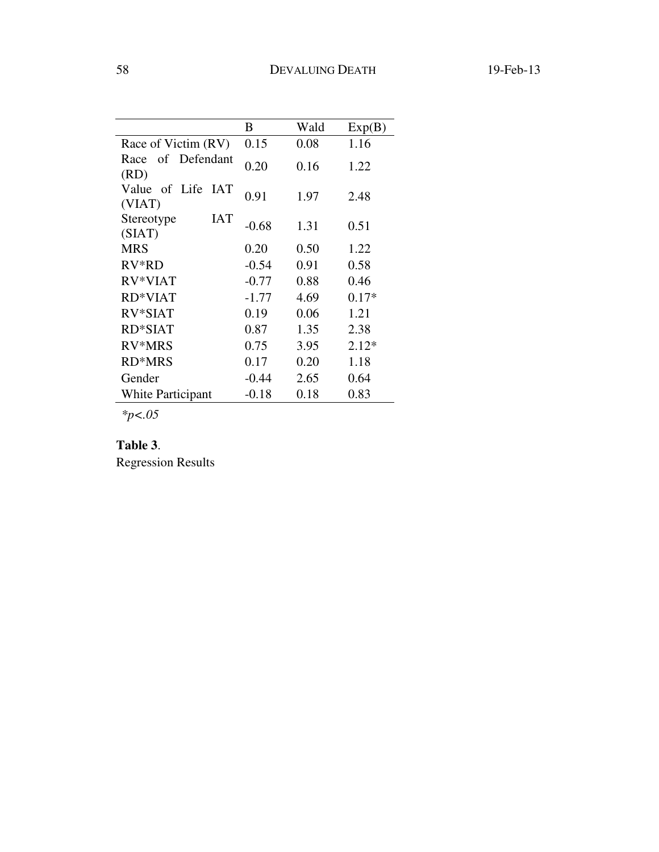|                                          | В       | Wald | Exp(B)  |
|------------------------------------------|---------|------|---------|
| Race of Victim (RV)                      | 0.15    | 0.08 | 1.16    |
| of Defendant<br>Race<br>(RD)             | 0.20    | 0.16 | 1.22    |
| of Life<br><b>IAT</b><br>Value<br>(VIAT) | 0.91    | 1.97 | 2.48    |
| IAT<br>Stereotype<br>(SIAT)              | $-0.68$ | 1.31 | 0.51    |
| <b>MRS</b>                               | 0.20    | 0.50 | 1.22    |
| $RV*RD$                                  | $-0.54$ | 0.91 | 0.58    |
| RV*VIAT                                  | $-0.77$ | 0.88 | 0.46    |
| RD*VIAT                                  | $-1.77$ | 4.69 | $0.17*$ |
| RV*SIAT                                  | 0.19    | 0.06 | 1.21    |
| <b>RD*SIAT</b>                           | 0.87    | 1.35 | 2.38    |
| RV*MRS                                   | 0.75    | 3.95 | $2.12*$ |
| <b>RD*MRS</b>                            | 0.17    | 0.20 | 1.18    |
| Gender                                   | $-0.44$ | 2.65 | 0.64    |
| <b>White Participant</b>                 | $-0.18$ | 0.18 | 0.83    |

*\*p<.05* 

## **Table 3**.

Regression Results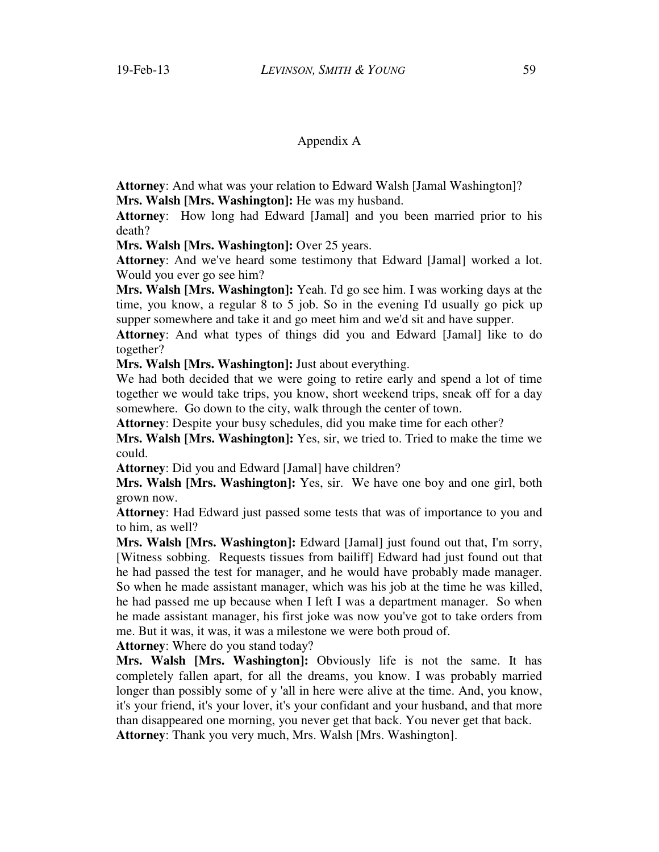## Appendix A

**Attorney**: And what was your relation to Edward Walsh [Jamal Washington]? **Mrs. Walsh [Mrs. Washington]:** He was my husband.

**Attorney**: How long had Edward [Jamal] and you been married prior to his death?

**Mrs. Walsh [Mrs. Washington]:** Over 25 years.

**Attorney**: And we've heard some testimony that Edward [Jamal] worked a lot. Would you ever go see him?

**Mrs. Walsh [Mrs. Washington]:** Yeah. I'd go see him. I was working days at the time, you know, a regular 8 to 5 job. So in the evening I'd usually go pick up supper somewhere and take it and go meet him and we'd sit and have supper.

**Attorney**: And what types of things did you and Edward [Jamal] like to do together?

**Mrs. Walsh [Mrs. Washington]:** Just about everything.

We had both decided that we were going to retire early and spend a lot of time together we would take trips, you know, short weekend trips, sneak off for a day somewhere. Go down to the city, walk through the center of town.

**Attorney**: Despite your busy schedules, did you make time for each other?

**Mrs. Walsh [Mrs. Washington]:** Yes, sir, we tried to. Tried to make the time we could.

**Attorney**: Did you and Edward [Jamal] have children?

**Mrs. Walsh [Mrs. Washington]:** Yes, sir. We have one boy and one girl, both grown now.

**Attorney**: Had Edward just passed some tests that was of importance to you and to him, as well?

**Mrs. Walsh [Mrs. Washington]:** Edward [Jamal] just found out that, I'm sorry, [Witness sobbing. Requests tissues from bailiff] Edward had just found out that he had passed the test for manager, and he would have probably made manager. So when he made assistant manager, which was his job at the time he was killed, he had passed me up because when I left I was a department manager. So when he made assistant manager, his first joke was now you've got to take orders from me. But it was, it was, it was a milestone we were both proud of.

**Attorney**: Where do you stand today?

**Mrs. Walsh [Mrs. Washington]:** Obviously life is not the same. It has completely fallen apart, for all the dreams, you know. I was probably married longer than possibly some of y 'all in here were alive at the time. And, you know, it's your friend, it's your lover, it's your confidant and your husband, and that more than disappeared one morning, you never get that back. You never get that back. **Attorney**: Thank you very much, Mrs. Walsh [Mrs. Washington].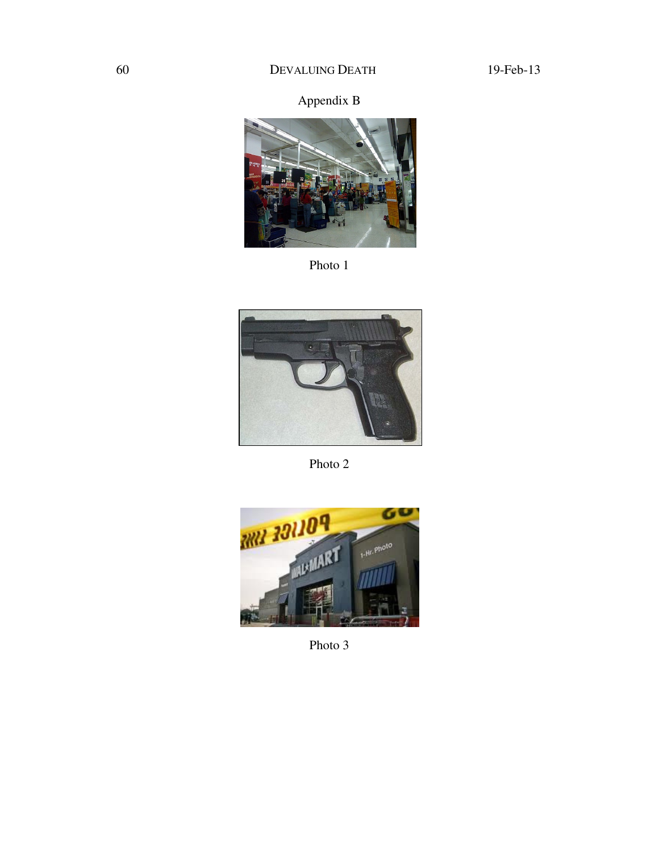# Appendix B



Photo 1



Photo 2



Photo 3